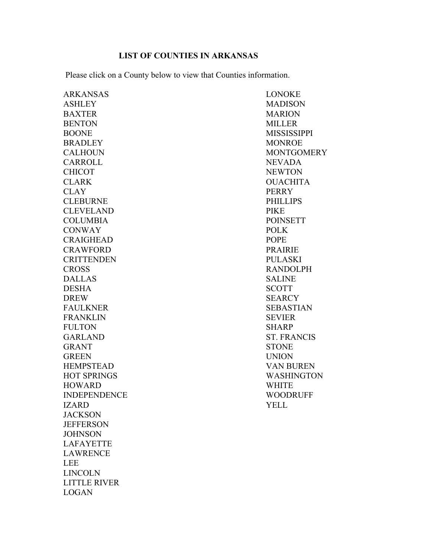# **LIST OF COUNTIES IN ARKANSAS**

Please click on a County below to view that Counties information.

| <b>ARKANSAS</b>     | <b>LONOKE</b>      |
|---------------------|--------------------|
| <b>ASHLEY</b>       | <b>MADISON</b>     |
| <b>BAXTER</b>       | <b>MARION</b>      |
| <b>BENTON</b>       | <b>MILLER</b>      |
| <b>BOONE</b>        | <b>MISSISSIPPI</b> |
| <b>BRADLEY</b>      | <b>MONROE</b>      |
| <b>CALHOUN</b>      | <b>MONTGOMERY</b>  |
| <b>CARROLL</b>      | <b>NEVADA</b>      |
| <b>CHICOT</b>       | <b>NEWTON</b>      |
| <b>CLARK</b>        | <b>OUACHITA</b>    |
| <b>CLAY</b>         | <b>PERRY</b>       |
| <b>CLEBURNE</b>     | <b>PHILLIPS</b>    |
| <b>CLEVELAND</b>    | <b>PIKE</b>        |
| <b>COLUMBIA</b>     | <b>POINSETT</b>    |
| <b>CONWAY</b>       | <b>POLK</b>        |
| <b>CRAIGHEAD</b>    | <b>POPE</b>        |
| <b>CRAWFORD</b>     | <b>PRAIRIE</b>     |
| <b>CRITTENDEN</b>   | <b>PULASKI</b>     |
| <b>CROSS</b>        | <b>RANDOLPH</b>    |
| <b>DALLAS</b>       | <b>SALINE</b>      |
| <b>DESHA</b>        | <b>SCOTT</b>       |
| <b>DREW</b>         | <b>SEARCY</b>      |
| <b>FAULKNER</b>     | <b>SEBASTIAN</b>   |
| <b>FRANKLIN</b>     | <b>SEVIER</b>      |
| <b>FULTON</b>       | <b>SHARP</b>       |
| <b>GARLAND</b>      | <b>ST. FRANCIS</b> |
| <b>GRANT</b>        | <b>STONE</b>       |
| <b>GREEN</b>        | <b>UNION</b>       |
| <b>HEMPSTEAD</b>    | <b>VAN BUREN</b>   |
| <b>HOT SPRINGS</b>  | <b>WASHINGTON</b>  |
| <b>HOWARD</b>       | <b>WHITE</b>       |
| <b>INDEPENDENCE</b> | <b>WOODRUFF</b>    |
| IZARD               | YELL               |
| <b>JACKSON</b>      |                    |
| <b>JEFFERSON</b>    |                    |
| <b>JOHNSON</b>      |                    |
| <b>LAFAYETTE</b>    |                    |
| <b>LAWRENCE</b>     |                    |
| <b>LEE</b>          |                    |
| <b>LINCOLN</b>      |                    |
| <b>LITTLE RIVER</b> |                    |

[LOGAN](#page-43-0)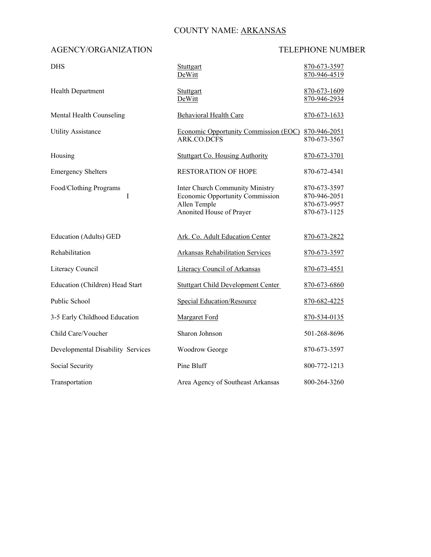### COUNTY NAME: ARKANSAS

<span id="page-1-0"></span>

| <b>DHS</b>                        | Stuttgart<br>DeWitt                                                                                            | 870-673-3597<br>870-946-4519                                 |
|-----------------------------------|----------------------------------------------------------------------------------------------------------------|--------------------------------------------------------------|
| Health Department                 | Stuttgart<br>DeWitt                                                                                            | 870-673-1609<br>870-946-2934                                 |
| Mental Health Counseling          | <b>Behavioral Health Care</b>                                                                                  | 870-673-1633                                                 |
| <b>Utility Assistance</b>         | Economic Opportunity Commission (EOC) 870-946-2051<br>ARK.CO.DCFS                                              | 870-673-3567                                                 |
| Housing                           | <b>Stuttgart Co. Housing Authority</b>                                                                         | 870-673-3701                                                 |
| <b>Emergency Shelters</b>         | <b>RESTORATION OF HOPE</b>                                                                                     | 870-672-4341                                                 |
| Food/Clothing Programs<br>I       | Inter Church Community Ministry<br>Economic Opportunity Commission<br>Allen Temple<br>Anonited House of Prayer | 870-673-3597<br>870-946-2051<br>870-673-9957<br>870-673-1125 |
| <b>Education (Adults) GED</b>     | Ark. Co. Adult Education Center                                                                                | 870-673-2822                                                 |
| Rehabilitation                    | <b>Arkansas Rehabilitation Services</b>                                                                        | 870-673-3597                                                 |
| Literacy Council                  | Literacy Council of Arkansas                                                                                   | 870-673-4551                                                 |
| Education (Children) Head Start   | <b>Stuttgart Child Development Center</b>                                                                      | 870-673-6860                                                 |
| Public School                     | <b>Special Education/Resource</b>                                                                              | 870-682-4225                                                 |
| 3-5 Early Childhood Education     | <b>Margaret Ford</b>                                                                                           | 870-534-0135                                                 |
| Child Care/Voucher                | Sharon Johnson                                                                                                 | 501-268-8696                                                 |
| Developmental Disability Services | Woodrow George                                                                                                 | 870-673-3597                                                 |
| Social Security                   | Pine Bluff                                                                                                     | 800-772-1213                                                 |
| Transportation                    | Area Agency of Southeast Arkansas                                                                              | 800-264-3260                                                 |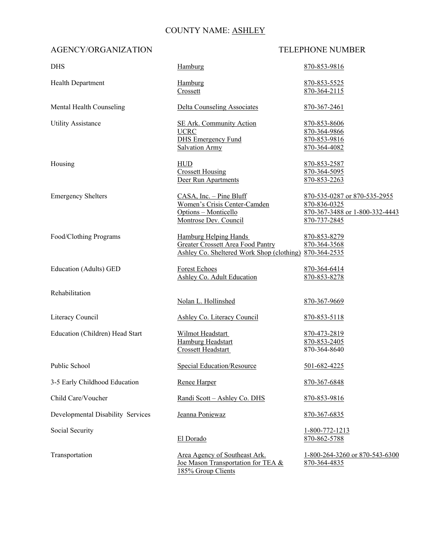### COUNTY NAME: ASHLEY

<span id="page-2-0"></span>

| <b>DHS</b>                        | Hamburg                                                                                                                            | 870-853-9816                                                                                   |
|-----------------------------------|------------------------------------------------------------------------------------------------------------------------------------|------------------------------------------------------------------------------------------------|
| Health Department                 | Hamburg<br>Crossett                                                                                                                | 870-853-5525<br>870-364-2115                                                                   |
| Mental Health Counseling          | <b>Delta Counseling Associates</b>                                                                                                 | 870-367-2461                                                                                   |
| <b>Utility Assistance</b>         | <b>SE Ark. Community Action</b><br><b>UCRC</b><br><b>DHS</b> Emergency Fund<br><b>Salvation Army</b>                               | 870-853-8606<br>870-364-9866<br>870-853-9816<br>870-364-4082                                   |
| Housing                           | <b>HUD</b><br><b>Crossett Housing</b><br>Deer Run Apartments                                                                       | 870-853-2587<br>870-364-5095<br>870-853-2263                                                   |
| <b>Emergency Shelters</b>         | $CASA$ , Inc. – Pine Bluff<br><b>Women's Crisis Center-Camden</b><br>Options - Monticello<br>Montrose Dev. Council                 | 870-535-0287 or 870-535-2955<br>870-836-0325<br>870-367-3488 or 1-800-332-4443<br>870-737-2845 |
| Food/Clothing Programs            | <b>Hamburg Helping Hands</b><br><b>Greater Crossett Area Food Pantry</b><br>Ashley Co. Sheltered Work Shop (clothing) 870-364-2535 | 870-853-8279<br>870-364-3568                                                                   |
| Education (Adults) GED            | Forest Echoes<br><b>Ashley Co. Adult Education</b>                                                                                 | 870-364-6414<br>870-853-8278                                                                   |
| Rehabilitation                    | Nolan L. Hollinshed                                                                                                                | 870-367-9669                                                                                   |
| Literacy Council                  | Ashley Co. Literacy Council                                                                                                        | 870-853-5118                                                                                   |
| Education (Children) Head Start   | Wilmot Headstart<br><b>Hamburg Headstart</b><br>Crossett Headstart                                                                 | 870-473-2819<br>870-853-2405<br>870-364-8640                                                   |
| Public School                     | Special Education/Resource                                                                                                         | 501-682-4225                                                                                   |
| 3-5 Early Childhood Education     | Renee Harper                                                                                                                       | 870-367-6848                                                                                   |
| Child Care/Voucher                | Randi Scott - Ashley Co. DHS                                                                                                       | 870-853-9816                                                                                   |
| Developmental Disability Services | Jeanna Poniewaz                                                                                                                    | 870-367-6835                                                                                   |
| Social Security                   | El Dorado                                                                                                                          | 1-800-772-1213<br>870-862-5788                                                                 |
| Transportation                    | Area Agency of Southeast Ark.<br>Joe Mason Transportation for TEA &<br>185% Group Clients                                          | 1-800-264-3260 or 870-543-6300<br>870-364-4835                                                 |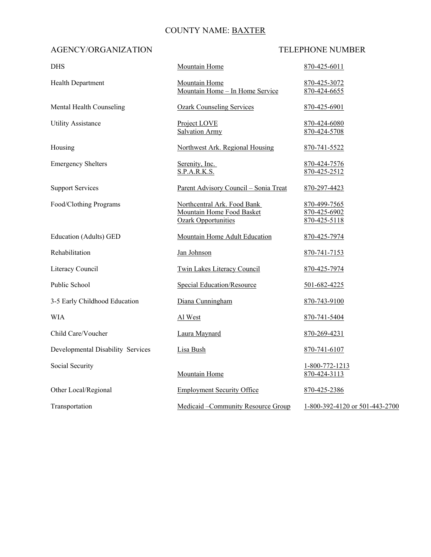### COUNTY NAME: BAXTER

<span id="page-3-0"></span>

| <b>DHS</b>                        | <b>Mountain Home</b>                                                                   | 870-425-6011                                 |
|-----------------------------------|----------------------------------------------------------------------------------------|----------------------------------------------|
| <b>Health Department</b>          | <b>Mountain Home</b><br>Mountain Home - In Home Service                                | 870-425-3072<br>870-424-6655                 |
| Mental Health Counseling          | <b>Ozark Counseling Services</b>                                                       | 870-425-6901                                 |
| <b>Utility Assistance</b>         | Project LOVE<br><b>Salvation Army</b>                                                  | 870-424-6080<br>870-424-5708                 |
| Housing                           | Northwest Ark. Regional Housing                                                        | 870-741-5522                                 |
| <b>Emergency Shelters</b>         | Serenity, Inc.<br>S.P.A.R.K.S.                                                         | 870-424-7576<br>870-425-2512                 |
| <b>Support Services</b>           | Parent Advisory Council - Sonia Treat                                                  | 870-297-4423                                 |
| Food/Clothing Programs            | Northcentral Ark. Food Bank<br>Mountain Home Food Basket<br><b>Ozark Opportunities</b> | 870-499-7565<br>870-425-6902<br>870-425-5118 |
| Education (Adults) GED            | Mountain Home Adult Education                                                          | 870-425-7974                                 |
| Rehabilitation                    | Jan Johnson                                                                            | 870-741-7153                                 |
| Literacy Council                  | <b>Twin Lakes Literacy Council</b>                                                     | 870-425-7974                                 |
| Public School                     | <b>Special Education/Resource</b>                                                      | 501-682-4225                                 |
| 3-5 Early Childhood Education     | Diana Cunningham                                                                       | 870-743-9100                                 |
| <b>WIA</b>                        | Al West                                                                                | 870-741-5404                                 |
| Child Care/Voucher                | Laura Maynard                                                                          | 870-269-4231                                 |
| Developmental Disability Services | Lisa Bush                                                                              | 870-741-6107                                 |
| Social Security                   | <b>Mountain Home</b>                                                                   | 1-800-772-1213<br>870-424-3113               |
| Other Local/Regional              | <b>Employment Security Office</b>                                                      | 870-425-2386                                 |
| Transportation                    | Medicaid - Community Resource Group                                                    | 1-800-392-4120 or 501-443-2700               |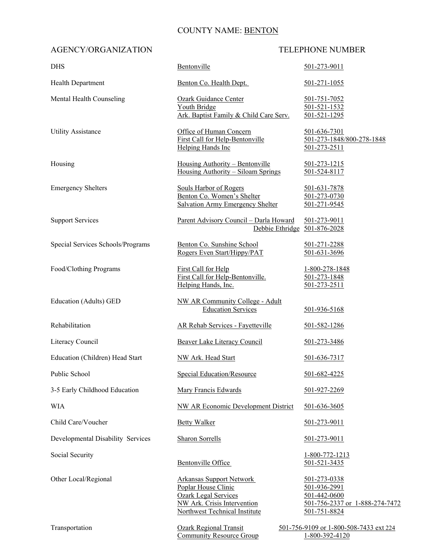### COUNTY NAME: BENTON

<span id="page-4-0"></span>

| <b>DHS</b>                        | Bentonville                                                                                                                                           | 501-273-9011                                                                                   |
|-----------------------------------|-------------------------------------------------------------------------------------------------------------------------------------------------------|------------------------------------------------------------------------------------------------|
| Health Department                 | Benton Co. Health Dept.                                                                                                                               | 501-271-1055                                                                                   |
| Mental Health Counseling          | <b>Ozark Guidance Center</b><br><b>Youth Bridge</b><br>Ark. Baptist Family & Child Care Serv.                                                         | 501-751-7052<br>501-521-1532<br>501-521-1295                                                   |
| <b>Utility Assistance</b>         | Office of Human Concern<br>First Call for Help-Bentonville<br>Helping Hands Inc                                                                       | 501-636-7301<br>501-273-1848/800-278-1848<br>501-273-2511                                      |
| Housing                           | Housing Authority – Bentonville<br>Housing Authority – Siloam Springs                                                                                 | 501-273-1215<br>501-524-8117                                                                   |
| <b>Emergency Shelters</b>         | <b>Souls Harbor of Rogers</b><br>Benton Co. Women's Shelter<br><b>Salvation Army Emergency Shelter</b>                                                | 501-631-7878<br>501-273-0730<br>501-271-9545                                                   |
| <b>Support Services</b>           | Parent Advisory Council - Darla Howard<br>Debbie Ethridge 501-876-2028                                                                                | 501-273-9011                                                                                   |
| Special Services Schools/Programs | Benton Co. Sunshine School<br>Rogers Even Start/Hippy/PAT                                                                                             | 501-271-2288<br>501-631-3696                                                                   |
| Food/Clothing Programs            | First Call for Help<br>First Call for Help-Bentonville.<br>Helping Hands, Inc.                                                                        | 1-800-278-1848<br>501-273-1848<br>501-273-2511                                                 |
| Education (Adults) GED            | <b>NW AR Community College - Adult</b><br><b>Education Services</b>                                                                                   | 501-936-5168                                                                                   |
| Rehabilitation                    | <b>AR Rehab Services - Fayetteville</b>                                                                                                               | 501-582-1286                                                                                   |
| Literacy Council                  | Beaver Lake Literacy Council                                                                                                                          | 501-273-3486                                                                                   |
| Education (Children) Head Start   | NW Ark. Head Start                                                                                                                                    | 501-636-7317                                                                                   |
| Public School                     | <b>Special Education/Resource</b>                                                                                                                     | 501-682-4225                                                                                   |
| 3-5 Early Childhood Education     | Mary Francis Edwards                                                                                                                                  | 501-927-2269                                                                                   |
| WIA                               | <b>NW AR Economic Development District</b>                                                                                                            | 501-636-3605                                                                                   |
| Child Care/Voucher                | <b>Betty Walker</b>                                                                                                                                   | 501-273-9011                                                                                   |
| Developmental Disability Services | <b>Sharon Sorrells</b>                                                                                                                                | 501-273-9011                                                                                   |
| Social Security                   | Bentonville Office                                                                                                                                    | $1 - 800 - 772 - 1213$<br>501-521-3435                                                         |
| Other Local/Regional              | <b>Arkansas Support Network</b><br>Poplar House Clinic<br><b>Ozark Legal Services</b><br>NW Ark. Crisis Intervention<br>Northwest Technical Institute | 501-273-0338<br>501-936-2991<br>501-442-0600<br>501-756-2337 or 1-888-274-7472<br>501-751-8824 |
| Transportation                    | <b>Ozark Regional Transit</b><br><b>Community Resource Group</b>                                                                                      | 501-756-9109 or 1-800-508-7433 ext 224<br>1-800-392-4120                                       |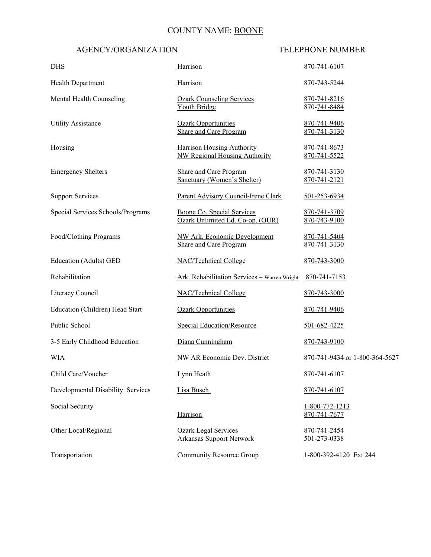### COUNTY NAME: BOONE

<span id="page-5-0"></span>

| <b>DHS</b>                        | Harrison                                                                  | 870-741-6107                   |
|-----------------------------------|---------------------------------------------------------------------------|--------------------------------|
| <b>Health Department</b>          | Harrison                                                                  | 870-743-5244                   |
| Mental Health Counseling          | <b>Ozark Counseling Services</b><br>Youth Bridge                          | 870-741-8216<br>870-741-8484   |
| <b>Utility Assistance</b>         | <b>Ozark Opportunities</b><br><b>Share and Care Program</b>               | 870-741-9406<br>870-741-3130   |
| Housing                           | <b>Harrison Housing Authority</b><br><b>NW Regional Housing Authority</b> | 870-741-8673<br>870-741-5522   |
| <b>Emergency Shelters</b>         | <b>Share and Care Program</b><br>Sanctuary (Women's Shelter)              | 870-741-3130<br>870-741-2121   |
| <b>Support Services</b>           | Parent Advisory Council-Irene Clark                                       | 501-253-6934                   |
| Special Services Schools/Programs | Boone Co. Special Services<br>Ozark Unlimited Ed. Co-op. (OUR)            | 870-741-3709<br>870-743-9100   |
| Food/Clothing Programs            | NW Ark. Economic Development<br><b>Share and Care Program</b>             | 870-741-5404<br>870-741-3130   |
| <b>Education (Adults) GED</b>     | NAC/Technical College                                                     | 870-743-3000                   |
| Rehabilitation                    | Ark. Rehabilitation Services - Warren Wright                              | 870-741-7153                   |
| Literacy Council                  | NAC/Technical College                                                     | 870-743-3000                   |
| Education (Children) Head Start   | <b>Ozark Opportunities</b>                                                | 870-741-9406                   |
| Public School                     | <b>Special Education/Resource</b>                                         | 501-682-4225                   |
| 3-5 Early Childhood Education     | Diana Cunningham                                                          | 870-743-9100                   |
| WIA                               | NW AR Economic Dev. District                                              | 870-741-9434 or 1-800-364-5627 |
| Child Care/Voucher                | <b>Lynn Heath</b>                                                         | 870-741-6107                   |
| Developmental Disability Services | Lisa Busch                                                                | 870-741-6107                   |
| Social Security                   | Harrison                                                                  | 1-800-772-1213<br>870-741-7677 |
| Other Local/Regional              | <b>Ozark Legal Services</b><br><b>Arkansas Support Network</b>            | 870-741-2454<br>501-273-0338   |
| Transportation                    | <b>Community Resource Group</b>                                           | 1-800-392-4120 Ext 244         |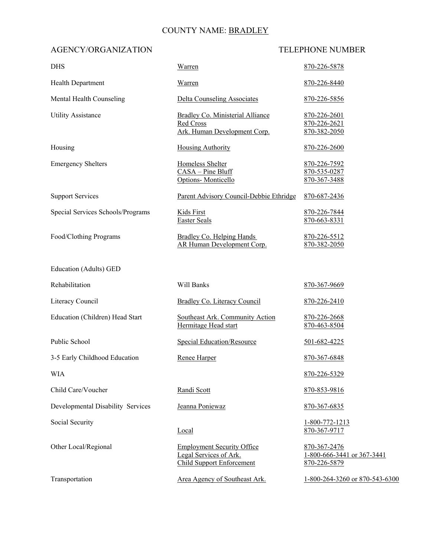### COUNTY NAME: BRADLEY

<span id="page-6-0"></span>

| <b>DHS</b>                        | Warren                                                                                          | 870-226-5878                                               |
|-----------------------------------|-------------------------------------------------------------------------------------------------|------------------------------------------------------------|
| <b>Health Department</b>          | <b>Warren</b>                                                                                   | 870-226-8440                                               |
| Mental Health Counseling          | <b>Delta Counseling Associates</b>                                                              | 870-226-5856                                               |
| <b>Utility Assistance</b>         | Bradley Co. Ministerial Alliance<br>Red Cross<br>Ark. Human Development Corp.                   | 870-226-2601<br>870-226-2621<br>870-382-2050               |
| Housing                           | <b>Housing Authority</b>                                                                        | 870-226-2600                                               |
| <b>Emergency Shelters</b>         | Homeless Shelter<br>CASA - Pine Bluff<br>Options-Monticello                                     | 870-226-7592<br>870-535-0287<br>870-367-3488               |
| <b>Support Services</b>           | Parent Advisory Council-Debbie Ethridge                                                         | 870-687-2436                                               |
| Special Services Schools/Programs | <b>Kids First</b><br><b>Easter Seals</b>                                                        | 870-226-7844<br>870-663-8331                               |
| Food/Clothing Programs            | Bradley Co. Helping Hands<br><b>AR Human Development Corp.</b>                                  | 870-226-5512<br>870-382-2050                               |
| Education (Adults) GED            |                                                                                                 |                                                            |
| Rehabilitation                    | Will Banks                                                                                      | 870-367-9669                                               |
| Literacy Council                  | Bradley Co. Literacy Council                                                                    | 870-226-2410                                               |
| Education (Children) Head Start   | Southeast Ark. Community Action<br>Hermitage Head start                                         | 870-226-2668<br>870-463-8504                               |
| Public School                     | Special Education/Resource                                                                      | 501-682-4225                                               |
| 3-5 Early Childhood Education     | Renee Harper                                                                                    | 870-367-6848                                               |
| <b>WIA</b>                        |                                                                                                 | 870-226-5329                                               |
| Child Care/Voucher                | Randi Scott                                                                                     | 870-853-9816                                               |
| Developmental Disability Services | Jeanna Poniewaz                                                                                 | 870-367-6835                                               |
| Social Security                   | Local                                                                                           | 1-800-772-1213<br>870-367-9717                             |
| Other Local/Regional              | <b>Employment Security Office</b><br>Legal Services of Ark.<br><b>Child Support Enforcement</b> | 870-367-2476<br>1-800-666-3441 or 367-3441<br>870-226-5879 |
| Transportation                    | Area Agency of Southeast Ark.                                                                   | 1-800-264-3260 or 870-543-6300                             |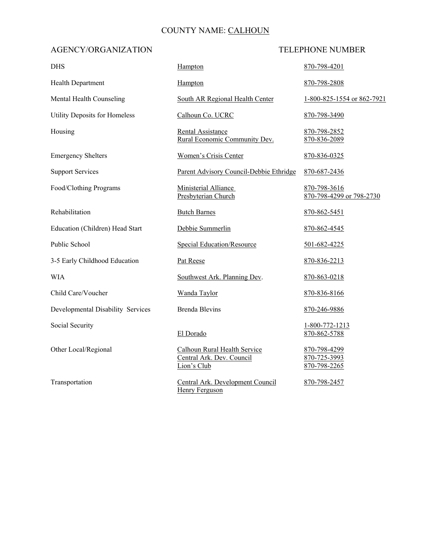### COUNTY NAME: CALHOUN

<span id="page-7-0"></span>

| <b>DHS</b>                           | Hampton                                                                  | 870-798-4201                                 |
|--------------------------------------|--------------------------------------------------------------------------|----------------------------------------------|
| <b>Health Department</b>             | Hampton                                                                  | 870-798-2808                                 |
| Mental Health Counseling             | South AR Regional Health Center                                          | 1-800-825-1554 or 862-7921                   |
| <b>Utility Deposits for Homeless</b> | Calhoun Co. UCRC                                                         | 870-798-3490                                 |
| Housing                              | <b>Rental Assistance</b><br>Rural Economic Community Dev.                | 870-798-2852<br>870-836-2089                 |
| <b>Emergency Shelters</b>            | <b>Women's Crisis Center</b>                                             | 870-836-0325                                 |
| <b>Support Services</b>              | Parent Advisory Council-Debbie Ethridge                                  | 870-687-2436                                 |
| Food/Clothing Programs               | Ministerial Alliance<br>Presbyterian Church                              | 870-798-3616<br>870-798-4299 or 798-2730     |
| Rehabilitation                       | <b>Butch Barnes</b>                                                      | 870-862-5451                                 |
| Education (Children) Head Start      | Debbie Summerlin                                                         | 870-862-4545                                 |
| Public School                        | <b>Special Education/Resource</b>                                        | 501-682-4225                                 |
| 3-5 Early Childhood Education        | Pat Reese                                                                | 870-836-2213                                 |
| <b>WIA</b>                           | Southwest Ark. Planning Dev.                                             | 870-863-0218                                 |
| Child Care/Voucher                   | Wanda Taylor                                                             | 870-836-8166                                 |
| Developmental Disability Services    | <b>Brenda Blevins</b>                                                    | 870-246-9886                                 |
| Social Security                      | El Dorado                                                                | 1-800-772-1213<br>870-862-5788               |
| Other Local/Regional                 | Calhoun Rural Health Service<br>Central Ark. Dev. Council<br>Lion's Club | 870-798-4299<br>870-725-3993<br>870-798-2265 |
| Transportation                       | Central Ark. Development Council<br>Henry Ferguson                       | 870-798-2457                                 |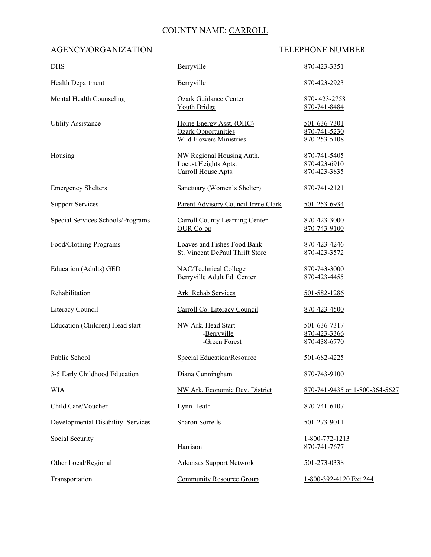### COUNTY NAME: CARROLL

<span id="page-8-0"></span>

| <b>DHS</b>                        | Berryville                                                                              | 870-423-3351                                 |
|-----------------------------------|-----------------------------------------------------------------------------------------|----------------------------------------------|
| <b>Health Department</b>          | Berryville                                                                              | 870-423-2923                                 |
| Mental Health Counseling          | Ozark Guidance Center<br>Youth Bridge                                                   | 870-423-2758<br>870-741-8484                 |
| <b>Utility Assistance</b>         | Home Energy Asst. (OHC)<br><b>Ozark Opportunities</b><br><b>Wild Flowers Ministries</b> | 501-636-7301<br>870-741-5230<br>870-253-5108 |
| Housing                           | NW Regional Housing Auth.<br>Locust Heights Apts.<br>Carroll House Apts.                | 870-741-5405<br>870-423-6910<br>870-423-3835 |
| <b>Emergency Shelters</b>         | <b>Sanctuary (Women's Shelter)</b>                                                      | 870-741-2121                                 |
| <b>Support Services</b>           | Parent Advisory Council-Irene Clark                                                     | 501-253-6934                                 |
| Special Services Schools/Programs | <b>Carroll County Learning Center</b><br>OUR Co-op                                      | 870-423-3000<br>870-743-9100                 |
| Food/Clothing Programs            | <b>Loaves and Fishes Food Bank</b><br>St. Vincent DePaul Thrift Store                   | 870-423-4246<br>870-423-3572                 |
| <b>Education (Adults) GED</b>     | NAC/Technical College<br>Berryville Adult Ed. Center                                    | 870-743-3000<br>870-423-4455                 |
| Rehabilitation                    | Ark. Rehab Services                                                                     | 501-582-1286                                 |
| Literacy Council                  | Carroll Co. Literacy Council                                                            | 870-423-4500                                 |
| Education (Children) Head start   | <b>NW Ark. Head Start</b><br>-Berryville<br>-Green Forest                               | 501-636-7317<br>870-423-3366<br>870-438-6770 |
| Public School                     | Special Education/Resource                                                              | 501-682-4225                                 |
| 3-5 Early Childhood Education     | Diana Cunningham                                                                        | 870-743-9100                                 |
| <b>WIA</b>                        | NW Ark. Economic Dev. District                                                          | 870-741-9435 or 1-800-364-5627               |
| Child Care/Voucher                | Lynn Heath                                                                              | 870-741-6107                                 |
| Developmental Disability Services | <b>Sharon Sorrells</b>                                                                  | 501-273-9011                                 |
| Social Security                   | Harrison                                                                                | 1-800-772-1213<br>870-741-7677               |
| Other Local/Regional              | <b>Arkansas Support Network</b>                                                         | 501-273-0338                                 |
| Transportation                    | <b>Community Resource Group</b>                                                         | 1-800-392-4120 Ext 244                       |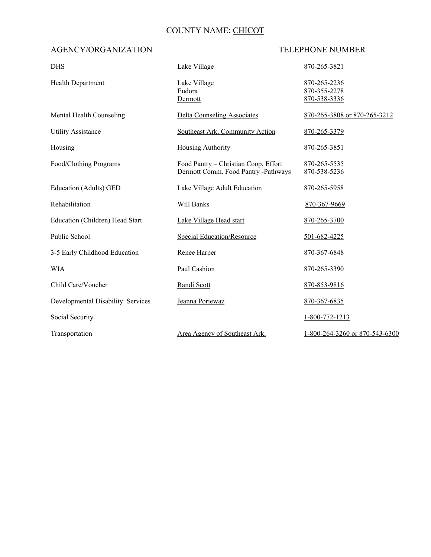### COUNTY NAME: CHICOT

<span id="page-9-0"></span>

| <b>DHS</b>                        | Lake Village                                                                | 870-265-3821                                 |
|-----------------------------------|-----------------------------------------------------------------------------|----------------------------------------------|
| <b>Health Department</b>          | Lake Village<br>Eudora<br>Dermott                                           | 870-265-2236<br>870-355-2278<br>870-538-3336 |
| Mental Health Counseling          | <b>Delta Counseling Associates</b>                                          | 870-265-3808 or 870-265-3212                 |
| <b>Utility Assistance</b>         | Southeast Ark. Community Action                                             | 870-265-3379                                 |
| Housing                           | <b>Housing Authority</b>                                                    | 870-265-3851                                 |
| Food/Clothing Programs            | Food Pantry - Christian Coop. Effort<br>Dermott Comm. Food Pantry -Pathways | 870-265-5535<br>870-538-5236                 |
| <b>Education (Adults) GED</b>     | Lake Village Adult Education                                                | 870-265-5958                                 |
| Rehabilitation                    | Will Banks                                                                  | 870-367-9669                                 |
| Education (Children) Head Start   | Lake Village Head start                                                     | 870-265-3700                                 |
| Public School                     | <b>Special Education/Resource</b>                                           | 501-682-4225                                 |
| 3-5 Early Childhood Education     | <b>Renee Harper</b>                                                         | 870-367-6848                                 |
| <b>WIA</b>                        | Paul Cashion                                                                | 870-265-3390                                 |
| Child Care/Voucher                | Randi Scott                                                                 | 870-853-9816                                 |
| Developmental Disability Services | Jeanna Poriewaz                                                             | 870-367-6835                                 |
| Social Security                   |                                                                             | 1-800-772-1213                               |
| Transportation                    | Area Agency of Southeast Ark.                                               | 1-800-264-3260 or 870-543-6300               |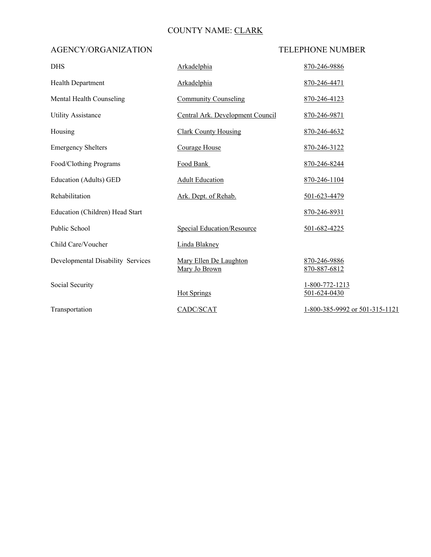## COUNTY NAME: CLARK

<span id="page-10-0"></span>

| <b>DHS</b>                        | Arkadelphia                             | 870-246-9886                   |
|-----------------------------------|-----------------------------------------|--------------------------------|
| <b>Health Department</b>          | Arkadelphia                             | 870-246-4471                   |
| Mental Health Counseling          | <b>Community Counseling</b>             | 870-246-4123                   |
| <b>Utility Assistance</b>         | Central Ark. Development Council        | 870-246-9871                   |
| Housing                           | <b>Clark County Housing</b>             | 870-246-4632                   |
| <b>Emergency Shelters</b>         | Courage House                           | 870-246-3122                   |
| Food/Clothing Programs            | Food Bank                               | 870-246-8244                   |
| Education (Adults) GED            | <b>Adult Education</b>                  | 870-246-1104                   |
| Rehabilitation                    | Ark. Dept. of Rehab.                    | 501-623-4479                   |
| Education (Children) Head Start   |                                         | 870-246-8931                   |
| Public School                     | <b>Special Education/Resource</b>       | 501-682-4225                   |
| Child Care/Voucher                | Linda Blakney                           |                                |
| Developmental Disability Services | Mary Ellen De Laughton<br>Mary Jo Brown | 870-246-9886<br>870-887-6812   |
| Social Security                   | <b>Hot Springs</b>                      | 1-800-772-1213<br>501-624-0430 |
| Transportation                    | CADC/SCAT                               | 1-800-385-9992 or 501-315-1121 |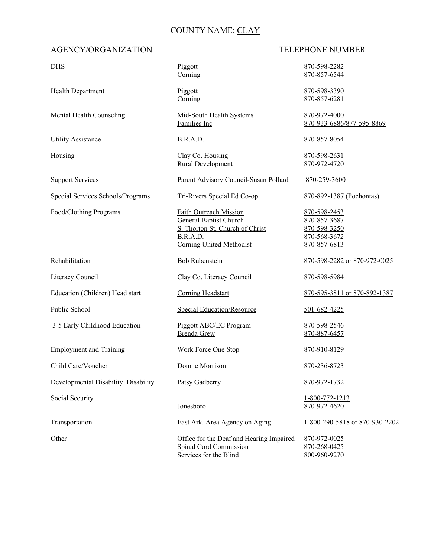### COUNTY NAME: CLAY

<span id="page-11-0"></span>

| <b>DHS</b>                          | Piggott<br>Corning                                                                                                                               | 870-598-2282<br>870-857-6544                                                 |
|-------------------------------------|--------------------------------------------------------------------------------------------------------------------------------------------------|------------------------------------------------------------------------------|
| <b>Health Department</b>            | Piggott<br>Corning                                                                                                                               | 870-598-3390<br>870-857-6281                                                 |
| Mental Health Counseling            | Mid-South Health Systems<br>Families Inc                                                                                                         | 870-972-4000<br>870-933-6886/877-595-8869                                    |
| <b>Utility Assistance</b>           | <b>B.R.A.D.</b>                                                                                                                                  | 870-857-8054                                                                 |
| Housing                             | Clay Co. Housing<br>Rural Development                                                                                                            | 870-598-2631<br>870-972-4720                                                 |
| <b>Support Services</b>             | Parent Advisory Council-Susan Pollard                                                                                                            | 870-259-3600                                                                 |
| Special Services Schools/Programs   | Tri-Rivers Special Ed Co-op                                                                                                                      | 870-892-1387 (Pochontas)                                                     |
| Food/Clothing Programs              | <b>Faith Outreach Mission</b><br><b>General Baptist Church</b><br>S. Thorton St. Church of Christ<br>B.R.A.D.<br><b>Corning United Methodist</b> | 870-598-2453<br>870-857-3687<br>870-598-3250<br>870-568-3672<br>870-857-6813 |
| Rehabilitation                      | <b>Bob Rubenstein</b>                                                                                                                            | 870-598-2282 or 870-972-0025                                                 |
| Literacy Council                    | Clay Co. Literacy Council                                                                                                                        | 870-598-5984                                                                 |
| Education (Children) Head start     | Corning Headstart                                                                                                                                | 870-595-3811 or 870-892-1387                                                 |
| Public School                       | <b>Special Education/Resource</b>                                                                                                                | 501-682-4225                                                                 |
| 3-5 Early Childhood Education       | Piggott ABC/EC Program<br><b>Brenda Grew</b>                                                                                                     | 870-598-2546<br>870-887-6457                                                 |
| <b>Employment and Training</b>      | <b>Work Force One Stop</b>                                                                                                                       | 870-910-8129                                                                 |
| Child Care/Voucher                  | Donnie Morrison                                                                                                                                  | 870-236-8723                                                                 |
| Developmental Disability Disability | Patsy Gadberry                                                                                                                                   | 870-972-1732                                                                 |
| Social Security                     | Jonesboro                                                                                                                                        | 1-800-772-1213<br>870-972-4620                                               |
| Transportation                      | East Ark. Area Agency on Aging                                                                                                                   | 1-800-290-5818 or 870-930-2202                                               |
| Other                               | Office for the Deaf and Hearing Impaired<br><b>Spinal Cord Commission</b><br>Services for the Blind                                              | 870-972-0025<br>870-268-0425<br>800-960-9270                                 |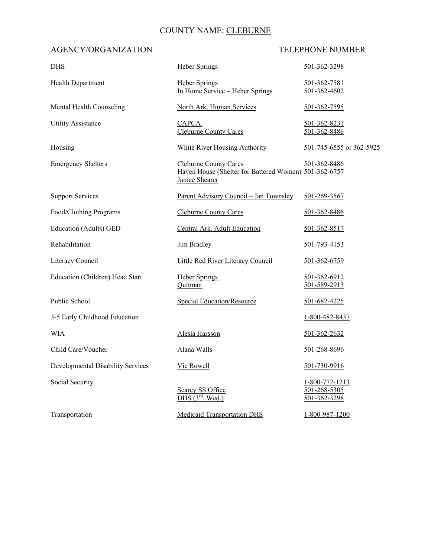### COUNTY NAME: CLEBURNE

<span id="page-12-0"></span>

| <b>DHS</b>                               | <b>Heber Springs</b>                                                                                    | 501-362-3298                                   |
|------------------------------------------|---------------------------------------------------------------------------------------------------------|------------------------------------------------|
| Health Department                        | <b>Heber Springs</b><br>In Home Service - Heber Springs                                                 | 501-362-7581<br>501-362-4602                   |
| Mental Health Counseling                 | North Ark. Human Services                                                                               | 501-362-7595                                   |
| <b>Utility Assistance</b>                | <b>CAPCA</b><br><b>Cleburne County Cares</b>                                                            | 501-362-8231<br>501-362-8486                   |
| Housing                                  | White River Housing Authority                                                                           | 501-745-6555 or 362-5925                       |
| <b>Emergency Shelters</b>                | <b>Cleburne County Cares</b><br>Haven House (Shelter for Battered Women) 501-362-6757<br>Janice Shearer | 501-362-8486                                   |
| <b>Support Services</b>                  | Parent Advisory Council - Jan Townsley                                                                  | 501-269-3567                                   |
| Food/Clothing Programs                   | <b>Cleburne County Cares</b>                                                                            | 501-362-8486                                   |
| Education (Adults) GED                   | Central Ark. Adult Education                                                                            | 501-362-8517                                   |
| Rehabilitation                           | <b>Jim Bradley</b>                                                                                      | 501-793-4153                                   |
| Literacy Council                         | Little Red River Literacy Council                                                                       | 501-362-6759                                   |
| Education (Children) Head Start          | <b>Heber Springs</b><br>Quitman                                                                         | 501-362-6912<br>501-589-2913                   |
| Public School                            | <b>Special Education/Resource</b>                                                                       | 501-682-4225                                   |
| 3-5 Early Childhood Education            |                                                                                                         | 1-800-482-8437                                 |
| WIA                                      | Alesia Harsson                                                                                          | 501-362-2632                                   |
| Child Care/Voucher                       | Alana Walls                                                                                             | 501-268-8696                                   |
| <b>Developmental Disability Services</b> | Vic Rowell                                                                                              | 501-730-9916                                   |
| Social Security                          | <b>Searcy SS Office</b><br>DHS $(3^{rd}$ . Wed.)                                                        | 1-800-772-1213<br>501-268-5305<br>501-362-3298 |
| Transportation                           | <b>Medicaid Transportation DHS</b>                                                                      | 1-800-987-1200                                 |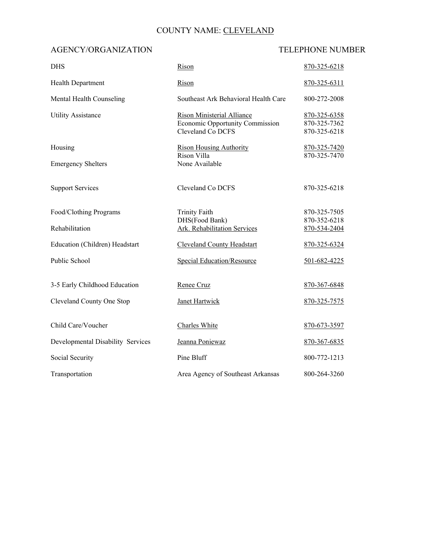# COUNTY NAME: CLEVELAND

<span id="page-13-0"></span>

| <b>DHS</b>                        | Rison                                                                                     | 870-325-6218                                 |
|-----------------------------------|-------------------------------------------------------------------------------------------|----------------------------------------------|
| <b>Health Department</b>          | Rison                                                                                     | 870-325-6311                                 |
| Mental Health Counseling          | Southeast Ark Behavioral Health Care                                                      | 800-272-2008                                 |
| <b>Utility Assistance</b>         | <b>Rison Ministerial Alliance</b><br>Economic Opportunity Commission<br>Cleveland Co DCFS | 870-325-6358<br>870-325-7362<br>870-325-6218 |
| Housing                           | <b>Rison Housing Authority</b><br>Rison Villa                                             | 870-325-7420                                 |
| <b>Emergency Shelters</b>         | None Available                                                                            | 870-325-7470                                 |
| <b>Support Services</b>           | Cleveland Co DCFS                                                                         | 870-325-6218                                 |
| Food/Clothing Programs            | <b>Trinity Faith</b>                                                                      | 870-325-7505                                 |
| Rehabilitation                    | DHS(Food Bank)<br><b>Ark. Rehabilitation Services</b>                                     | 870-352-6218<br>870-534-2404                 |
| Education (Children) Headstart    | <b>Cleveland County Headstart</b>                                                         | 870-325-6324                                 |
| Public School                     | <b>Special Education/Resource</b>                                                         | 501-682-4225                                 |
| 3-5 Early Childhood Education     | Renee Cruz                                                                                | 870-367-6848                                 |
| Cleveland County One Stop         | <b>Janet Hartwick</b>                                                                     | 870-325-7575                                 |
| Child Care/Voucher                | <b>Charles White</b>                                                                      | 870-673-3597                                 |
| Developmental Disability Services | Jeanna Poniewaz                                                                           | 870-367-6835                                 |
| Social Security                   | Pine Bluff                                                                                | 800-772-1213                                 |
| Transportation                    | Area Agency of Southeast Arkansas                                                         | 800-264-3260                                 |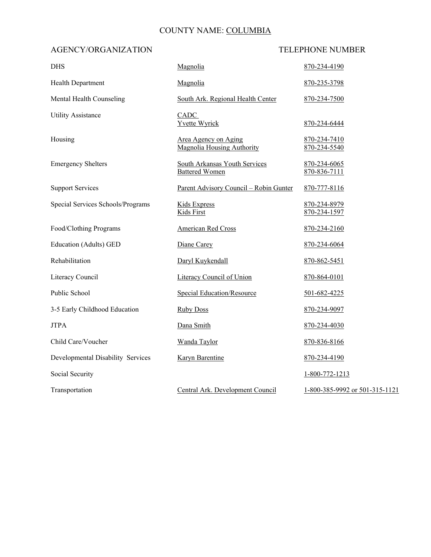### COUNTY NAME: COLUMBIA

<span id="page-14-0"></span>

| <b>DHS</b>                        | Magnolia                                                      | 870-234-4190                   |
|-----------------------------------|---------------------------------------------------------------|--------------------------------|
| Health Department                 | Magnolia                                                      | 870-235-3798                   |
| Mental Health Counseling          | South Ark. Regional Health Center                             | 870-234-7500                   |
| <b>Utility Assistance</b>         | CADC<br><b>Yvette Wyrick</b>                                  | 870-234-6444                   |
| Housing                           | Area Agency on Aging<br><b>Magnolia Housing Authority</b>     | 870-234-7410<br>870-234-5540   |
| <b>Emergency Shelters</b>         | <b>South Arkansas Youth Services</b><br><b>Battered Women</b> | 870-234-6065<br>870-836-7111   |
| <b>Support Services</b>           | Parent Advisory Council - Robin Gunter                        | 870-777-8116                   |
| Special Services Schools/Programs | <b>Kids Express</b><br><b>Kids First</b>                      | 870-234-8979<br>870-234-1597   |
| Food/Clothing Programs            | <b>American Red Cross</b>                                     | 870-234-2160                   |
| Education (Adults) GED            | Diane Carey                                                   | 870-234-6064                   |
| Rehabilitation                    | Daryl Kuykendall                                              | 870-862-5451                   |
| Literacy Council                  | Literacy Council of Union                                     | 870-864-0101                   |
| Public School                     | <b>Special Education/Resource</b>                             | 501-682-4225                   |
| 3-5 Early Childhood Education     | <b>Ruby Doss</b>                                              | 870-234-9097                   |
| <b>JTPA</b>                       | Dana Smith                                                    | 870-234-4030                   |
| Child Care/Voucher                | Wanda Taylor                                                  | 870-836-8166                   |
| Developmental Disability Services | <b>Karyn Barentine</b>                                        | 870-234-4190                   |
| Social Security                   |                                                               | 1-800-772-1213                 |
| Transportation                    | Central Ark. Development Council                              | 1-800-385-9992 or 501-315-1121 |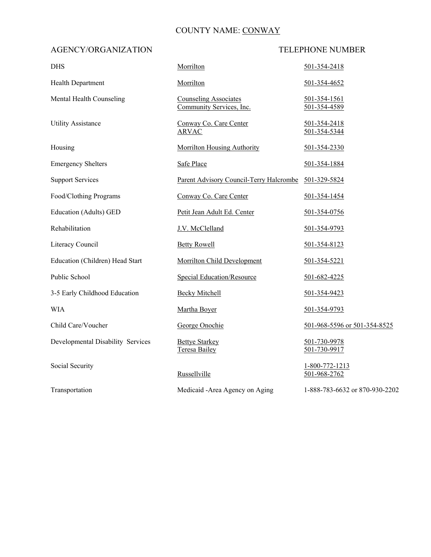### COUNTY NAME: CONWAY

<span id="page-15-0"></span>

| <b>DHS</b>                        | Morrilton                                                | 501-354-2418                   |
|-----------------------------------|----------------------------------------------------------|--------------------------------|
| Health Department                 | Morrilton                                                | 501-354-4652                   |
| Mental Health Counseling          | <b>Counseling Associates</b><br>Community Services, Inc. | 501-354-1561<br>501-354-4589   |
| <b>Utility Assistance</b>         | Conway Co. Care Center<br><b>ARVAC</b>                   | 501-354-2418<br>501-354-5344   |
| Housing                           | <b>Morrilton Housing Authority</b>                       | 501-354-2330                   |
| <b>Emergency Shelters</b>         | Safe Place                                               | 501-354-1884                   |
| <b>Support Services</b>           | Parent Advisory Council-Terry Halcrombe 501-329-5824     |                                |
| Food/Clothing Programs            | Conway Co. Care Center                                   | 501-354-1454                   |
| <b>Education (Adults) GED</b>     | Petit Jean Adult Ed. Center                              | 501-354-0756                   |
| Rehabilitation                    | J.V. McClelland                                          | 501-354-9793                   |
| Literacy Council                  | <b>Betty Rowell</b>                                      | 501-354-8123                   |
| Education (Children) Head Start   | Morrilton Child Development                              | 501-354-5221                   |
| Public School                     | <b>Special Education/Resource</b>                        | 501-682-4225                   |
| 3-5 Early Childhood Education     | <b>Becky Mitchell</b>                                    | 501-354-9423                   |
| <b>WIA</b>                        | Martha Boyer                                             | 501-354-9793                   |
| Child Care/Voucher                | George Onochie                                           | 501-968-5596 or 501-354-8525   |
| Developmental Disability Services | <b>Bettye Starkey</b><br><b>Teresa Bailey</b>            | 501-730-9978<br>501-730-9917   |
| Social Security                   | Russellville                                             | 1-800-772-1213<br>501-968-2762 |
| Transportation                    | Medicaid - Area Agency on Aging                          | 1-888-783-6632 or 870-930-2202 |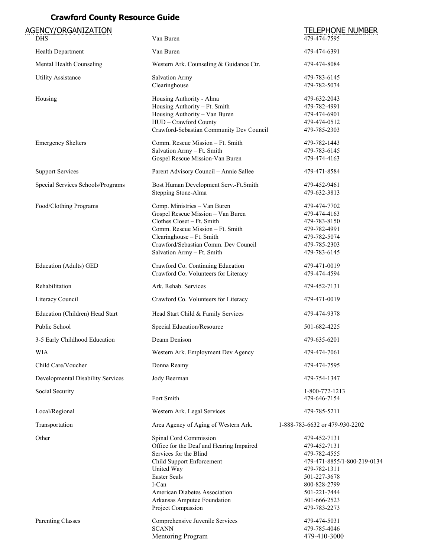# **Crawford County Resource Guide**

<span id="page-16-0"></span>

| <b>AGENCY/ORGANIZATION</b><br><b>DHS</b> | Van Buren                                                          | <b>TELEPHONE NUMBER</b><br>479-474-7595 |
|------------------------------------------|--------------------------------------------------------------------|-----------------------------------------|
| Health Department                        | Van Buren                                                          | 479-474-6391                            |
| Mental Health Counseling                 | Western Ark. Counseling & Guidance Ctr.                            | 479-474-8084                            |
| <b>Utility Assistance</b>                | <b>Salvation Army</b>                                              | 479-783-6145                            |
|                                          | Clearinghouse                                                      | 479-782-5074                            |
| Housing                                  | Housing Authority - Alma                                           | 479-632-2043                            |
|                                          | Housing Authority - Ft. Smith                                      | 479-782-4991                            |
|                                          | Housing Authority - Van Buren                                      | 479-474-6901                            |
|                                          | HUD - Crawford County<br>Crawford-Sebastian Community Dev Council  | 479-474-0512<br>479-785-2303            |
| <b>Emergency Shelters</b>                | Comm. Rescue Mission - Ft. Smith                                   | 479-782-1443                            |
|                                          | Salvation Army - Ft. Smith                                         | 479-783-6145                            |
|                                          | Gospel Rescue Mission-Van Buren                                    | 479-474-4163                            |
| <b>Support Services</b>                  | Parent Advisory Council - Annie Sallee                             | 479-471-8584                            |
| Special Services Schools/Programs        | Bost Human Development Serv.-Ft.Smith<br>Stepping Stone-Alma       | 479-452-9461                            |
|                                          |                                                                    | 479-632-3813                            |
| Food/Clothing Programs                   | Comp. Ministries - Van Buren                                       | 479-474-7702                            |
|                                          | Gospel Rescue Mission - Van Buren                                  | 479-474-4163                            |
|                                          | Clothes Closet - Ft. Smith                                         | 479-783-8150                            |
|                                          | Comm. Rescue Mission - Ft. Smith<br>Clearinghouse - Ft. Smith      | 479-782-4991<br>479-782-5074            |
|                                          | Crawford/Sebastian Comm. Dev Council                               | 479-785-2303                            |
|                                          | Salvation Army - Ft. Smith                                         | 479-783-6145                            |
| Education (Adults) GED                   | Crawford Co. Continuing Education                                  | 479-471-0019                            |
|                                          | Crawford Co. Volunteers for Literacy                               | 479-474-4594                            |
| Rehabilitation                           | Ark. Rehab. Services                                               | 479-452-7131                            |
| Literacy Council                         | Crawford Co. Volunteers for Literacy                               | 479-471-0019                            |
| Education (Children) Head Start          | Head Start Child & Family Services                                 | 479-474-9378                            |
| Public School                            | Special Education/Resource                                         | 501-682-4225                            |
| 3-5 Early Childhood Education            | Deann Denison                                                      | 479-635-6201                            |
| <b>WIA</b>                               | Western Ark. Employment Dev Agency                                 | 479-474-7061                            |
| Child Care/Voucher                       | Donna Reamy                                                        | 479-474-7595                            |
| Developmental Disability Services        | Jody Beerman                                                       | 479-754-1347                            |
| Social Security                          | Fort Smith                                                         | 1-800-772-1213<br>479-646-7154          |
| Local/Regional                           | Western Ark. Legal Services                                        | 479-785-5211                            |
|                                          |                                                                    |                                         |
| Transportation                           | Area Agency of Aging of Western Ark.                               | 1-888-783-6632 or 479-930-2202          |
| Other                                    | Spinal Cord Commission                                             | 479-452-7131                            |
|                                          | Office for the Deaf and Hearing Impaired<br>Services for the Blind | 479-452-7131<br>479-782-4555            |
|                                          | Child Support Enforcement                                          | 479-471-8855/1-800-219-0134             |
|                                          | United Way                                                         | 479-782-1311                            |
|                                          | <b>Easter Seals</b>                                                | 501-227-3678                            |
|                                          | I-Can                                                              | 800-828-2799                            |
|                                          | American Diabetes Association                                      | 501-221-7444                            |
|                                          | Arkansas Amputee Foundation<br>Project Compassion                  | 501-666-2523<br>479-783-2273            |
|                                          |                                                                    |                                         |
| <b>Parenting Classes</b>                 | Comprehensive Juvenile Services<br><b>SCANN</b>                    | 479-474-5031<br>479-785-4046            |
|                                          | Mentoring Program                                                  | 479-410-3000                            |
|                                          |                                                                    |                                         |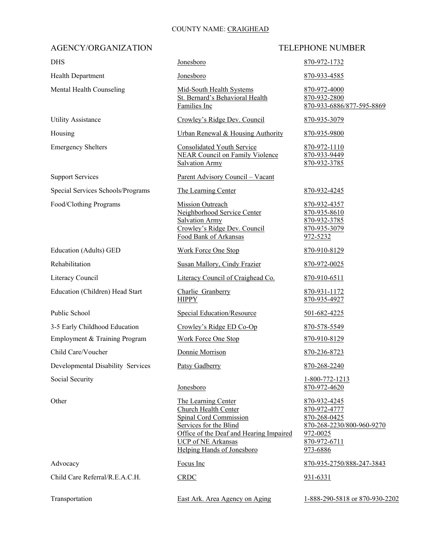### COUNTY NAME: CRAIGHEAD

<span id="page-17-0"></span>

| <b>DHS</b>                        | Jonesboro                                                                                                                                                                                                    | 870-972-1732                                                                                                      |
|-----------------------------------|--------------------------------------------------------------------------------------------------------------------------------------------------------------------------------------------------------------|-------------------------------------------------------------------------------------------------------------------|
| Health Department                 | Jonesboro                                                                                                                                                                                                    | 870-933-4585                                                                                                      |
| Mental Health Counseling          | Mid-South Health Systems<br>St. Bernard's Behavioral Health<br>Families Inc                                                                                                                                  | 870-972-4000<br>870-932-2800<br>870-933-6886/877-595-8869                                                         |
| <b>Utility Assistance</b>         | Crowley's Ridge Dev. Council                                                                                                                                                                                 | 870-935-3079                                                                                                      |
| Housing                           | Urban Renewal & Housing Authority                                                                                                                                                                            | 870-935-9800                                                                                                      |
| <b>Emergency Shelters</b>         | <b>Consolidated Youth Service</b><br><b>NEAR Council on Family Violence</b><br><b>Salvation Army</b>                                                                                                         | 870-972-1110<br>870-933-9449<br>870-932-3785                                                                      |
| <b>Support Services</b>           | Parent Advisory Council - Vacant                                                                                                                                                                             |                                                                                                                   |
| Special Services Schools/Programs | The Learning Center                                                                                                                                                                                          | 870-932-4245                                                                                                      |
| Food/Clothing Programs            | <b>Mission Outreach</b><br>Neighborhood Service Center<br><b>Salvation Army</b><br>Crowley's Ridge Dev. Council<br>Food Bank of Arkansas                                                                     | 870-932-4357<br>870-935-8610<br>870-932-3785<br>870-935-3079<br>972-5232                                          |
| Education (Adults) GED            | Work Force One Stop                                                                                                                                                                                          | 870-910-8129                                                                                                      |
| Rehabilitation                    | <b>Susan Mallory, Cindy Frazier</b>                                                                                                                                                                          | 870-972-0025                                                                                                      |
| Literacy Council                  | Literacy Council of Craighead Co.                                                                                                                                                                            | 870-910-6511                                                                                                      |
| Education (Children) Head Start   | Charlie Granberry<br><b>HIPPY</b>                                                                                                                                                                            | 870-931-1172<br>870-935-4927                                                                                      |
| Public School                     | <b>Special Education/Resource</b>                                                                                                                                                                            | 501-682-4225                                                                                                      |
| 3-5 Early Childhood Education     | Crowley's Ridge ED Co-Op                                                                                                                                                                                     | 870-578-5549                                                                                                      |
| Employment & Training Program     | <b>Work Force One Stop</b>                                                                                                                                                                                   | 870-910-8129                                                                                                      |
| Child Care/Voucher                | Donnie Morrison                                                                                                                                                                                              | 870-236-8723                                                                                                      |
| Developmental Disability Services | Patsy Gadberry                                                                                                                                                                                               | 870-268-2240                                                                                                      |
| Social Security                   | Jonesboro                                                                                                                                                                                                    | 1-800-772-1213<br>870-972-4620                                                                                    |
| Other                             | The Learning Center<br>Church Health Center<br>Spinal Cord Commission<br>Services for the Blind<br>Office of the Deaf and Hearing Impaired<br><b>UCP</b> of NE Arkansas<br><b>Helping Hands of Jonesboro</b> | 870-932-4245<br>870-972-4777<br>870-268-0425<br>870-268-2230/800-960-9270<br>972-0025<br>870-972-6711<br>973-6886 |
| Advocacy                          | Focus Inc                                                                                                                                                                                                    | 870-935-2750/888-247-3843                                                                                         |
| Child Care Referral/R.E.A.C.H.    | <b>CRDC</b>                                                                                                                                                                                                  | 931-6331                                                                                                          |
| Transportation                    | East Ark. Area Agency on Aging                                                                                                                                                                               | 1-888-290-5818 or 870-930-2202                                                                                    |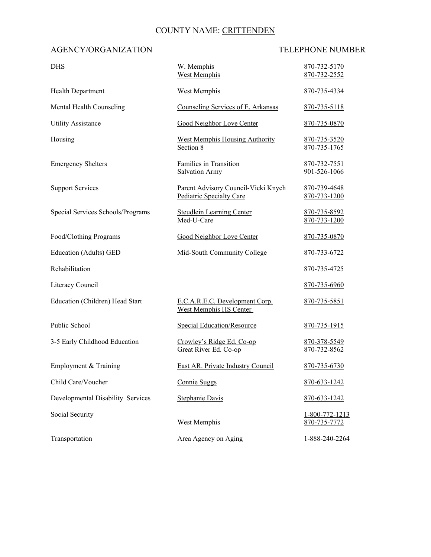### COUNTY NAME: CRITTENDEN

<span id="page-18-0"></span>

| <b>DHS</b>                        | W. Memphis<br>West Memphis                                      | 870-732-5170<br>870-732-2552   |
|-----------------------------------|-----------------------------------------------------------------|--------------------------------|
| <b>Health Department</b>          | <b>West Memphis</b>                                             | 870-735-4334                   |
| Mental Health Counseling          | Counseling Services of E. Arkansas                              | 870-735-5118                   |
| <b>Utility Assistance</b>         | <b>Good Neighbor Love Center</b>                                | 870-735-0870                   |
| Housing                           | <b>West Memphis Housing Authority</b><br>Section 8              | 870-735-3520<br>870-735-1765   |
| <b>Emergency Shelters</b>         | <b>Families in Transition</b><br><b>Salvation Army</b>          | 870-732-7551<br>901-526-1066   |
| <b>Support Services</b>           | Parent Advisory Council-Vicki Knych<br>Pediatric Specialty Care | 870-739-4648<br>870-733-1200   |
| Special Services Schools/Programs | <b>Steudlein Learning Center</b><br>Med-U-Care                  | 870-735-8592<br>870-733-1200   |
| Food/Clothing Programs            | <b>Good Neighbor Love Center</b>                                | 870-735-0870                   |
| Education (Adults) GED            | Mid-South Community College                                     | 870-733-6722                   |
| Rehabilitation                    |                                                                 | 870-735-4725                   |
| Literacy Council                  |                                                                 | 870-735-6960                   |
| Education (Children) Head Start   | E.C.A.R.E.C. Development Corp.<br><b>West Memphis HS Center</b> | <u>870-735-5851</u>            |
| Public School                     | Special Education/Resource                                      | 870-735-1915                   |
| 3-5 Early Childhood Education     | Crowley's Ridge Ed. Co-op<br>Great River Ed. Co-op              | 870-378-5549<br>870-732-8562   |
| Employment & Training             | East AR. Private Industry Council                               | 870-735-6730                   |
| Child Care/Voucher                | Connie Suggs                                                    | 870-633-1242                   |
| Developmental Disability Services | Stephanie Davis                                                 | 870-633-1242                   |
| Social Security                   | West Memphis                                                    | 1-800-772-1213<br>870-735-7772 |
| Transportation                    | Area Agency on Aging                                            | 1-888-240-2264                 |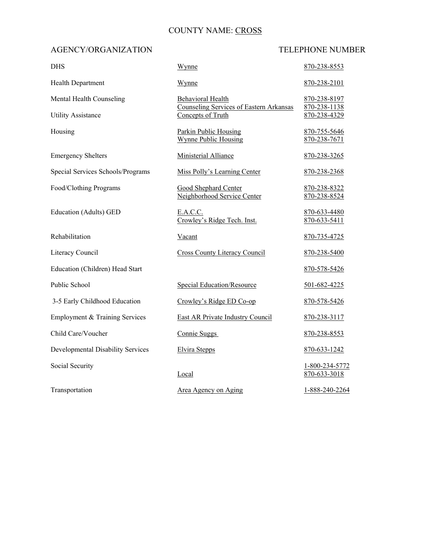### COUNTY NAME: CROSS

<span id="page-19-0"></span>

| <b>DHS</b>                               | Wynne                                                                      | 870-238-8553                   |
|------------------------------------------|----------------------------------------------------------------------------|--------------------------------|
| <b>Health Department</b>                 | Wynne                                                                      | 870-238-2101                   |
| Mental Health Counseling                 | <b>Behavioral Health</b><br><b>Counseling Services of Eastern Arkansas</b> | 870-238-8197<br>870-238-1138   |
| <b>Utility Assistance</b>                | Concepts of Truth                                                          | 870-238-4329                   |
| Housing                                  | <b>Parkin Public Housing</b><br>Wynne Public Housing                       | 870-755-5646<br>870-238-7671   |
| <b>Emergency Shelters</b>                | <b>Ministerial Alliance</b>                                                | 870-238-3265                   |
| Special Services Schools/Programs        | Miss Polly's Learning Center                                               | 870-238-2368                   |
| Food/Clothing Programs                   | Good Shephard Center<br>Neighborhood Service Center                        | 870-238-8322<br>870-238-8524   |
| <b>Education (Adults) GED</b>            | E.A.C.C.<br>Crowley's Ridge Tech. Inst.                                    | 870-633-4480<br>870-633-5411   |
| Rehabilitation                           | Vacant                                                                     | 870-735-4725                   |
| Literacy Council                         | <b>Cross County Literacy Council</b>                                       | 870-238-5400                   |
| Education (Children) Head Start          |                                                                            | 870-578-5426                   |
| <b>Public School</b>                     | <b>Special Education/Resource</b>                                          | 501-682-4225                   |
| 3-5 Early Childhood Education            | Crowley's Ridge ED Co-op                                                   | 870-578-5426                   |
| Employment & Training Services           | <b>East AR Private Industry Council</b>                                    | 870-238-3117                   |
| Child Care/Voucher                       | Connie Suggs                                                               | 870-238-8553                   |
| <b>Developmental Disability Services</b> | <b>Elvira Stepps</b>                                                       | 870-633-1242                   |
| Social Security                          | Local                                                                      | 1-800-234-5772<br>870-633-3018 |
| Transportation                           | Area Agency on Aging                                                       | 1-888-240-2264                 |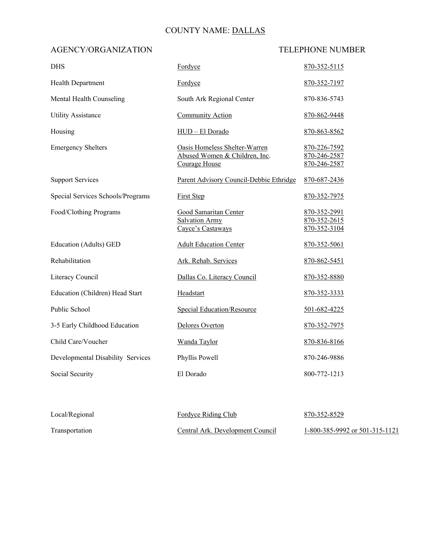## COUNTY NAME: DALLAS

<span id="page-20-0"></span>

| <b>DHS</b>                               | Fordyce                                                                         | 870-352-5115                                 |
|------------------------------------------|---------------------------------------------------------------------------------|----------------------------------------------|
| <b>Health Department</b>                 | Fordyce                                                                         | 870-352-7197                                 |
| Mental Health Counseling                 | South Ark Regional Center                                                       | 870-836-5743                                 |
| <b>Utility Assistance</b>                | <b>Community Action</b>                                                         | 870-862-9448                                 |
| Housing                                  | HUD - El Dorado                                                                 | 870-863-8562                                 |
| <b>Emergency Shelters</b>                | Oasis Homeless Shelter-Warren<br>Abused Women & Children, Inc.<br>Courage House | 870-226-7592<br>870-246-2587<br>870-246-2587 |
| <b>Support Services</b>                  | Parent Advisory Council-Debbie Ethridge                                         | 870-687-2436                                 |
| <b>Special Services Schools/Programs</b> | <b>First Step</b>                                                               | 870-352-7975                                 |
| <b>Food/Clothing Programs</b>            | Good Samaritan Center<br><b>Salvation Army</b><br>Cayce's Castaways             | 870-352-2991<br>870-352-2615<br>870-352-3104 |
| <b>Education (Adults) GED</b>            | <b>Adult Education Center</b>                                                   | 870-352-5061                                 |
| Rehabilitation                           | Ark. Rehab. Services                                                            | 870-862-5451                                 |
| Literacy Council                         | Dallas Co. Literacy Council                                                     | 870-352-8880                                 |
| Education (Children) Head Start          | Headstart                                                                       | 870-352-3333                                 |
| Public School                            | Special Education/Resource                                                      | 501-682-4225                                 |
| 3-5 Early Childhood Education            | Delores Overton                                                                 | 870-352-7975                                 |
| Child Care/Voucher                       | Wanda Taylor                                                                    | 870-836-8166                                 |
| <b>Developmental Disability Services</b> | Phyllis Powell                                                                  | 870-246-9886                                 |
| <b>Social Security</b>                   | El Dorado                                                                       | 800-772-1213                                 |
|                                          |                                                                                 |                                              |

| Local/Regional | Fordyce Riding Club              | 870-352-8529                   |
|----------------|----------------------------------|--------------------------------|
| Transportation | Central Ark. Development Council | 1-800-385-9992 or 501-315-1121 |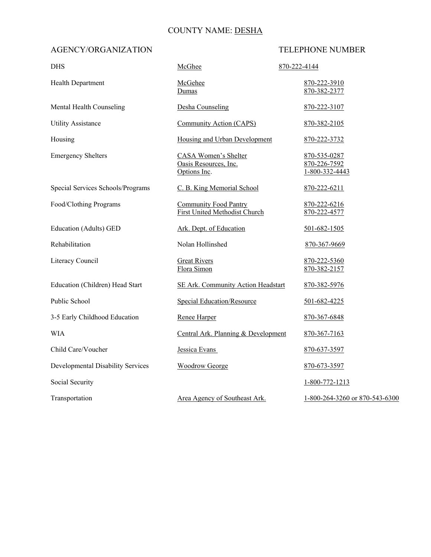### COUNTY NAME: DESHA

<span id="page-21-0"></span>

| <b>DHS</b>                               | McGhee                                                               | 870-222-4144                                   |
|------------------------------------------|----------------------------------------------------------------------|------------------------------------------------|
| Health Department                        | McGehee<br>Dumas                                                     | 870-222-3910<br>870-382-2377                   |
| Mental Health Counseling                 | Desha Counseling                                                     | 870-222-3107                                   |
| <b>Utility Assistance</b>                | Community Action (CAPS)                                              | 870-382-2105                                   |
| Housing                                  | Housing and Urban Development                                        | 870-222-3732                                   |
| <b>Emergency Shelters</b>                | <b>CASA Women's Shelter</b><br>Oasis Resources, Inc.<br>Options Inc. | 870-535-0287<br>870-226-7592<br>1-800-332-4443 |
| Special Services Schools/Programs        | C. B. King Memorial School                                           | 870-222-6211                                   |
| Food/Clothing Programs                   | <b>Community Food Pantry</b><br><b>First United Methodist Church</b> | 870-222-6216<br>870-222-4577                   |
| Education (Adults) GED                   | Ark. Dept. of Education                                              | 501-682-1505                                   |
| Rehabilitation                           | Nolan Hollinshed                                                     | 870-367-9669                                   |
| Literacy Council                         | <b>Great Rivers</b><br>Flora Simon                                   | 870-222-5360<br>870-382-2157                   |
| Education (Children) Head Start          | SE Ark. Community Action Headstart                                   | 870-382-5976                                   |
| Public School                            | <b>Special Education/Resource</b>                                    | 501-682-4225                                   |
| 3-5 Early Childhood Education            | Renee Harper                                                         | 870-367-6848                                   |
| <b>WIA</b>                               | Central Ark. Planning & Development                                  | 870-367-7163                                   |
| Child Care/Voucher                       | Jessica Evans                                                        | 870-637-3597                                   |
| <b>Developmental Disability Services</b> | <b>Woodrow George</b>                                                | 870-673-3597                                   |
| Social Security                          |                                                                      | 1-800-772-1213                                 |
| Transportation                           | Area Agency of Southeast Ark.                                        | 1-800-264-3260 or 870-543-6300                 |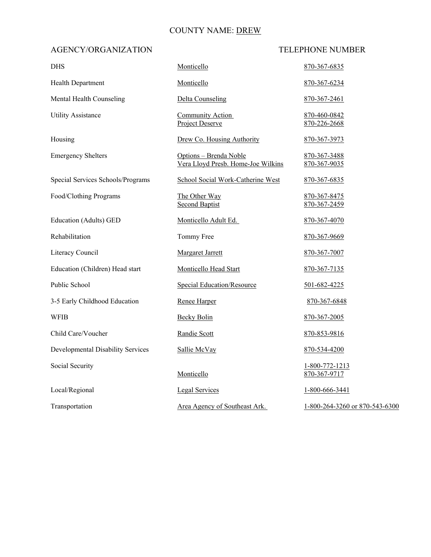### COUNTY NAME: DREW

<span id="page-22-0"></span>

| <b>DHS</b>                               | Monticello                                                   | 870-367-6835                   |
|------------------------------------------|--------------------------------------------------------------|--------------------------------|
| Health Department                        | Monticello                                                   | 870-367-6234                   |
| Mental Health Counseling                 | <b>Delta Counseling</b>                                      | 870-367-2461                   |
| <b>Utility Assistance</b>                | Community Action<br>Project Deserve                          | 870-460-0842<br>870-226-2668   |
| Housing                                  | Drew Co. Housing Authority                                   | 870-367-3973                   |
| <b>Emergency Shelters</b>                | Options - Brenda Noble<br>Vera Lloyd Presb. Home-Joe Wilkins | 870-367-3488<br>870-367-9035   |
| Special Services Schools/Programs        | School Social Work-Catherine West                            | 870-367-6835                   |
| Food/Clothing Programs                   | The Other Way<br><b>Second Baptist</b>                       | 870-367-8475<br>870-367-2459   |
| Education (Adults) GED                   | Monticello Adult Ed.                                         | 870-367-4070                   |
| Rehabilitation                           | Tommy Free                                                   | 870-367-9669                   |
| Literacy Council                         | <b>Margaret Jarrett</b>                                      | 870-367-7007                   |
| Education (Children) Head start          | Monticello Head Start                                        | 870-367-7135                   |
| Public School                            | <b>Special Education/Resource</b>                            | 501-682-4225                   |
| 3-5 Early Childhood Education            | Renee Harper                                                 | 870-367-6848                   |
| WFIB                                     | <b>Becky Bolin</b>                                           | 870-367-2005                   |
| Child Care/Voucher                       | Randie Scott                                                 | 870-853-9816                   |
| <b>Developmental Disability Services</b> | Sallie McVay                                                 | 870-534-4200                   |
| Social Security                          | Monticello                                                   | 1-800-772-1213<br>870-367-9717 |
| Local/Regional                           | <b>Legal Services</b>                                        | 1-800-666-3441                 |
| Transportation                           | Area Agency of Southeast Ark.                                | 1-800-264-3260 or 870-543-6300 |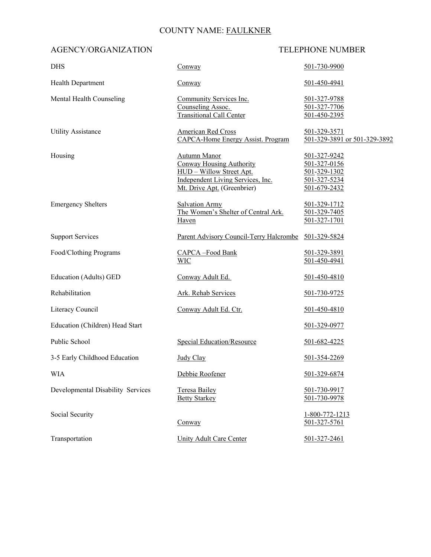### COUNTY NAME: FAULKNER

<span id="page-23-0"></span>

| <b>DHS</b>                        | Conway                                                                                                                                          | 501-730-9900                                                                 |
|-----------------------------------|-------------------------------------------------------------------------------------------------------------------------------------------------|------------------------------------------------------------------------------|
| Health Department                 | Conway                                                                                                                                          | 501-450-4941                                                                 |
| Mental Health Counseling          | Community Services Inc.<br>Counseling Assoc.<br><b>Transitional Call Center</b>                                                                 | 501-327-9788<br>501-327-7706<br>501-450-2395                                 |
| <b>Utility Assistance</b>         | <b>American Red Cross</b><br><b>CAPCA-Home Energy Assist. Program</b>                                                                           | 501-329-3571<br>501-329-3891 or 501-329-3892                                 |
| Housing                           | <b>Autumn Manor</b><br>Conway Housing Authority<br>HUD - Willow Street Apt.<br>Independent Living Services, Inc.<br>Mt. Drive Apt. (Greenbrier) | 501-327-9242<br>501-327-0156<br>501-329-1302<br>501-327-5234<br>501-679-2432 |
| <b>Emergency Shelters</b>         | <b>Salvation Army</b><br>The Women's Shelter of Central Ark.<br>Haven                                                                           | 501-329-1712<br>501-329-7405<br>501-327-1701                                 |
| <b>Support Services</b>           | Parent Advisory Council-Terry Halcrombe 501-329-5824                                                                                            |                                                                              |
| Food/Clothing Programs            | <b>CAPCA-Food Bank</b><br><b>WIC</b>                                                                                                            | 501-329-3891<br>501-450-4941                                                 |
| <b>Education (Adults) GED</b>     | Conway Adult Ed.                                                                                                                                | 501-450-4810                                                                 |
| Rehabilitation                    | Ark. Rehab Services                                                                                                                             | 501-730-9725                                                                 |
| Literacy Council                  | Conway Adult Ed. Ctr.                                                                                                                           | 501-450-4810                                                                 |
| Education (Children) Head Start   |                                                                                                                                                 | 501-329-0977                                                                 |
| Public School                     | <b>Special Education/Resource</b>                                                                                                               | 501-682-4225                                                                 |
| 3-5 Early Childhood Education     | Judy Clay                                                                                                                                       | 501-354-2269                                                                 |
| <b>WIA</b>                        | Debbie Roofener                                                                                                                                 | 501-329-6874                                                                 |
| Developmental Disability Services | Teresa Bailey<br><b>Betty Starkey</b>                                                                                                           | 501-730-9917<br>501-730-9978                                                 |
| Social Security                   | Conway                                                                                                                                          | 1-800-772-1213<br>501-327-5761                                               |
| Transportation                    | Unity Adult Care Center                                                                                                                         | 501-327-2461                                                                 |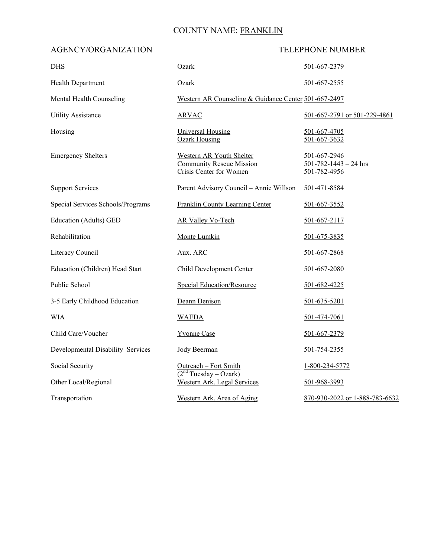### COUNTY NAME: FRANKLIN

<span id="page-24-0"></span>

| <b>DHS</b>                        | Ozark                                                                                         | 501-667-2379                                                |
|-----------------------------------|-----------------------------------------------------------------------------------------------|-------------------------------------------------------------|
| Health Department                 | Ozark                                                                                         | 501-667-2555                                                |
| Mental Health Counseling          | Western AR Counseling & Guidance Center 501-667-2497                                          |                                                             |
| <b>Utility Assistance</b>         | <b>ARVAC</b>                                                                                  | 501-667-2791 or 501-229-4861                                |
| Housing                           | Universal Housing<br><b>Ozark Housing</b>                                                     | 501-667-4705<br>501-667-3632                                |
| <b>Emergency Shelters</b>         | Western AR Youth Shelter<br><b>Community Rescue Mission</b><br><b>Crisis Center for Women</b> | 501-667-2946<br>$501 - 782 - 1443 - 24$ hrs<br>501-782-4956 |
| <b>Support Services</b>           | Parent Advisory Council - Annie Willson                                                       | 501-471-8584                                                |
| Special Services Schools/Programs | <b>Franklin County Learning Center</b>                                                        | 501-667-3552                                                |
| Education (Adults) GED            | <b>AR Valley Vo-Tech</b>                                                                      | 501-667-2117                                                |
| Rehabilitation                    | Monte Lumkin                                                                                  | 501-675-3835                                                |
| Literacy Council                  | Aux. ARC                                                                                      | 501-667-2868                                                |
| Education (Children) Head Start   | Child Development Center                                                                      | 501-667-2080                                                |
| Public School                     | <b>Special Education/Resource</b>                                                             | 501-682-4225                                                |
| 3-5 Early Childhood Education     | Deann Denison                                                                                 | 501-635-5201                                                |
| <b>WIA</b>                        | <b>WAEDA</b>                                                                                  | 501-474-7061                                                |
| Child Care/Voucher                | <b>Yvonne Case</b>                                                                            | 501-667-2379                                                |
| Developmental Disability Services | <b>Jody Beerman</b>                                                                           | 501-754-2355                                                |
| Social Security                   | Outreach - Fort Smith<br>$\sqrt{2^{nd}$ Tuesday – Ozark)                                      | 1-800-234-5772                                              |
| Other Local/Regional              | Western Ark. Legal Services                                                                   | 501-968-3993                                                |
| Transportation                    | Western Ark. Area of Aging                                                                    | 870-930-2022 or 1-888-783-6632                              |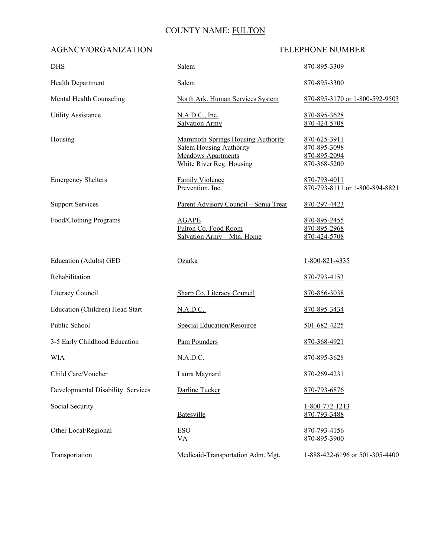### COUNTY NAME: FULTON

<span id="page-25-0"></span>

| <b>DHS</b>                        | Salem                                                                                                                        | 870-895-3309                                                 |
|-----------------------------------|------------------------------------------------------------------------------------------------------------------------------|--------------------------------------------------------------|
| <b>Health Department</b>          | Salem                                                                                                                        | 870-895-3300                                                 |
| Mental Health Counseling          | North Ark. Human Services System                                                                                             | 870-895-3170 or 1-800-592-9503                               |
| <b>Utility Assistance</b>         | <u>N.A.D.C., Inc.</u><br><b>Salvation Army</b>                                                                               | 870-895-3628<br>870-424-5708                                 |
| Housing                           | Mammoth Springs Housing Authority<br><b>Salem Housing Authority</b><br><b>Meadows Apartments</b><br>White River Reg. Housing | 870-625-3911<br>870-895-3098<br>870-895-2094<br>870-368-5200 |
| <b>Emergency Shelters</b>         | <b>Family Violence</b><br>Prevention, Inc.                                                                                   | 870-793-4011<br>870-793-8111 or 1-800-894-8821               |
| <b>Support Services</b>           | Parent Advisory Council - Sonia Treat                                                                                        | 870-297-4423                                                 |
| Food/Clothing Programs            | <b>AGAPE</b><br>Fulton Co. Food Room<br>Salvation Army - Mtn. Home                                                           | 870-895-2455<br>870-895-2968<br>870-424-5708                 |
| Education (Adults) GED            | Ozarka                                                                                                                       | 1-800-821-4335                                               |
| Rehabilitation                    |                                                                                                                              | 870-793-4153                                                 |
| Literacy Council                  | Sharp Co. Literacy Council                                                                                                   | 870-856-3038                                                 |
| Education (Children) Head Start   | N.A.D.C.                                                                                                                     | 870-895-3434                                                 |
| Public School                     | <b>Special Education/Resource</b>                                                                                            | 501-682-4225                                                 |
| 3-5 Early Childhood Education     | Pam Pounders                                                                                                                 | 870-368-4921                                                 |
| <b>WIA</b>                        | <u>N.A.D.C.</u>                                                                                                              | 870-895-3628                                                 |
| Child Care/Voucher                | Laura Maynard                                                                                                                | 870-269-4231                                                 |
| Developmental Disability Services | Darline Tucker                                                                                                               | 870-793-6876                                                 |
| Social Security                   | Batesville                                                                                                                   | 1-800-772-1213<br>870-793-3488                               |
| Other Local/Regional              | <b>ESO</b><br><u>VA</u>                                                                                                      | 870-793-4156<br>870-895-3900                                 |
| Transportation                    | Medicaid-Transportation Adm. Mgt.                                                                                            | 1-888-422-6196 or 501-305-4400                               |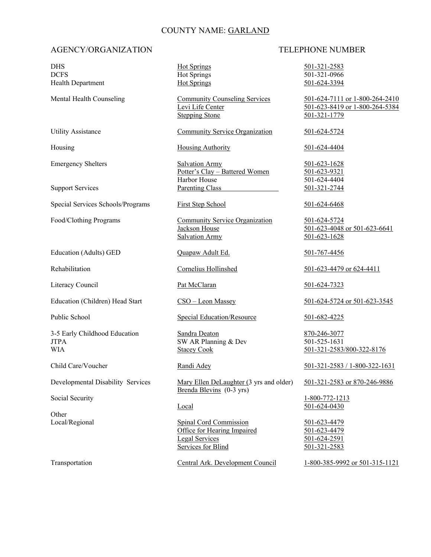### COUNTY NAME: GARLAND

### <span id="page-26-0"></span>AGENCY/ORGANIZATION TELEPHONE NUMBER

DHS Hot Springs 501-321-2583 DCFS Hot Springs 501-321-0966 Health Department Hot Springs 501-624-3394

Special Services Schools/Programs First Step School 501-624-6468

Education (Adults) GED Cuapaw Adult Ed. 501-767-4456

Literacy Council **Pat McClaran** Pat McClaran 501-624-7323

3-5 Early Childhood Education Sandra Deaton 870-246-3077 JTPA SW AR Planning & Dev 501-525-1631

**Other** 

Levi Life Center 501-623-8419 or 1-800-264-5384 Stepping Stone 501-321-1779

Utility Assistance Community Service Organization 501-624-5724

Housing Housing Authority 501-624-4404

Emergency Shelters Salvation Army 501-623-1628 Potter's Clay – Battered Women 501-623-9321 Harbor House 501-624-4404 Support Services Parenting Class 501-321-2744

Food/Clothing Programs Community Service Organization 501-624-5724 Jackson House 501-623-4048 or 501-623-6641 Salvation Army 501-623-1628

Public School Special Education/Resource 501-682-4225

Developmental Disability Services Mary Ellen DeLaughter (3 yrs and older) 501-321-2583 or 870-246-9886 Brenda Blevins (0-3 yrs)

Local/Regional Spinal Cord Commission 501-623-4479 Office for Hearing Impaired 501-623-4479 Legal Services 501-624-2591 Services for Blind 501-321-2583

Mental Health Counseling Community Counseling Services 501-624-7111 or 1-800-264-2410 Rehabilitation Cornelius Hollinshed 501-623-4479 or 624-4411 Education (Children) Head Start CSO – Leon Massey 501-624-5724 or 501-623-3545 WIA Stacey Cook 501-321-2583/800-322-8176 Child Care/Voucher Randi Adey 501-321-2583 / 1-800-322-1631 Social Security 1-800-772-1213 Local 501-624-0430

Transportation Central Ark. Development Council 1-800-385-9992 or 501-315-1121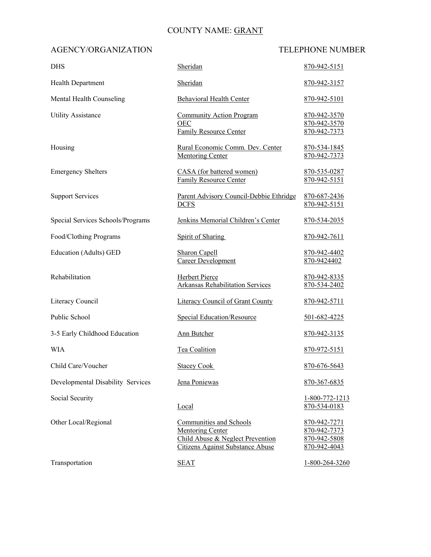### COUNTY NAME: GRANT

<span id="page-27-0"></span>

| <b>DHS</b>                        | Sheridan                                                                                                                          | 870-942-5151                                                 |
|-----------------------------------|-----------------------------------------------------------------------------------------------------------------------------------|--------------------------------------------------------------|
| <b>Health Department</b>          | Sheridan                                                                                                                          | 870-942-3157                                                 |
| Mental Health Counseling          | <b>Behavioral Health Center</b>                                                                                                   | 870-942-5101                                                 |
| <b>Utility Assistance</b>         | <b>Community Action Program</b><br><b>OEC</b><br><b>Family Resource Center</b>                                                    | 870-942-3570<br>870-942-3570<br>870-942-7373                 |
| Housing                           | Rural Economic Comm. Dev. Center<br><b>Mentoring Center</b>                                                                       | 870-534-1845<br>870-942-7373                                 |
| <b>Emergency Shelters</b>         | CASA (for battered women)<br><b>Family Resource Center</b>                                                                        | 870-535-0287<br>870-942-5151                                 |
| <b>Support Services</b>           | Parent Advisory Council-Debbie Ethridge<br><b>DCFS</b>                                                                            | 870-687-2436<br>870-942-5151                                 |
| Special Services Schools/Programs | Jenkins Memorial Children's Center                                                                                                | 870-534-2035                                                 |
| <b>Food/Clothing Programs</b>     | <b>Spirit of Sharing</b>                                                                                                          | 870-942-7611                                                 |
| <b>Education (Adults) GED</b>     | <b>Sharon Capell</b><br><b>Career Development</b>                                                                                 | 870-942-4402<br>870-9424402                                  |
| Rehabilitation                    | <b>Herbert Pierce</b><br><b>Arkansas Rehabilitation Services</b>                                                                  | <u>870-942-8335</u><br>870-534-2402                          |
| Literacy Council                  | <b>Literacy Council of Grant County</b>                                                                                           | 870-942-5711                                                 |
| Public School                     | <b>Special Education/Resource</b>                                                                                                 | 501-682-4225                                                 |
| 3-5 Early Childhood Education     | <b>Ann Butcher</b>                                                                                                                | 870-942-3135                                                 |
| WIA                               | <b>Tea Coalition</b>                                                                                                              | 870-972-5151                                                 |
| Child Care/Voucher                | <b>Stacey Cook</b>                                                                                                                | 870-676-5643                                                 |
| Developmental Disability Services | Jena Poniewas                                                                                                                     | 870-367-6835                                                 |
| Social Security                   | Local                                                                                                                             | 1-800-772-1213<br>870-534-0183                               |
| Other Local/Regional              | <b>Communities and Schools</b><br>Mentoring Center<br>Child Abuse & Neglect Prevention<br><b>Citizens Against Substance Abuse</b> | 870-942-7271<br>870-942-7373<br>870-942-5808<br>870-942-4043 |
| Transportation                    | <b>SEAT</b>                                                                                                                       | 1-800-264-3260                                               |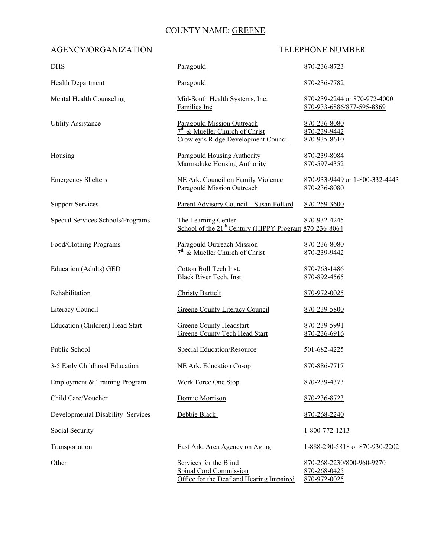### COUNTY NAME: GREENE

<span id="page-28-0"></span>

| <b>DHS</b>                        | Paragould                                                                                                    | 870-236-8723                                              |
|-----------------------------------|--------------------------------------------------------------------------------------------------------------|-----------------------------------------------------------|
| <b>Health Department</b>          | Paragould                                                                                                    | 870-236-7782                                              |
| Mental Health Counseling          | Mid-South Health Systems, Inc.<br>Families Inc                                                               | 870-239-2244 or 870-972-4000<br>870-933-6886/877-595-8869 |
| <b>Utility Assistance</b>         | <b>Paragould Mission Outreach</b><br>$7th$ & Mueller Church of Christ<br>Crowley's Ridge Development Council | 870-236-8080<br>870-239-9442<br>870-935-8610              |
| Housing                           | <b>Paragould Housing Authority</b><br>Marmaduke Housing Authority                                            | 870-239-8084<br>870-597-4352                              |
| <b>Emergency Shelters</b>         | NE Ark. Council on Family Violence<br><b>Paragould Mission Outreach</b>                                      | 870-933-9449 or 1-800-332-4443<br>870-236-8080            |
| <b>Support Services</b>           | Parent Advisory Council - Susan Pollard                                                                      | 870-259-3600                                              |
| Special Services Schools/Programs | The Learning Center<br>School of the $21^{th}$ Century (HIPPY Program 870-236-8064                           | 870-932-4245                                              |
| Food/Clothing Programs            | Paragould Outreach Mission<br>$7th$ & Mueller Church of Christ                                               | 870-236-8080<br>870-239-9442                              |
| Education (Adults) GED            | Cotton Boll Tech Inst.<br><b>Black River Tech. Inst.</b>                                                     | 870-763-1486<br>870-892-4565                              |
| Rehabilitation                    | <b>Christy Barttelt</b>                                                                                      | 870-972-0025                                              |
| Literacy Council                  | <b>Greene County Literacy Council</b>                                                                        | 870-239-5800                                              |
| Education (Children) Head Start   | <b>Greene County Headstart</b><br><b>Greene County Tech Head Start</b>                                       | 870-239-5991<br>870-236-6916                              |
| Public School                     | <b>Special Education/Resource</b>                                                                            | 501-682-4225                                              |
| 3-5 Early Childhood Education     | NE Ark. Education Co-op                                                                                      | 870-886-7717                                              |
| Employment & Training Program     | Work Force One Stop                                                                                          | 870-239-4373                                              |
| Child Care/Voucher                | Donnie Morrison                                                                                              | 870-236-8723                                              |
| Developmental Disability Services | Debbie Black                                                                                                 | 870-268-2240                                              |
| Social Security                   |                                                                                                              | $1 - 800 - 772 - 1213$                                    |
| Transportation                    | East Ark. Area Agency on Aging                                                                               | 1-888-290-5818 or 870-930-2202                            |
| Other                             | Services for the Blind<br>Spinal Cord Commission<br>Office for the Deaf and Hearing Impaired                 | 870-268-2230/800-960-9270<br>870-268-0425<br>870-972-0025 |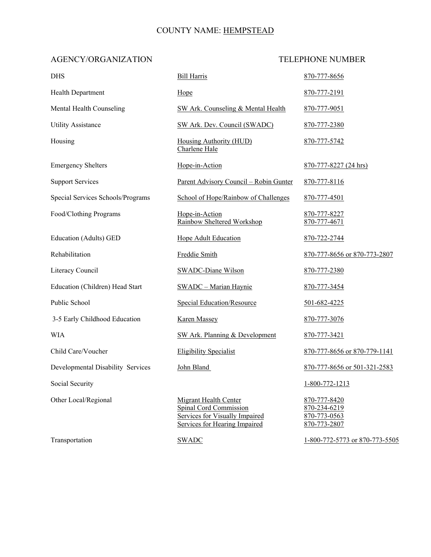### COUNTY NAME: HEMPSTEAD

<span id="page-29-0"></span>

| <b>DHS</b>                        | <b>Bill Harris</b>                                                                                                               | 870-777-8656                                                 |
|-----------------------------------|----------------------------------------------------------------------------------------------------------------------------------|--------------------------------------------------------------|
| <b>Health Department</b>          | Hope                                                                                                                             | 870-777-2191                                                 |
| Mental Health Counseling          | SW Ark. Counseling & Mental Health                                                                                               | 870-777-9051                                                 |
| <b>Utility Assistance</b>         | SW Ark. Dev. Council (SWADC)                                                                                                     | 870-777-2380                                                 |
| Housing                           | <b>Housing Authority (HUD)</b><br>Charlene Hale                                                                                  | 870-777-5742                                                 |
| <b>Emergency Shelters</b>         | Hope-in-Action                                                                                                                   | 870-777-8227 (24 hrs)                                        |
| <b>Support Services</b>           | Parent Advisory Council – Robin Gunter                                                                                           | 870-777-8116                                                 |
| Special Services Schools/Programs | School of Hope/Rainbow of Challenges                                                                                             | 870-777-4501                                                 |
| Food/Clothing Programs            | Hope-in-Action<br>Rainbow Sheltered Workshop                                                                                     | 870-777-8227<br>870-777-4671                                 |
| <b>Education (Adults) GED</b>     | <b>Hope Adult Education</b>                                                                                                      | 870-722-2744                                                 |
| Rehabilitation                    | Freddie Smith                                                                                                                    | 870-777-8656 or 870-773-2807                                 |
| Literacy Council                  | <b>SWADC-Diane Wilson</b>                                                                                                        | 870-777-2380                                                 |
| Education (Children) Head Start   | <b>SWADC</b> - Marian Haynie                                                                                                     | 870-777-3454                                                 |
| Public School                     | <b>Special Education/Resource</b>                                                                                                | 501-682-4225                                                 |
| 3-5 Early Childhood Education     | <b>Karen Massey</b>                                                                                                              | 870-777-3076                                                 |
| <b>WIA</b>                        | SW Ark. Planning & Development                                                                                                   | 870-777-3421                                                 |
| Child Care/Voucher                | <b>Eligibility Specialist</b>                                                                                                    | 870-777-8656 or 870-779-1141                                 |
| Developmental Disability Services | John Bland                                                                                                                       | 870-777-8656 or 501-321-2583                                 |
| Social Security                   |                                                                                                                                  | 1-800-772-1213                                               |
| Other Local/Regional              | <b>Migrant Health Center</b><br><b>Spinal Cord Commission</b><br>Services for Visually Impaired<br>Services for Hearing Impaired | 870-777-8420<br>870-234-6219<br>870-773-0563<br>870-773-2807 |
| Transportation                    | <b>SWADC</b>                                                                                                                     | 1-800-772-5773 or 870-773-5505                               |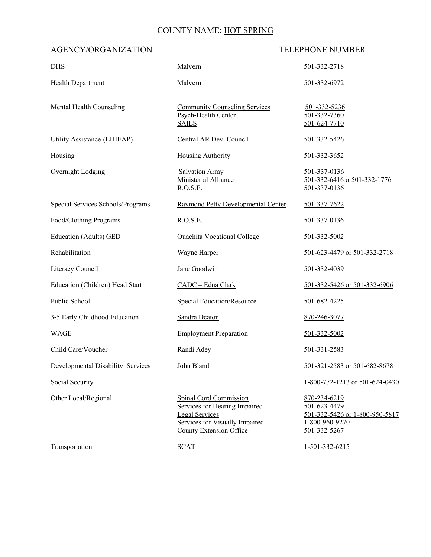### COUNTY NAME: HOT SPRING

<span id="page-30-0"></span>

| <b>DHS</b>                        | Malvern                                                                                                                                                            | 501-332-2718                                                                                     |
|-----------------------------------|--------------------------------------------------------------------------------------------------------------------------------------------------------------------|--------------------------------------------------------------------------------------------------|
| Health Department                 | Malvern                                                                                                                                                            | 501-332-6972                                                                                     |
| Mental Health Counseling          | <b>Community Counseling Services</b><br>Psych-Health Center<br><b>SAILS</b>                                                                                        | 501-332-5236<br>501-332-7360<br>501-624-7710                                                     |
| Utility Assistance (LIHEAP)       | Central AR Dev. Council                                                                                                                                            | 501-332-5426                                                                                     |
| Housing                           | <b>Housing Authority</b>                                                                                                                                           | 501-332-3652                                                                                     |
| Overnight Lodging                 | <b>Salvation Army</b><br>Ministerial Alliance<br>R.O.S.E.                                                                                                          | 501-337-0136<br>501-332-6416 or 501-332-1776<br>501-337-0136                                     |
| Special Services Schools/Programs | <b>Raymond Petty Developmental Center</b>                                                                                                                          | 501-337-7622                                                                                     |
| Food/Clothing Programs            | R.O.S.E.                                                                                                                                                           | 501-337-0136                                                                                     |
| Education (Adults) GED            | <b>Ouachita Vocational College</b>                                                                                                                                 | 501-332-5002                                                                                     |
| Rehabilitation                    | <b>Wayne Harper</b>                                                                                                                                                | 501-623-4479 or 501-332-2718                                                                     |
| Literacy Council                  | Jane Goodwin                                                                                                                                                       | 501-332-4039                                                                                     |
| Education (Children) Head Start   | CADC - Edna Clark                                                                                                                                                  | 501-332-5426 or 501-332-6906                                                                     |
| Public School                     | <b>Special Education/Resource</b>                                                                                                                                  | 501-682-4225                                                                                     |
| 3-5 Early Childhood Education     | Sandra Deaton                                                                                                                                                      | 870-246-3077                                                                                     |
| <b>WAGE</b>                       | <b>Employment Preparation</b>                                                                                                                                      | 501-332-5002                                                                                     |
| Child Care/Voucher                | Randi Adey                                                                                                                                                         | 501-331-2583                                                                                     |
| Developmental Disability Services | John Bland                                                                                                                                                         | 501-321-2583 or 501-682-8678                                                                     |
| Social Security                   |                                                                                                                                                                    | 1-800-772-1213 or 501-624-0430                                                                   |
| Other Local/Regional              | <b>Spinal Cord Commission</b><br><b>Services for Hearing Impaired</b><br><b>Legal Services</b><br>Services for Visually Impaired<br><b>County Extension Office</b> | 870-234-6219<br>501-623-4479<br>501-332-5426 or 1-800-950-5817<br>1-800-960-9270<br>501-332-5267 |
| Transportation                    | <b>SCAT</b>                                                                                                                                                        | 1-501-332-6215                                                                                   |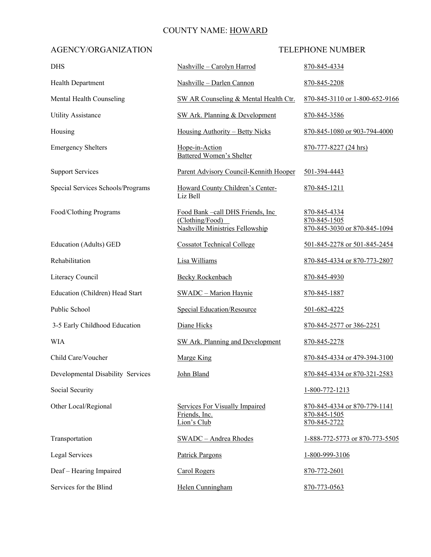### COUNTY NAME: HOWARD

<span id="page-31-0"></span>

| <b>DHS</b>                        | Nashville - Carolyn Harrod                                                                    | 870-845-4334                                                 |
|-----------------------------------|-----------------------------------------------------------------------------------------------|--------------------------------------------------------------|
| <b>Health Department</b>          | Nashville - Darlen Cannon                                                                     | 870-845-2208                                                 |
| Mental Health Counseling          | SW AR Counseling & Mental Health Ctr.                                                         | 870-845-3110 or 1-800-652-9166                               |
| <b>Utility Assistance</b>         | SW Ark. Planning & Development                                                                | 870-845-3586                                                 |
| Housing                           | Housing Authority – Betty Nicks                                                               | 870-845-1080 or 903-794-4000                                 |
| <b>Emergency Shelters</b>         | Hope-in-Action<br><b>Battered Women's Shelter</b>                                             | 870-777-8227 (24 hrs)                                        |
| <b>Support Services</b>           | Parent Advisory Council-Kennith Hooper                                                        | 501-394-4443                                                 |
| Special Services Schools/Programs | Howard County Children's Center-<br>Liz Bell                                                  | 870-845-1211                                                 |
| Food/Clothing Programs            | Food Bank -call DHS Friends, Inc<br>(Clothing/Food)<br><b>Nashville Ministries Fellowship</b> | 870-845-4334<br>870-845-1505<br>870-845-3030 or 870-845-1094 |
| Education (Adults) GED            | <b>Cossatot Technical College</b>                                                             | 501-845-2278 or 501-845-2454                                 |
| Rehabilitation                    | Lisa Williams                                                                                 | 870-845-4334 or 870-773-2807                                 |
| Literacy Council                  | <b>Becky Rockenbach</b>                                                                       | 870-845-4930                                                 |
| Education (Children) Head Start   | <b>SWADC</b> - Marion Haynie                                                                  | 870-845-1887                                                 |
| Public School                     | <b>Special Education/Resource</b>                                                             | 501-682-4225                                                 |
| 3-5 Early Childhood Education     | Diane Hicks                                                                                   | 870-845-2577 or 386-2251                                     |
| WIA                               | SW Ark. Planning and Development                                                              | 870-845-2278                                                 |
| Child Care/Voucher                | <b>Marge King</b>                                                                             | 870-845-4334 or 479-394-3100                                 |
| Developmental Disability Services | John Bland                                                                                    | 870-845-4334 or 870-321-2583                                 |
| Social Security                   |                                                                                               | 1-800-772-1213                                               |
| Other Local/Regional              | <b>Services For Visually Impaired</b><br>Friends, Inc.<br>Lion's Club                         | 870-845-4334 or 870-779-1141<br>870-845-1505<br>870-845-2722 |
| Transportation                    | <b>SWADC</b> - Andrea Rhodes                                                                  | 1-888-772-5773 or 870-773-5505                               |
| Legal Services                    | Patrick Pargons                                                                               | 1-800-999-3106                                               |
| Deaf - Hearing Impaired           | <b>Carol Rogers</b>                                                                           | 870-772-2601                                                 |
| Services for the Blind            | Helen Cunningham                                                                              | 870-773-0563                                                 |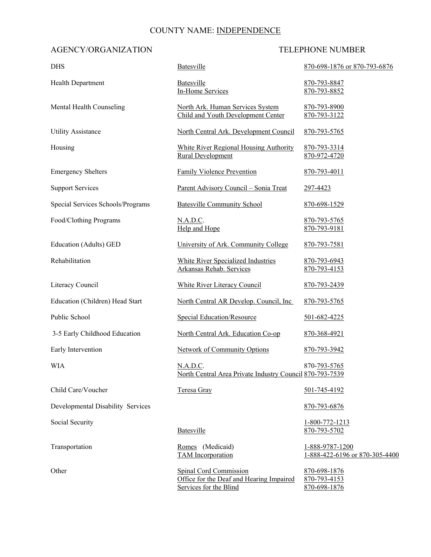### COUNTY NAME: INDEPENDENCE

<span id="page-32-0"></span>

| <b>DHS</b>                        | Batesville                                                                                          | 870-698-1876 or 870-793-6876                      |
|-----------------------------------|-----------------------------------------------------------------------------------------------------|---------------------------------------------------|
| Health Department                 | <b>Batesville</b><br>In-Home Services                                                               | 870-793-8847<br>870-793-8852                      |
| Mental Health Counseling          | North Ark. Human Services System<br>Child and Youth Development Center                              | 870-793-8900<br>870-793-3122                      |
| <b>Utility Assistance</b>         | North Central Ark. Development Council                                                              | 870-793-5765                                      |
| Housing                           | White River Regional Housing Authority<br><b>Rural Development</b>                                  | 870-793-3314<br>870-972-4720                      |
| <b>Emergency Shelters</b>         | Family Violence Prevention                                                                          | 870-793-4011                                      |
| <b>Support Services</b>           | Parent Advisory Council - Sonia Treat                                                               | 297-4423                                          |
| Special Services Schools/Programs | <b>Batesville Community School</b>                                                                  | 870-698-1529                                      |
| Food/Clothing Programs            | N.A.D.C.<br>Help and Hope                                                                           | 870-793-5765<br>870-793-9181                      |
| Education (Adults) GED            | University of Ark. Community College                                                                | 870-793-7581                                      |
| Rehabilitation                    | White River Specialized Industries<br>Arkansas Rehab. Services                                      | 870-793-6943<br>870-793-4153                      |
| Literacy Council                  | <b>White River Literacy Council</b>                                                                 | 870-793-2439                                      |
| Education (Children) Head Start   | North Central AR Develop. Council, Inc.                                                             | 870-793-5765                                      |
| Public School                     | <b>Special Education/Resource</b>                                                                   | 501-682-4225                                      |
| 3-5 Early Childhood Education     | North Central Ark. Education Co-op                                                                  | 870-368-4921                                      |
| Early Intervention                | <b>Network of Community Options</b>                                                                 | 870-793-3942                                      |
| WIA                               | <u>N.A.D.C.</u><br>North Central Area Private Industry Council 870-793-7539                         | 870-793-5765                                      |
| Child Care/Voucher                | Teresa Gray                                                                                         | 501-745-4192                                      |
| Developmental Disability Services |                                                                                                     | 870-793-6876                                      |
| Social Security                   | Batesville                                                                                          | 1-800-772-1213<br>870-793-5702                    |
| Transportation                    | Romes (Medicaid)<br><b>TAM</b> Incorporation                                                        | 1-888-9787-1200<br>1-888-422-6196 or 870-305-4400 |
| Other                             | <b>Spinal Cord Commission</b><br>Office for the Deaf and Hearing Impaired<br>Services for the Blind | 870-698-1876<br>870-793-4153<br>870-698-1876      |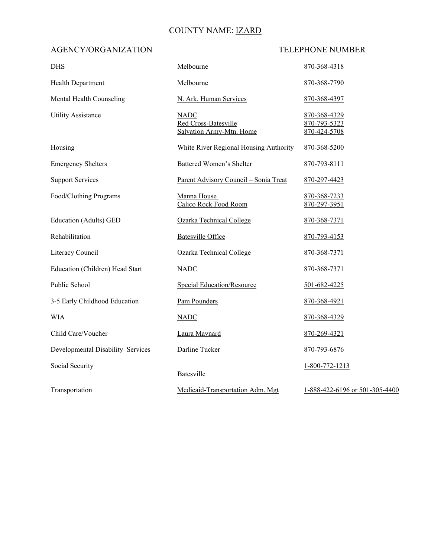### COUNTY NAME: IZARD

<span id="page-33-0"></span>

| <b>DHS</b>                        | Melbourne                                                       | 870-368-4318                                 |
|-----------------------------------|-----------------------------------------------------------------|----------------------------------------------|
| Health Department                 | Melbourne                                                       | 870-368-7790                                 |
| Mental Health Counseling          | N. Ark. Human Services                                          | 870-368-4397                                 |
| <b>Utility Assistance</b>         | <b>NADC</b><br>Red Cross-Batesville<br>Salvation Army-Mtn. Home | 870-368-4329<br>870-793-5323<br>870-424-5708 |
| Housing                           | White River Regional Housing Authority                          | 870-368-5200                                 |
| <b>Emergency Shelters</b>         | <b>Battered Women's Shelter</b>                                 | 870-793-8111                                 |
| <b>Support Services</b>           | Parent Advisory Council - Sonia Treat                           | 870-297-4423                                 |
| Food/Clothing Programs            | Manna House<br>Calico Rock Food Room                            | 870-368-7233<br>870-297-3951                 |
| <b>Education (Adults) GED</b>     | Ozarka Technical College                                        | 870-368-7371                                 |
| Rehabilitation                    | <b>Batesville Office</b>                                        | 870-793-4153                                 |
| Literacy Council                  | Ozarka Technical College                                        | 870-368-7371                                 |
| Education (Children) Head Start   | <b>NADC</b>                                                     | 870-368-7371                                 |
| Public School                     | <b>Special Education/Resource</b>                               | 501-682-4225                                 |
| 3-5 Early Childhood Education     | Pam Pounders                                                    | 870-368-4921                                 |
| <b>WIA</b>                        | <b>NADC</b>                                                     | 870-368-4329                                 |
| Child Care/Voucher                | Laura Maynard                                                   | 870-269-4321                                 |
| Developmental Disability Services | Darline Tucker                                                  | 870-793-6876                                 |
| Social Security                   | Batesville                                                      | 1-800-772-1213                               |
| Transportation                    | Medicaid-Transportation Adm. Mgt                                | 1-888-422-6196 or 501-305-4400               |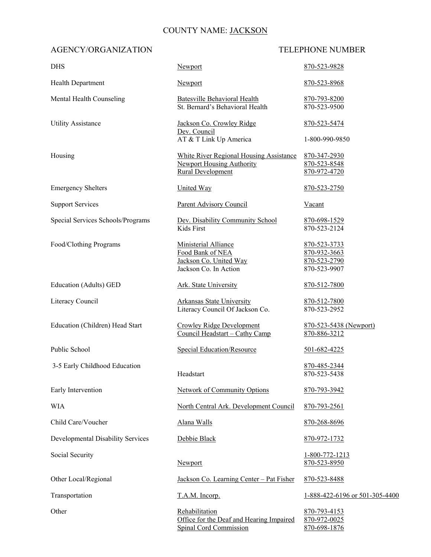### COUNTY NAME: JACKSON

<span id="page-34-0"></span>

| <b>DHS</b>                        | Newport                                                                                                        | 870-523-9828                                                 |
|-----------------------------------|----------------------------------------------------------------------------------------------------------------|--------------------------------------------------------------|
| Health Department                 | Newport                                                                                                        | 870-523-8968                                                 |
| Mental Health Counseling          | Batesville Behavioral Health<br>St. Bernard's Behavioral Health                                                | 870-793-8200<br>870-523-9500                                 |
| <b>Utility Assistance</b>         | Jackson Co. Crowley Ridge<br>Dev. Council<br>AT & T Link Up America                                            | 870-523-5474<br>1-800-990-9850                               |
| Housing                           | <b>White River Regional Housing Assistance</b><br><b>Newport Housing Authority</b><br><b>Rural Development</b> | 870-347-2930<br>870-523-8548<br>870-972-4720                 |
| <b>Emergency Shelters</b>         | United Way                                                                                                     | 870-523-2750                                                 |
| <b>Support Services</b>           | <b>Parent Advisory Council</b>                                                                                 | Vacant                                                       |
| Special Services Schools/Programs | Dev. Disability Community School<br>Kids First                                                                 | 870-698-1529<br>870-523-2124                                 |
| Food/Clothing Programs            | Ministerial Alliance<br>Food Bank of NEA<br>Jackson Co. United Way<br>Jackson Co. In Action                    | 870-523-3733<br>870-932-3663<br>870-523-2790<br>870-523-9907 |
| Education (Adults) GED            | Ark. State University                                                                                          | 870-512-7800                                                 |
| Literacy Council                  | <b>Arkansas State University</b><br>Literacy Council Of Jackson Co.                                            | 870-512-7800<br>870-523-2952                                 |
| Education (Children) Head Start   | <b>Crowley Ridge Development</b><br>Council Headstart - Cathy Camp                                             | 870-523-5438 (Newport)<br>870-886-3212                       |
| Public School                     | <b>Special Education/Resource</b>                                                                              | 501-682-4225                                                 |
| 3-5 Early Childhood Education     | Headstart                                                                                                      | 870-485-2344<br>870-523-5438                                 |
| Early Intervention                | Network of Community Options                                                                                   | 870-793-3942                                                 |
| <b>WIA</b>                        | North Central Ark. Development Council                                                                         | 870-793-2561                                                 |
| Child Care/Voucher                | Alana Walls                                                                                                    | 870-268-8696                                                 |
| Developmental Disability Services | Debbie Black                                                                                                   | 870-972-1732                                                 |
| Social Security                   | Newport                                                                                                        | 1-800-772-1213<br>870-523-8950                               |
| Other Local/Regional              | Jackson Co. Learning Center - Pat Fisher                                                                       | 870-523-8488                                                 |
| Transportation                    | T.A.M. Incorp.                                                                                                 | 1-888-422-6196 or 501-305-4400                               |
| Other                             | Rehabilitation<br>Office for the Deaf and Hearing Impaired<br><b>Spinal Cord Commission</b>                    | 870-793-4153<br>870-972-0025<br>870-698-1876                 |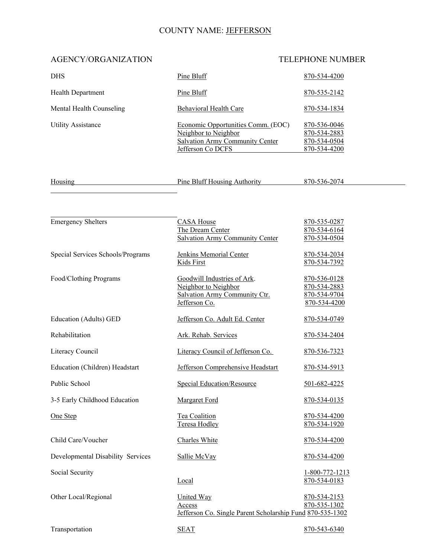### COUNTY NAME: JEFFERSON

<span id="page-35-0"></span>

| <b>DHS</b>                        | Pine Bluff                                                                                                                | 870-534-4200                                                 |
|-----------------------------------|---------------------------------------------------------------------------------------------------------------------------|--------------------------------------------------------------|
| Health Department                 | Pine Bluff                                                                                                                | 870-535-2142                                                 |
| Mental Health Counseling          | <b>Behavioral Health Care</b>                                                                                             | 870-534-1834                                                 |
| <b>Utility Assistance</b>         | Economic Opportunities Comm. (EOC)<br>Neighbor to Neighbor<br><b>Salvation Army Community Center</b><br>Jefferson Co DCFS | 870-536-0046<br>870-534-2883<br>870-534-0504<br>870-534-4200 |
| <b>Housing</b>                    | <b>Pine Bluff Housing Authority</b>                                                                                       | 870-536-2074                                                 |
|                                   |                                                                                                                           |                                                              |
| <b>Emergency Shelters</b>         | <b>CASA House</b><br>The Dream Center<br><b>Salvation Army Community Center</b>                                           | 870-535-0287<br>870-534-6164<br>870-534-0504                 |
| Special Services Schools/Programs | <b>Jenkins Memorial Center</b><br><b>Kids First</b>                                                                       | 870-534-2034<br>870-534-7392                                 |
| Food/Clothing Programs            | Goodwill Industries of Ark.<br>Neighbor to Neighbor<br>Salvation Army Community Ctr.<br>Jefferson Co.                     | 870-536-0128<br>870-534-2883<br>870-534-9704<br>870-534-4200 |
| Education (Adults) GED            | Jefferson Co. Adult Ed. Center                                                                                            | 870-534-0749                                                 |
| Rehabilitation                    | Ark. Rehab. Services                                                                                                      | 870-534-2404                                                 |
| Literacy Council                  | Literacy Council of Jefferson Co.                                                                                         | 870-536-7323                                                 |
| Education (Children) Headstart    | Jefferson Comprehensive Headstart                                                                                         | 870-534-5913                                                 |
| Public School                     | <b>Special Education/Resource</b>                                                                                         | 501-682-4225                                                 |
| 3-5 Early Childhood Education     | <b>Margaret Ford</b>                                                                                                      | 870-534-0135                                                 |
| One Step                          | Tea Coalition<br>Teresa Hodley                                                                                            | 870-534-4200<br>870-534-1920                                 |
| Child Care/Voucher                | Charles White                                                                                                             | 870-534-4200                                                 |
| Developmental Disability Services | Sallie McVay                                                                                                              | 870-534-4200                                                 |
| Social Security                   | Local                                                                                                                     | 1-800-772-1213<br>870-534-0183                               |
| Other Local/Regional              | United Way<br><u>Access</u><br>Jefferson Co. Single Parent Scholarship Fund 870-535-1302                                  | 870-534-2153<br>870-535-1302                                 |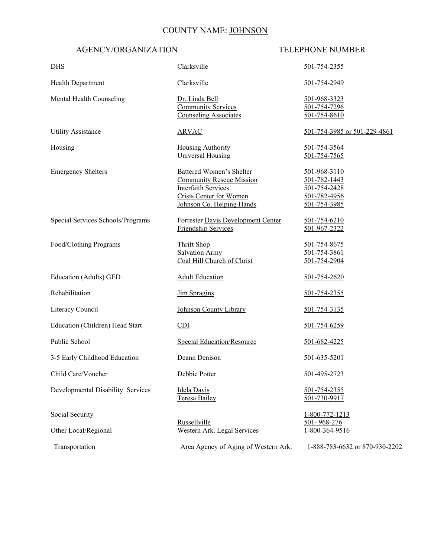## COUNTY NAME: JOHNSON

| <b>DHS</b>                        | Clarksville                                                                                                                                              | 501-754-2355                                                                 |
|-----------------------------------|----------------------------------------------------------------------------------------------------------------------------------------------------------|------------------------------------------------------------------------------|
| <b>Health Department</b>          | Clarksville                                                                                                                                              | 501-754-2949                                                                 |
| Mental Health Counseling          | Dr. Linda Bell<br><b>Community Services</b><br><b>Counseling Associates</b>                                                                              | 501-968-3323<br>501-754-7296<br>501-754-8610                                 |
| <b>Utility Assistance</b>         | <b>ARVAC</b>                                                                                                                                             | 501-754-3985 or 501-229-4861                                                 |
| Housing                           | <b>Housing Authority</b><br>Universal Housing                                                                                                            | 501-754-3564<br>501-754-7565                                                 |
| <b>Emergency Shelters</b>         | Battered Women's Shelter<br><b>Community Rescue Mission</b><br><b>Interfaith Services</b><br><b>Crisis Center for Women</b><br>Johnson Co. Helping Hands | 501-968-3110<br>501-782-1443<br>501-754-2428<br>501-782-4956<br>501-754-3985 |
| Special Services Schools/Programs | Forrester Davis Development Center<br><b>Friendship Services</b>                                                                                         | 501-754-6210<br>501-967-2322                                                 |
| Food/Clothing Programs            | Thrift Shop<br><b>Salvation Army</b><br>Coal Hill Church of Christ                                                                                       | 501-754-8675<br>501-754-3861<br>501-754-2904                                 |
| <b>Education (Adults) GED</b>     | <b>Adult Education</b>                                                                                                                                   | 501-754-2620                                                                 |
| Rehabilitation                    | <b>Jim Spragins</b>                                                                                                                                      | 501-754-2355                                                                 |
| Literacy Council                  | <b>Johnson County Library</b>                                                                                                                            | <u>501-754-3135</u>                                                          |
| Education (Children) Head Start   | CDI                                                                                                                                                      | 501-754-6259                                                                 |
| Public School                     | Special Education/Resource                                                                                                                               | 501-682-4225                                                                 |
| 3-5 Early Childhood Education     | Deann Denison                                                                                                                                            | 501-635-5201                                                                 |
| Child Care/Voucher                | Debbie Potter                                                                                                                                            | 501-495-2723                                                                 |
| Developmental Disability Services | Idela Davis<br><b>Teresa Bailey</b>                                                                                                                      | 501-754-2355<br>501-730-9917                                                 |
| Social Security                   |                                                                                                                                                          | 1-800-772-1213                                                               |
| Other Local/Regional              | Russellville<br>Western Ark. Legal Services                                                                                                              | 501-968-276<br>1-800-364-9516                                                |
| Transportation                    | Area Agency of Aging of Western Ark.                                                                                                                     | 1-888-783-6632 or 870-930-2202                                               |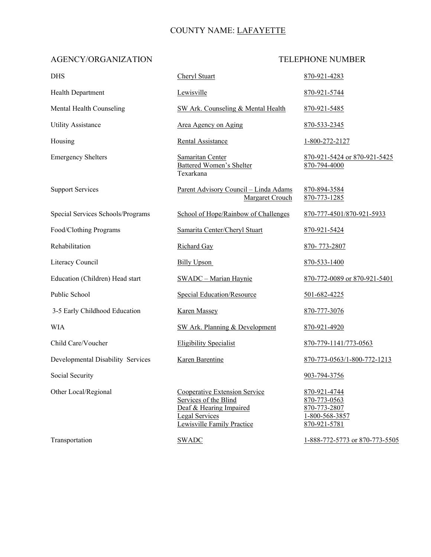## COUNTY NAME: LAFAYETTE

| <b>DHS</b>                        | Cheryl Stuart                                                                                                                                   | 870-921-4283                                                                   |
|-----------------------------------|-------------------------------------------------------------------------------------------------------------------------------------------------|--------------------------------------------------------------------------------|
| Health Department                 | Lewisville                                                                                                                                      | 870-921-5744                                                                   |
| Mental Health Counseling          | SW Ark. Counseling & Mental Health                                                                                                              | 870-921-5485                                                                   |
| <b>Utility Assistance</b>         | Area Agency on Aging                                                                                                                            | 870-533-2345                                                                   |
| Housing                           | <b>Rental Assistance</b>                                                                                                                        | 1-800-272-2127                                                                 |
| <b>Emergency Shelters</b>         | Samaritan Center<br><b>Battered Women's Shelter</b><br>Texarkana                                                                                | 870-921-5424 or 870-921-5425<br>870-794-4000                                   |
| <b>Support Services</b>           | Parent Advisory Council - Linda Adams<br>Margaret Crouch                                                                                        | 870-894-3584<br>870-773-1285                                                   |
| Special Services Schools/Programs | School of Hope/Rainbow of Challenges                                                                                                            | 870-777-4501/870-921-5933                                                      |
| Food/Clothing Programs            | Samarita Center/Cheryl Stuart                                                                                                                   | 870-921-5424                                                                   |
| Rehabilitation                    | <b>Richard Gay</b>                                                                                                                              | 870-773-2807                                                                   |
| Literacy Council                  | <b>Billy Upson</b>                                                                                                                              | 870-533-1400                                                                   |
| Education (Children) Head start   | <b>SWADC</b> - Marian Haynie                                                                                                                    | 870-772-0089 or 870-921-5401                                                   |
| Public School                     | <b>Special Education/Resource</b>                                                                                                               | 501-682-4225                                                                   |
| 3-5 Early Childhood Education     | <b>Karen Massey</b>                                                                                                                             | 870-777-3076                                                                   |
| <b>WIA</b>                        | SW Ark. Planning & Development                                                                                                                  | 870-921-4920                                                                   |
| Child Care/Voucher                | <b>Eligibility Specialist</b>                                                                                                                   | 870-779-1141/773-0563                                                          |
| Developmental Disability Services | <b>Karen Barentine</b>                                                                                                                          | 870-773-0563/1-800-772-1213                                                    |
| Social Security                   |                                                                                                                                                 | 903-794-3756                                                                   |
| Other Local/Regional              | <b>Cooperative Extension Service</b><br>Services of the Blind<br>Deaf & Hearing Impaired<br><b>Legal Services</b><br>Lewisville Family Practice | 870-921-4744<br>870-773-0563<br>870-773-2807<br>1-800-568-3857<br>870-921-5781 |
| Transportation                    | <b>SWADC</b>                                                                                                                                    | 1-888-772-5773 or 870-773-5505                                                 |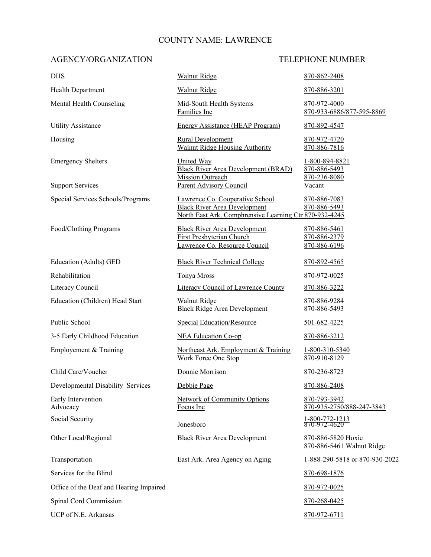## COUNTY NAME: LAWRENCE

| <b>DHS</b>                              | <b>Walnut Ridge</b>                                                                                                              | 870-862-2408                                    |
|-----------------------------------------|----------------------------------------------------------------------------------------------------------------------------------|-------------------------------------------------|
| Health Department                       | <b>Walnut Ridge</b>                                                                                                              | 870-886-3201                                    |
| Mental Health Counseling                | Mid-South Health Systems<br>Families Inc                                                                                         | 870-972-4000<br>870-933-6886/877-595-8869       |
| <b>Utility Assistance</b>               | <b>Energy Assistance (HEAP Program)</b>                                                                                          | 870-892-4547                                    |
| Housing                                 | <b>Rural Development</b><br><b>Walnut Ridge Housing Authority</b>                                                                | 870-972-4720<br>870-886-7816                    |
| <b>Emergency Shelters</b>               | United Way<br><b>Black River Area Development (BRAD)</b><br><b>Mission Outreach</b>                                              | 1-800-894-8821<br>870-886-5493<br>870-236-8080  |
| <b>Support Services</b>                 | <b>Parent Advisory Council</b>                                                                                                   | Vacant                                          |
| Special Services Schools/Programs       | Lawrence Co. Cooperative School<br><b>Black River Area Development</b><br>North East Ark. Comphrensive Learning Ctr 870-932-4245 | 870-886-7083<br>870-886-5493                    |
| Food/Clothing Programs                  | <b>Black River Area Development</b><br><b>First Presbyterian Church</b><br>Lawrence Co. Resource Council                         | 870-886-5461<br>870-886-2379<br>870-886-6196    |
| Education (Adults) GED                  | <b>Black River Technical College</b>                                                                                             | 870-892-4565                                    |
| Rehabilitation                          | Tonya Mross                                                                                                                      | 870-972-0025                                    |
| Literacy Council                        | <b>Literacy Council of Lawrence County</b>                                                                                       | 870-886-3222                                    |
| Education (Children) Head Start         | Walnut Ridge<br><b>Black Ridge Area Development</b>                                                                              | 870-886-9284<br>870-886-5493                    |
| Public School                           | <b>Special Education/Resource</b>                                                                                                | 501-682-4225                                    |
| 3-5 Early Childhood Education           | <b>NEA Education Co-op</b>                                                                                                       | 870-886-3212                                    |
| Employement & Training                  | Northeast Ark. Employment & Training<br>Work Force One Stop                                                                      | 1-800-310-5340<br>870-910-8129                  |
| Child Care/Voucher                      | Donnie Morrison                                                                                                                  | 870-236-8723                                    |
| Developmental Disability Services       | Debbie Page                                                                                                                      | 870-886-2408                                    |
| Early Intervention<br>Advocacy          | <b>Network of Community Options</b><br>Focus Inc                                                                                 | 870-793-3942<br>870-935-2750/888-247-3843       |
| Social Security                         | Jonesboro                                                                                                                        | 1-800-772-1213<br>870-972-4620                  |
| Other Local/Regional                    | <b>Black River Area Development</b>                                                                                              | 870-886-5820 Hoxie<br>870-886-5461 Walnut Ridge |
| Transportation                          | East Ark. Area Agency on Aging                                                                                                   | 1-888-290-5818 or 870-930-2022                  |
| Services for the Blind                  |                                                                                                                                  | 870-698-1876                                    |
| Office of the Deaf and Hearing Impaired |                                                                                                                                  | 870-972-0025                                    |
| Spinal Cord Commission                  |                                                                                                                                  | 870-268-0425                                    |
| UCP of N.E. Arkansas                    |                                                                                                                                  | 870-972-6711                                    |
|                                         |                                                                                                                                  |                                                 |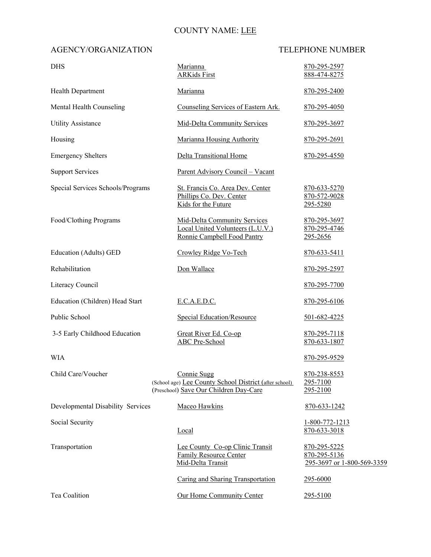## COUNTY NAME: LEE

| <b>DHS</b>                        | <b>Marianna</b><br><b>ARKids First</b>                                                                          | 870-295-2597<br>888-474-8275                               |
|-----------------------------------|-----------------------------------------------------------------------------------------------------------------|------------------------------------------------------------|
| Health Department                 | Marianna                                                                                                        | 870-295-2400                                               |
| Mental Health Counseling          | Counseling Services of Eastern Ark.                                                                             | 870-295-4050                                               |
| <b>Utility Assistance</b>         | Mid-Delta Community Services                                                                                    | 870-295-3697                                               |
| Housing                           | Marianna Housing Authority                                                                                      | 870-295-2691                                               |
| <b>Emergency Shelters</b>         | Delta Transitional Home                                                                                         | 870-295-4550                                               |
| <b>Support Services</b>           | Parent Advisory Council - Vacant                                                                                |                                                            |
| Special Services Schools/Programs | St. Francis Co. Area Dev. Center<br>Phillips Co. Dev. Center<br>Kids for the Future                             | 870-633-5270<br>870-572-9028<br>295-5280                   |
| Food/Clothing Programs            | Mid-Delta Community Services<br>Local United Volunteers (L.U.V.)<br>Ronnie Campbell Food Pantry                 | 870-295-3697<br>870-295-4746<br>295-2656                   |
| Education (Adults) GED            | Crowley Ridge Vo-Tech                                                                                           | 870-633-5411                                               |
| Rehabilitation                    | Don Wallace                                                                                                     | 870-295-2597                                               |
| Literacy Council                  |                                                                                                                 | 870-295-7700                                               |
| Education (Children) Head Start   | E.C.A.E.D.C.                                                                                                    | 870-295-6106                                               |
| Public School                     | <b>Special Education/Resource</b>                                                                               | 501-682-4225                                               |
| 3-5 Early Childhood Education     | Great River Ed. Co-op<br><b>ABC Pre-School</b>                                                                  | 870-295-7118<br>870-633-1807                               |
| <b>WIA</b>                        |                                                                                                                 | 870-295-9529                                               |
| Child Care/Voucher                | Connie Sugg<br>(School age) Lee County School District (after school)<br>(Preschool) Save Our Children Day-Care | 870-238-8553<br>295-7100<br>295-2100                       |
| Developmental Disability Services | Maceo Hawkins                                                                                                   | 870-633-1242                                               |
| Social Security                   | Local                                                                                                           | 1-800-772-1213<br>870-633-3018                             |
| Transportation                    | Lee County Co-op Clinic Transit<br><b>Family Resource Center</b><br>Mid-Delta Transit                           | 870-295-5225<br>870-295-5136<br>295-3697 or 1-800-569-3359 |
|                                   | Caring and Sharing Transportation                                                                               | 295-6000                                                   |
| Tea Coalition                     | Our Home Community Center                                                                                       | 295-5100                                                   |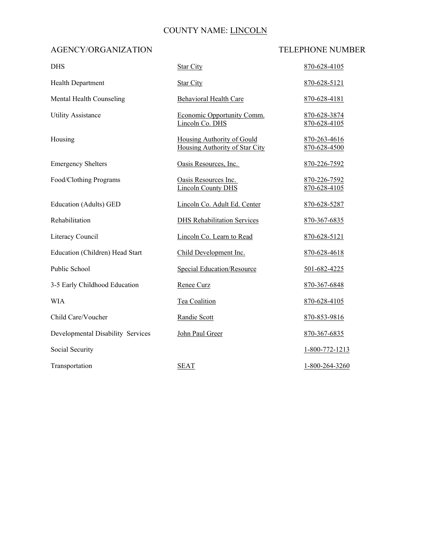## COUNTY NAME: LINCOLN

| <b>DHS</b>                        | <b>Star City</b>                                             | 870-628-4105                 |
|-----------------------------------|--------------------------------------------------------------|------------------------------|
| <b>Health Department</b>          | <b>Star City</b>                                             | 870-628-5121                 |
| Mental Health Counseling          | Behavioral Health Care                                       | 870-628-4181                 |
| <b>Utility Assistance</b>         | Economic Opportunity Comm.<br>Lincoln Co. DHS                | 870-628-3874<br>870-628-4105 |
| Housing                           | Housing Authority of Gould<br>Housing Authority of Star City | 870-263-4616<br>870-628-4500 |
| <b>Emergency Shelters</b>         | Oasis Resources, Inc.                                        | 870-226-7592                 |
| Food/Clothing Programs            | Oasis Resources Inc.<br><b>Lincoln County DHS</b>            | 870-226-7592<br>870-628-4105 |
| <b>Education (Adults) GED</b>     | Lincoln Co. Adult Ed. Center                                 | 870-628-5287                 |
| Rehabilitation                    | <b>DHS Rehabilitation Services</b>                           | 870-367-6835                 |
| Literacy Council                  | Lincoln Co. Learn to Read                                    | 870-628-5121                 |
| Education (Children) Head Start   | Child Development Inc.                                       | 870-628-4618                 |
| Public School                     | <b>Special Education/Resource</b>                            | 501-682-4225                 |
| 3-5 Early Childhood Education     | Renee Curz                                                   | 870-367-6848                 |
| WIA                               | Tea Coalition                                                | 870-628-4105                 |
| Child Care/Voucher                | Randie Scott                                                 | 870-853-9816                 |
| Developmental Disability Services | John Paul Greer                                              | 870-367-6835                 |
| Social Security                   |                                                              | 1-800-772-1213               |
| Transportation                    | <b>SEAT</b>                                                  | 1-800-264-3260               |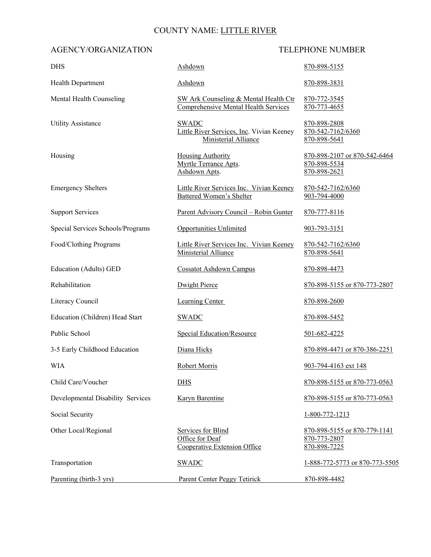## COUNTY NAME: LITTLE RIVER

| <b>DHS</b>                        | Ashdown                                                                              | 870-898-5155                                                 |
|-----------------------------------|--------------------------------------------------------------------------------------|--------------------------------------------------------------|
| <b>Health Department</b>          | Ashdown                                                                              | 870-898-3831                                                 |
| Mental Health Counseling          | SW Ark Counseling & Mental Health Ctr<br><b>Comprehensive Mental Health Services</b> | 870-772-3545<br>870-773-4655                                 |
| <b>Utility Assistance</b>         | <b>SWADC</b><br>Little River Services, Inc. Vivian Keeney<br>Ministerial Alliance    | 870-898-2808<br>870-542-7162/6360<br>870-898-5641            |
| Housing                           | <b>Housing Authority</b><br>Myrtle Terrance Apts.<br>Ashdown Apts.                   | 870-898-2107 or 870-542-6464<br>870-898-5534<br>870-898-2621 |
| <b>Emergency Shelters</b>         | Little River Services Inc. Vivian Keeney<br><b>Battered Women's Shelter</b>          | 870-542-7162/6360<br>903-794-4000                            |
| <b>Support Services</b>           | Parent Advisory Council – Robin Gunter                                               | 870-777-8116                                                 |
| Special Services Schools/Programs | <b>Opportunities Unlimited</b>                                                       | 903-793-3151                                                 |
| Food/Clothing Programs            | Little River Services Inc. Vivian Keeney<br>Ministerial Alliance                     | 870-542-7162/6360<br>870-898-5641                            |
| Education (Adults) GED            | <b>Cossatot Ashdown Campus</b>                                                       | 870-898-4473                                                 |
| Rehabilitation                    | <b>Dwight Pierce</b>                                                                 | 870-898-5155 or 870-773-2807                                 |
| Literacy Council                  | <b>Learning Center</b>                                                               | 870-898-2600                                                 |
| Education (Children) Head Start   | <b>SWADC</b>                                                                         | 870-898-5452                                                 |
| Public School                     | <b>Special Education/Resource</b>                                                    | 501-682-4225                                                 |
| 3-5 Early Childhood Education     | Diana Hicks                                                                          | 870-898-4471 or 870-386-2251                                 |
| WIA                               | Robert Morris                                                                        | 903-794-4163 ext 148                                         |
| Child Care/Voucher                | <b>DHS</b>                                                                           | 870-898-5155 or 870-773-0563                                 |
| Developmental Disability Services | <b>Karyn Barentine</b>                                                               | 870-898-5155 or 870-773-0563                                 |
| Social Security                   |                                                                                      | $1 - 800 - 772 - 1213$                                       |
| Other Local/Regional              | Services for Blind<br>Office for Deaf<br>Cooperative Extension Office                | 870-898-5155 or 870-779-1141<br>870-773-2807<br>870-898-7225 |
| Transportation                    | <b>SWADC</b>                                                                         | 1-888-772-5773 or 870-773-5505                               |
| Parenting (birth-3 yrs)           | Parent Center Peggy Tetirick                                                         | 870-898-4482                                                 |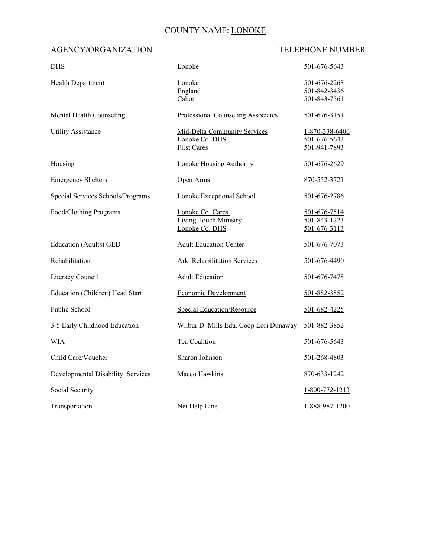## COUNTY NAME: LONOKE

| <b>DHS</b>                        | Lonoke                                                               | 501-676-5643                                   |
|-----------------------------------|----------------------------------------------------------------------|------------------------------------------------|
| Health Department                 | Lonoke<br>England<br>Cabot                                           | 501-676-2268<br>501-842-3436<br>501-843-7561   |
| Mental Health Counseling          | <b>Professional Counseling Associates</b>                            | 501-676-3151                                   |
| <b>Utility Assistance</b>         | Mid-Delta Community Services<br>Lonoke Co. DHS<br><b>First Cares</b> | 1-870-338-6406<br>501-676-5643<br>501-941-7893 |
| Housing                           | Lonoke Housing Authority                                             | 501-676-2629                                   |
| <b>Emergency Shelters</b>         | Open Arms                                                            | 870-552-3721                                   |
| Special Services Schools/Programs | Lonoke Exceptional School                                            | 501-676-2786                                   |
| Food/Clothing Programs            | Lonoke Co. Cares<br>Living Touch Ministry<br>Lonoke Co. DHS          | 501-676-7514<br>501-843-1223<br>501-676-3113   |
| <b>Education (Adults) GED</b>     | <b>Adult Education Center</b>                                        | 501-676-7073                                   |
| Rehabilitation                    | Ark. Rehabilitation Services                                         | 501-676-4490                                   |
| Literacy Council                  | <b>Adult Education</b>                                               | 501-676-7478                                   |
| Education (Children) Head Start   | <b>Economic Development</b>                                          | 501-882-3852                                   |
| Public School                     | <b>Special Education/Resource</b>                                    | 501-682-4225                                   |
| 3-5 Early Childhood Education     | Wilbur D. Mills Edu. Coop Lori Dunaway                               | 501-882-3852                                   |
| WIA                               | Tea Coalition                                                        | 501-676-5643                                   |
| Child Care/Voucher                | Sharon Johnson                                                       | 501-268-4803                                   |
| Developmental Disability Services | Maceo Hawkins                                                        | 870-633-1242                                   |
| Social Security                   |                                                                      | $1 - 800 - 772 - 1213$                         |
| Transportation                    | Net Help Line                                                        | 1-888-987-1200                                 |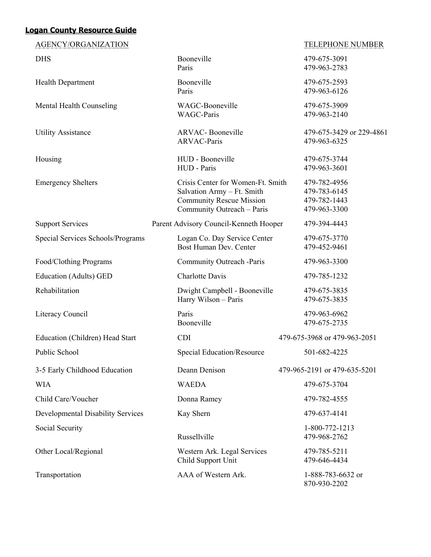### **Logan County Resource Guide**

# AGENCY/ORGANIZATION TELEPHONE NUMBER DHS Booneville 479-675-3091 Paris 479-963-2783 Health Department Booneville 479-675-2593 Paris 479-963-6126 Mental Health Counseling WAGC-Booneville 479-675-3909 WAGC-Paris 479-963-2140 Utility Assistance **ARVAC- Booneville** 479-675-3429 or 229-4861 ARVAC-Paris 479-963-6325 Housing HUD - Booneville 479-675-3744 HUD - Paris 479-963-3601 Emergency Shelters Crisis Center for Women-Ft. Smith 479-782-4956

 Salvation Army – Ft. Smith 479-783-6145 Community Rescue Mission 479-782-1443 Community Outreach – Paris 479-963-3300 Support Services Parent Advisory Council-Kenneth Hooper 479-394-4443 Special Services Schools/Programs Logan Co. Day Service Center 479-675-3770 Bost Human Dev. Center 479-452-9461 Food/Clothing Programs Community Outreach -Paris 479-963-3300 Education (Adults) GED Charlotte Davis 479-785-1232 Rehabilitation Dwight Campbell - Booneville 479-675-3835 Harry Wilson – Paris 479-675-3835 Literacy Council Paris Paris 479-963-6962 Booneville 479-675-2735 Education (Children) Head Start CDI 479-675-3968 or 479-963-2051 Public School Special Education/Resource 501-682-4225 3-5 Early Childhood Education Deann Denison 479-965-2191 or 479-635-5201 WIA 279-675-3704 Child Care/Voucher Donna Ramey 479-782-4555 Developmental Disability Services Kay Shern 479-637-4141 Social Security 1-800-772-1213 Russellville 479-968-2762 Other Local/Regional Western Ark. Legal Services 479-785-5211 Child Support Unit 479-646-4434 Transportation AAA of Western Ark. 1-888-783-6632 or

870-930-2202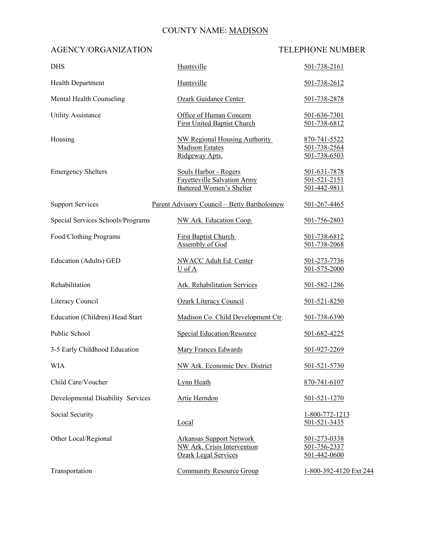## COUNTY NAME: MADISON

| <b>DHS</b>                               | Huntsville                                                                                     | 501-738-2161                                 |
|------------------------------------------|------------------------------------------------------------------------------------------------|----------------------------------------------|
| <b>Health Department</b>                 | Huntsville                                                                                     | 501-738-2612                                 |
| Mental Health Counseling                 | <b>Ozark Guidance Center</b>                                                                   | 501-738-2878                                 |
| <b>Utility Assistance</b>                | Office of Human Concern<br><b>First United Baptist Church</b>                                  | 501-636-7301<br>501-738-6812                 |
| Housing                                  | <b>NW Regional Housing Authority</b><br><b>Madison Estates</b><br>Ridgeway Apts.               | 870-741-5522<br>501-738-2564<br>501-738-6503 |
| <b>Emergency Shelters</b>                | Souls Harbor - Rogers<br><b>Fayetteville Salvation Army</b><br><b>Battered Women's Shelter</b> | 501-631-7878<br>501-521-2151<br>501-442-9811 |
| <b>Support Services</b>                  | <u> Parent Advisory Council – Betty Bartholomew</u>                                            | 501-267-4465                                 |
| Special Services Schools/Programs        | NW Ark. Education Coop.                                                                        | 501-756-2803                                 |
| Food/Clothing Programs                   | <b>First Baptist Church</b><br>Assembly of God                                                 | 501-738-6812<br>501-738-2068                 |
| <b>Education (Adults) GED</b>            | <b>NWACC Adult Ed. Center</b><br>$U$ of $A$                                                    | 501-273-7736<br>501-575-2000                 |
| Rehabilitation                           | Ark. Rehabilitation Services                                                                   | 501-582-1286                                 |
| Literacy Council                         | <b>Ozark Literacy Council</b>                                                                  | 501-521-8250                                 |
| <b>Education (Children) Head Start</b>   | Madison Co. Child Development Ctr.                                                             | 501-738-6390                                 |
| Public School                            | <b>Special Education/Resource</b>                                                              | 501-682-4225                                 |
| 3-5 Early Childhood Education            | <b>Mary Frances Edwards</b>                                                                    | <u>501-927-2269</u>                          |
| WIA                                      | NW Ark. Economic Dev. District                                                                 | 501-521-5730                                 |
| Child Care/Voucher                       | Lynn Heath                                                                                     | 870-741-6107                                 |
| <b>Developmental Disability Services</b> | Artie Herndon                                                                                  | 501-521-1270                                 |
| Social Security                          | Local                                                                                          | 1-800-772-1213<br>501-521-3435               |
| Other Local/Regional                     | <b>Arkansas Support Network</b><br>NW Ark. Crisis Intervention<br><b>Ozark Legal Services</b>  | 501-273-0338<br>501-756-2337<br>501-442-0600 |
| Transportation                           | <b>Community Resource Group</b>                                                                | 1-800-392-4120 Ext 244                       |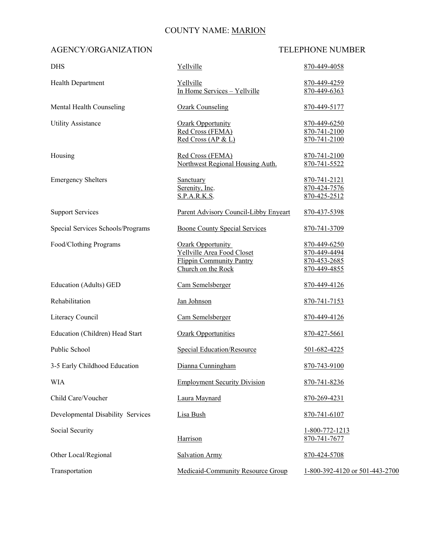## COUNTY NAME: MARION

| <b>DHS</b>                        | Yellville                                                                                                | 870-449-4058                                                 |
|-----------------------------------|----------------------------------------------------------------------------------------------------------|--------------------------------------------------------------|
| <b>Health Department</b>          | Yellville<br>In Home Services - Yellville                                                                | 870-449-4259<br>870-449-6363                                 |
| Mental Health Counseling          | <b>Ozark Counseling</b>                                                                                  | 870-449-5177                                                 |
| <b>Utility Assistance</b>         | <b>Ozark Opportunity</b><br>Red Cross (FEMA)<br>Red Cross (AP & L)                                       | 870-449-6250<br>870-741-2100<br>870-741-2100                 |
| Housing                           | Red Cross (FEMA)<br>Northwest Regional Housing Auth.                                                     | 870-741-2100<br>870-741-5522                                 |
| <b>Emergency Shelters</b>         | Sanctuary<br>Serenity, Inc.<br><b>S.P.A.R.K.S.</b>                                                       | 870-741-2121<br>870-424-7576<br>870-425-2512                 |
| <b>Support Services</b>           | Parent Advisory Council-Libby Enyeart                                                                    | 870-437-5398                                                 |
| Special Services Schools/Programs | <b>Boone County Special Services</b>                                                                     | 870-741-3709                                                 |
| Food/Clothing Programs            | Ozark Opportunity<br>Yellyille Area Food Closet<br><b>Flippin Community Pantry</b><br>Church on the Rock | 870-449-6250<br>870-449-4494<br>870-453-2685<br>870-449-4855 |
| Education (Adults) GED            | Cam Semelsberger                                                                                         | 870-449-4126                                                 |
| Rehabilitation                    | Jan Johnson                                                                                              | 870-741-7153                                                 |
| Literacy Council                  | Cam Semelsberger                                                                                         | 870-449-4126                                                 |
| Education (Children) Head Start   | <b>Ozark Opportunities</b>                                                                               | 870-427-5661                                                 |
| Public School                     | <b>Special Education/Resource</b>                                                                        | 501-682-4225                                                 |
| 3-5 Early Childhood Education     | Dianna Cunningham                                                                                        | 870-743-9100                                                 |
| <b>WIA</b>                        | <b>Employment Security Division</b>                                                                      | 870-741-8236                                                 |
| Child Care/Voucher                | Laura Maynard                                                                                            | 870-269-4231                                                 |
| Developmental Disability Services | Lisa Bush                                                                                                | 870-741-6107                                                 |
| Social Security                   | Harrison                                                                                                 | 1-800-772-1213<br>870-741-7677                               |
| Other Local/Regional              | <b>Salvation Army</b>                                                                                    | 870-424-5708                                                 |
| Transportation                    | Medicaid-Community Resource Group                                                                        | 1-800-392-4120 or 501-443-2700                               |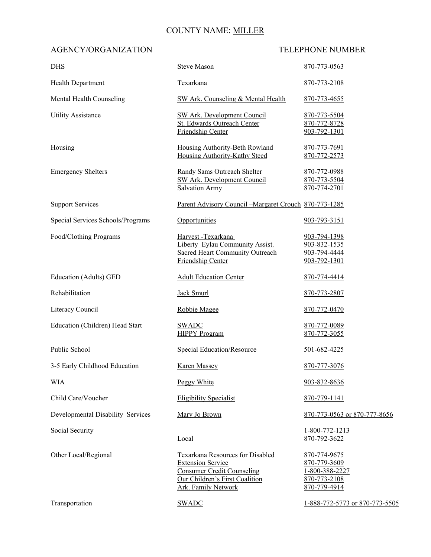### COUNTY NAME: MILLER

| <b>DHS</b>                        | <b>Steve Mason</b>                                                                                                                                                | 870-773-0563                                                                   |
|-----------------------------------|-------------------------------------------------------------------------------------------------------------------------------------------------------------------|--------------------------------------------------------------------------------|
| Health Department                 | Texarkana                                                                                                                                                         | 870-773-2108                                                                   |
| Mental Health Counseling          | SW Ark. Counseling & Mental Health                                                                                                                                | 870-773-4655                                                                   |
| <b>Utility Assistance</b>         | <b>SW Ark. Development Council</b><br>St. Edwards Outreach Center<br>Friendship Center                                                                            | 870-773-5504<br>870-772-8728<br>903-792-1301                                   |
| Housing                           | Housing Authority-Beth Rowland<br>Housing Authority-Kathy Steed                                                                                                   | 870-773-7691<br>870-772-2573                                                   |
| <b>Emergency Shelters</b>         | Randy Sams Outreach Shelter<br><b>SW Ark. Development Council</b><br><b>Salvation Army</b>                                                                        | 870-772-0988<br>870-773-5504<br>870-774-2701                                   |
| <b>Support Services</b>           | Parent Advisory Council - Margaret Crouch 870-773-1285                                                                                                            |                                                                                |
| Special Services Schools/Programs | Opportunities                                                                                                                                                     | 903-793-3151                                                                   |
| Food/Clothing Programs            | Harvest-Texarkana<br>Liberty Eylau Community Assist.<br><b>Sacred Heart Community Outreach</b><br>Friendship Center                                               | 903-794-1398<br>903-832-1535<br>903-794-4444<br>903-792-1301                   |
| Education (Adults) GED            | <b>Adult Education Center</b>                                                                                                                                     | 870-774-4414                                                                   |
| Rehabilitation                    | Jack Smurl                                                                                                                                                        | 870-773-2807                                                                   |
| Literacy Council                  | Robbie Magee                                                                                                                                                      | 870-772-0470                                                                   |
| Education (Children) Head Start   | <b>SWADC</b><br><b>HIPPY Program</b>                                                                                                                              | 870-772-0089<br>870-772-3055                                                   |
| Public School                     | <b>Special Education/Resource</b>                                                                                                                                 | 501-682-4225                                                                   |
| 3-5 Early Childhood Education     | <b>Karen Massey</b>                                                                                                                                               | 870-777-3076                                                                   |
| <b>WIA</b>                        | Peggy White                                                                                                                                                       | 903-832-8636                                                                   |
| Child Care/Voucher                | <b>Eligibility Specialist</b>                                                                                                                                     | 870-779-1141                                                                   |
| Developmental Disability Services | Mary Jo Brown                                                                                                                                                     | 870-773-0563 or 870-777-8656                                                   |
| Social Security                   | Local                                                                                                                                                             | $1 - 800 - 772 - 1213$<br>870-792-3622                                         |
| Other Local/Regional              | Texarkana Resources for Disabled<br><b>Extension Service</b><br><b>Consumer Credit Counseling</b><br>Our Children's First Coalition<br><b>Ark. Family Network</b> | 870-774-9675<br>870-779-3609<br>1-800-388-2227<br>870-773-2108<br>870-779-4914 |
| Transportation                    | <b>SWADC</b>                                                                                                                                                      | 1-888-772-5773 or 870-773-5505                                                 |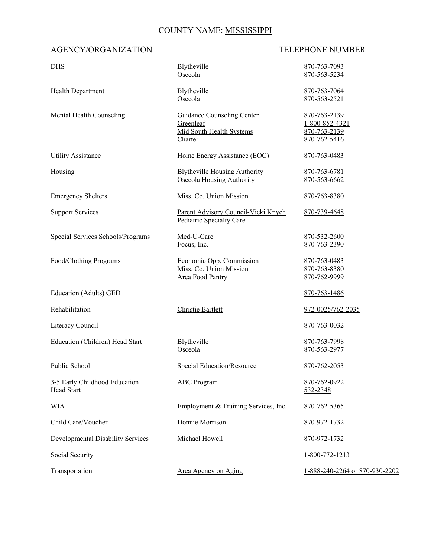### COUNTY NAME: MISSISSIPPI

| <b>DHS</b>                                  | Blytheville<br>Osceola                                                                       | 870-763-7093<br>870-563-5234                                   |
|---------------------------------------------|----------------------------------------------------------------------------------------------|----------------------------------------------------------------|
| <b>Health Department</b>                    | Blytheville<br>Osceola                                                                       | 870-763-7064<br>870-563-2521                                   |
| Mental Health Counseling                    | <b>Guidance Counseling Center</b><br>Greenleaf<br>Mid South Health Systems<br><b>Charter</b> | 870-763-2139<br>1-800-852-4321<br>870-763-2139<br>870-762-5416 |
| <b>Utility Assistance</b>                   | Home Energy Assistance (EOC)                                                                 | 870-763-0483                                                   |
| Housing                                     | <b>Blytheville Housing Authority</b><br>Osceola Housing Authority                            | 870-763-6781<br>870-563-6662                                   |
| <b>Emergency Shelters</b>                   | Miss. Co. Union Mission                                                                      | 870-763-8380                                                   |
| <b>Support Services</b>                     | Parent Advisory Council-Vicki Knych<br><b>Pediatric Specialty Care</b>                       | 870-739-4648                                                   |
| Special Services Schools/Programs           | Med-U-Care<br>Focus, Inc.                                                                    | 870-532-2600<br>870-763-2390                                   |
| Food/Clothing Programs                      | Economic Opp. Commission<br>Miss. Co. Union Mission<br><b>Area Food Pantry</b>               | 870-763-0483<br>870-763-8380<br>870-762-9999                   |
| Education (Adults) GED                      |                                                                                              | 870-763-1486                                                   |
| Rehabilitation                              | Christie Bartlett                                                                            | 972-0025/762-2035                                              |
| Literacy Council                            |                                                                                              | 870-763-0032                                                   |
| Education (Children) Head Start             | Blytheville<br>Osceola                                                                       | 870-763-7998<br>870-563-2977                                   |
| <b>Public School</b>                        | <b>Special Education/Resource</b>                                                            | 870-762-2053                                                   |
| 3-5 Early Childhood Education<br>Head Start | <b>ABC</b> Program                                                                           | 870-762-0922<br>532-2348                                       |
| <b>WIA</b>                                  | Employment & Training Services, Inc.                                                         | 870-762-5365                                                   |
| Child Care/Voucher                          | Donnie Morrison                                                                              | 870-972-1732                                                   |
| Developmental Disability Services           | Michael Howell                                                                               | 870-972-1732                                                   |
| Social Security                             |                                                                                              | 1-800-772-1213                                                 |
| Transportation                              | Area Agency on Aging                                                                         | 1-888-240-2264 or 870-930-2202                                 |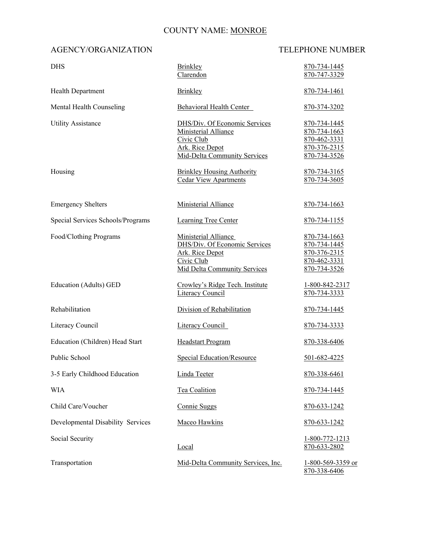## COUNTY NAME: MONROE

| <b>DHS</b>                        | Brinkley<br>Clarendon                                                                                                         | 870-734-1445<br>870-747-3329                                                 |
|-----------------------------------|-------------------------------------------------------------------------------------------------------------------------------|------------------------------------------------------------------------------|
| <b>Health Department</b>          | Brinkley                                                                                                                      | 870-734-1461                                                                 |
| Mental Health Counseling          | Behavioral Health Center                                                                                                      | 870-374-3202                                                                 |
| <b>Utility Assistance</b>         | DHS/Div. Of Economic Services<br><b>Ministerial Alliance</b><br>Civic Club<br>Ark. Rice Depot<br>Mid-Delta Community Services | 870-734-1445<br>870-734-1663<br>870-462-3331<br>870-376-2315<br>870-734-3526 |
| Housing                           | <b>Brinkley Housing Authority</b><br><b>Cedar View Apartments</b>                                                             | 870-734-3165<br>870-734-3605                                                 |
| <b>Emergency Shelters</b>         | <b>Ministerial Alliance</b>                                                                                                   | <u>870-734-1663</u>                                                          |
| Special Services Schools/Programs | <b>Learning Tree Center</b>                                                                                                   | 870-734-1155                                                                 |
| Food/Clothing Programs            | Ministerial Alliance<br>DHS/Div. Of Economic Services<br>Ark. Rice Depot<br>Civic Club<br>Mid Delta Community Services        | 870-734-1663<br>870-734-1445<br>870-376-2315<br>870-462-3331<br>870-734-3526 |
| Education (Adults) GED            | Crowley's Ridge Tech. Institute<br>Literacy Council                                                                           | 1-800-842-2317<br>870-734-3333                                               |
| Rehabilitation                    | Division of Rehabilitation                                                                                                    | 870-734-1445                                                                 |
| Literacy Council                  | Literacy Council                                                                                                              | 870-734-3333                                                                 |
| Education (Children) Head Start   | <b>Headstart Program</b>                                                                                                      | 870-338-6406                                                                 |
| Public School                     | <b>Special Education/Resource</b>                                                                                             | 501-682-4225                                                                 |
| 3-5 Early Childhood Education     | Linda Teeter                                                                                                                  | 870-338-6461                                                                 |
| <b>WIA</b>                        | Tea Coalition                                                                                                                 | 870-734-1445                                                                 |
| Child Care/Voucher                | Connie Suggs                                                                                                                  | 870-633-1242                                                                 |
| Developmental Disability Services | Maceo Hawkins                                                                                                                 | 870-633-1242                                                                 |
| Social Security                   | Local                                                                                                                         | 1-800-772-1213<br>870-633-2802                                               |
| Transportation                    | Mid-Delta Community Services, Inc.                                                                                            | 1-800-569-3359 or<br>870-338-6406                                            |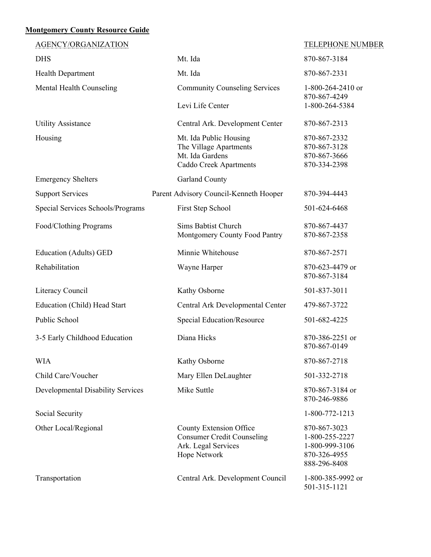## **Montgomery County Resource Guide**

| <b>DHS</b>                               | Mt. Ida                                                                                              | 870-867-3184                                                                     |
|------------------------------------------|------------------------------------------------------------------------------------------------------|----------------------------------------------------------------------------------|
| <b>Health Department</b>                 | Mt. Ida                                                                                              | 870-867-2331                                                                     |
| Mental Health Counseling                 | <b>Community Counseling Services</b>                                                                 | 1-800-264-2410 or                                                                |
|                                          | Levi Life Center                                                                                     | 870-867-4249<br>1-800-264-5384                                                   |
| <b>Utility Assistance</b>                | Central Ark. Development Center                                                                      | 870-867-2313                                                                     |
| Housing                                  | Mt. Ida Public Housing<br>The Village Apartments<br>Mt. Ida Gardens<br><b>Caddo Creek Apartments</b> | 870-867-2332<br>870-867-3128<br>870-867-3666<br>870-334-2398                     |
| <b>Emergency Shelters</b>                | <b>Garland County</b>                                                                                |                                                                                  |
| <b>Support Services</b>                  | Parent Advisory Council-Kenneth Hooper                                                               | 870-394-4443                                                                     |
| Special Services Schools/Programs        | First Step School                                                                                    | 501-624-6468                                                                     |
| Food/Clothing Programs                   | Sims Babtist Church<br>Montgomery County Food Pantry                                                 | 870-867-4437<br>870-867-2358                                                     |
| <b>Education (Adults) GED</b>            | Minnie Whitehouse                                                                                    | 870-867-2571                                                                     |
| Rehabilitation                           | Wayne Harper                                                                                         | 870-623-4479 or<br>870-867-3184                                                  |
| Literacy Council                         | Kathy Osborne                                                                                        | 501-837-3011                                                                     |
| Education (Child) Head Start             | Central Ark Developmental Center                                                                     | 479-867-3722                                                                     |
| Public School                            | <b>Special Education/Resource</b>                                                                    | 501-682-4225                                                                     |
| 3-5 Early Childhood Education            | Diana Hicks                                                                                          | 870-386-2251 or<br>870-867-0149                                                  |
| <b>WIA</b>                               | Kathy Osborne                                                                                        | 870-867-2718                                                                     |
| Child Care/Voucher                       | Mary Ellen DeLaughter                                                                                | 501-332-2718                                                                     |
| <b>Developmental Disability Services</b> | Mike Suttle                                                                                          | 870-867-3184 or<br>870-246-9886                                                  |
| Social Security                          |                                                                                                      | 1-800-772-1213                                                                   |
| Other Local/Regional                     | County Extension Office<br><b>Consumer Credit Counseling</b><br>Ark. Legal Services<br>Hope Network  | 870-867-3023<br>1-800-255-2227<br>1-800-999-3106<br>870-326-4955<br>888-296-8408 |
| Transportation                           | Central Ark. Development Council                                                                     | 1-800-385-9992 or<br>501-315-1121                                                |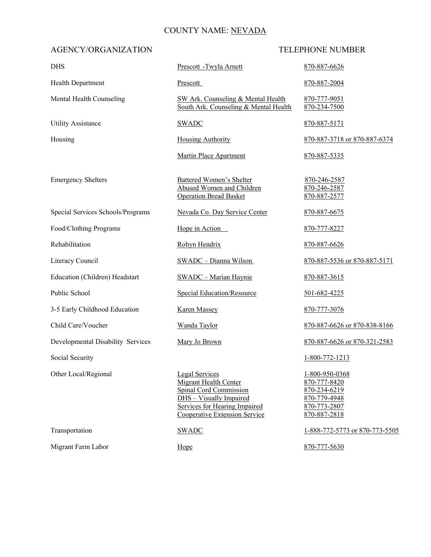## COUNTY NAME: NEVADA

| <b>DHS</b>                        | Prescott - Twyla Arnett                                                                                                                                                      | 870-887-6626                                                                                   |
|-----------------------------------|------------------------------------------------------------------------------------------------------------------------------------------------------------------------------|------------------------------------------------------------------------------------------------|
| Health Department                 | Prescott                                                                                                                                                                     | 870-887-2004                                                                                   |
| Mental Health Counseling          | <b>SW Ark. Counseling &amp; Mental Health</b><br>South Ark. Counseling & Mental Health                                                                                       | 870-777-9051<br>870-234-7500                                                                   |
| <b>Utility Assistance</b>         | <b>SWADC</b>                                                                                                                                                                 | 870-887-5171                                                                                   |
| Housing                           | <b>Housing Authority</b>                                                                                                                                                     | 870-887-3718 or 870-887-6374                                                                   |
|                                   | <b>Martin Place Apartment</b>                                                                                                                                                | 870-887-5335                                                                                   |
| <b>Emergency Shelters</b>         | <b>Battered Women's Shelter</b><br>Abused Women and Children<br><b>Operation Bread Basket</b>                                                                                | 870-246-2587<br>870-246-2587<br>870-887-2577                                                   |
| Special Services Schools/Programs | Nevada Co. Day Service Center                                                                                                                                                | 870-887-6675                                                                                   |
| Food/Clothing Programs            | Hope in Action                                                                                                                                                               | 870-777-8227                                                                                   |
| Rehabilitation                    | Robyn Hendrix                                                                                                                                                                | 870-887-6626                                                                                   |
| Literacy Council                  | SWADC - Dianna Wilson                                                                                                                                                        | 870-887-5536 or 870-887-5171                                                                   |
| Education (Children) Headstart    | <b>SWADC</b> - Marian Haynie                                                                                                                                                 | 870-887-3615                                                                                   |
| Public School                     | <b>Special Education/Resource</b>                                                                                                                                            | <u>501-682-4225</u>                                                                            |
| 3-5 Early Childhood Education     | <b>Karen Massey</b>                                                                                                                                                          | 870-777-3076                                                                                   |
| Child Care/Voucher                | <b>Wanda Taylor</b>                                                                                                                                                          | 870-887-6626 or 870-838-8166                                                                   |
| Developmental Disability Services | Mary Jo Brown                                                                                                                                                                | 870-887-6626 or 870-321-2583                                                                   |
| Social Security                   |                                                                                                                                                                              | 1-800-772-1213                                                                                 |
| Other Local/Regional              | <b>Legal Services</b><br>Migrant Health Center<br><b>Spinal Cord Commission</b><br>DHS - Visually Impaired<br>Services for Hearing Impaired<br>Cooperative Extension Service | 1-800-950-0368<br>870-777-8420<br>870-234-6219<br>870-779-4948<br>870-773-2807<br>870-887-2818 |
| Transportation                    | <b>SWADC</b>                                                                                                                                                                 | 1-888-772-5773 or 870-773-5505                                                                 |
| Migrant Farm Labor                | Hope                                                                                                                                                                         | 870-777-5630                                                                                   |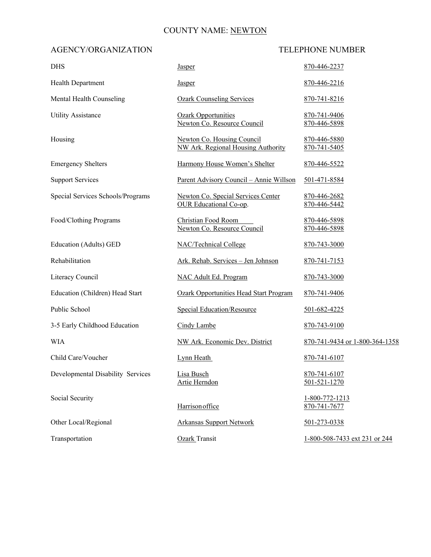## COUNTY NAME: NEWTON

| <b>DHS</b>                        | <b>Jasper</b>                                                           | 870-446-2237                   |
|-----------------------------------|-------------------------------------------------------------------------|--------------------------------|
| <b>Health Department</b>          | <b>Jasper</b>                                                           | 870-446-2216                   |
| Mental Health Counseling          | <b>Ozark Counseling Services</b>                                        | 870-741-8216                   |
| <b>Utility Assistance</b>         | <b>Ozark Opportunities</b><br>Newton Co. Resource Council               | 870-741-9406<br>870-446-5898   |
| Housing                           | <b>Newton Co. Housing Council</b><br>NW Ark. Regional Housing Authority | 870-446-5880<br>870-741-5405   |
| <b>Emergency Shelters</b>         | Harmony House Women's Shelter                                           | 870-446-5522                   |
| <b>Support Services</b>           | Parent Advisory Council - Annie Willson                                 | 501-471-8584                   |
| Special Services Schools/Programs | Newton Co. Special Services Center<br>OUR Educational Co-op.            | 870-446-2682<br>870-446-5442   |
| Food/Clothing Programs            | Christian Food Room<br>Newton Co. Resource Council                      | 870-446-5898<br>870-446-5898   |
| <b>Education (Adults) GED</b>     | NAC/Technical College                                                   | 870-743-3000                   |
| Rehabilitation                    | Ark. Rehab. Services - Jen Johnson                                      | 870-741-7153                   |
| Literacy Council                  | NAC Adult Ed. Program                                                   | 870-743-3000                   |
| Education (Children) Head Start   | <b>Ozark Opportunities Head Start Program</b>                           | 870-741-9406                   |
| Public School                     | <b>Special Education/Resource</b>                                       | 501-682-4225                   |
| 3-5 Early Childhood Education     | Cindy Lambe                                                             | 870-743-9100                   |
| <b>WIA</b>                        | NW Ark. Economic Dev. District                                          | 870-741-9434 or 1-800-364-1358 |
| Child Care/Voucher                | Lynn Heath                                                              | 870-741-6107                   |
| Developmental Disability Services | Lisa Busch<br>Artie Herndon                                             | 870-741-6107<br>501-521-1270   |
| Social Security                   | Harrison office                                                         | 1-800-772-1213<br>870-741-7677 |
| Other Local/Regional              | <b>Arkansas Support Network</b>                                         | 501-273-0338                   |
| Transportation                    | Ozark Transit                                                           | 1-800-508-7433 ext 231 or 244  |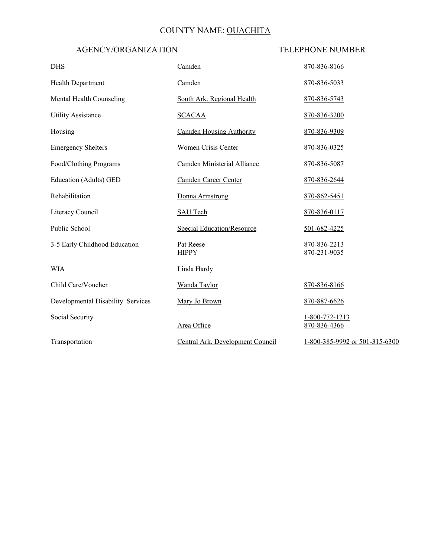### COUNTY NAME: OUACHITA

| <b>DHS</b>                        | Camden                             | 870-836-8166                   |
|-----------------------------------|------------------------------------|--------------------------------|
| <b>Health Department</b>          | Camden                             | 870-836-5033                   |
| Mental Health Counseling          | South Ark. Regional Health         | 870-836-5743                   |
| <b>Utility Assistance</b>         | <b>SCACAA</b>                      | 870-836-3200                   |
| Housing                           | <b>Camden Housing Authority</b>    | 870-836-9309                   |
| <b>Emergency Shelters</b>         | <b>Women Crisis Center</b>         | 870-836-0325                   |
| Food/Clothing Programs            | <b>Camden Ministerial Alliance</b> | 870-836-5087                   |
| <b>Education (Adults) GED</b>     | Camden Career Center               | 870-836-2644                   |
| Rehabilitation                    | Donna Armstrong                    | 870-862-5451                   |
| Literacy Council                  | <b>SAU Tech</b>                    | 870-836-0117                   |
| Public School                     | <b>Special Education/Resource</b>  | <u>501-682-4225</u>            |
| 3-5 Early Childhood Education     | Pat Reese<br><b>HIPPY</b>          | 870-836-2213<br>870-231-9035   |
| <b>WIA</b>                        | Linda Hardy                        |                                |
| Child Care/Voucher                | <b>Wanda Taylor</b>                | 870-836-8166                   |
| Developmental Disability Services | Mary Jo Brown                      | 870-887-6626                   |
| Social Security                   | Area Office                        | 1-800-772-1213<br>870-836-4366 |
| Transportation                    | Central Ark. Development Council   | 1-800-385-9992 or 501-315-6300 |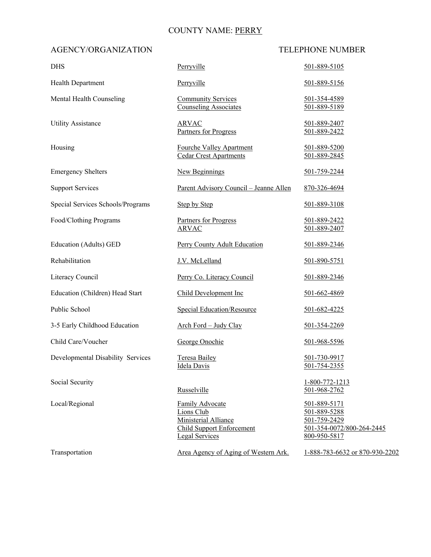## COUNTY NAME: PERRY

| <b>DHS</b>                        | Perryville                                                                                                                       | 501-889-5105                                                                              |
|-----------------------------------|----------------------------------------------------------------------------------------------------------------------------------|-------------------------------------------------------------------------------------------|
| <b>Health Department</b>          | Perryville                                                                                                                       | 501-889-5156                                                                              |
| Mental Health Counseling          | <b>Community Services</b><br><b>Counseling Associates</b>                                                                        | 501-354-4589<br>501-889-5189                                                              |
| <b>Utility Assistance</b>         | ARVAC<br><b>Partners for Progress</b>                                                                                            | 501-889-2407<br>501-889-2422                                                              |
| Housing                           | <b>Fourche Valley Apartment</b><br><b>Cedar Crest Apartments</b>                                                                 | 501-889-5200<br>501-889-2845                                                              |
| <b>Emergency Shelters</b>         | <b>New Beginnings</b>                                                                                                            | 501-759-2244                                                                              |
| <b>Support Services</b>           | Parent Advisory Council - Jeanne Allen                                                                                           | 870-326-4694                                                                              |
| Special Services Schools/Programs | <b>Step by Step</b>                                                                                                              | 501-889-3108                                                                              |
| Food/Clothing Programs            | Partners for Progress<br><b>ARVAC</b>                                                                                            | 501-889-2422<br>501-889-2407                                                              |
| Education (Adults) GED            | Perry County Adult Education                                                                                                     | 501-889-2346                                                                              |
| Rehabilitation                    | J.V. McLelland                                                                                                                   | 501-890-5751                                                                              |
| Literacy Council                  | Perry Co. Literacy Council                                                                                                       | 501-889-2346                                                                              |
| Education (Children) Head Start   | Child Development Inc                                                                                                            | 501-662-4869                                                                              |
| Public School                     | <b>Special Education/Resource</b>                                                                                                | 501-682-4225                                                                              |
| 3-5 Early Childhood Education     | Arch Ford - Judy Clay                                                                                                            | 501-354-2269                                                                              |
| Child Care/Voucher                | George Onochie                                                                                                                   | 501-968-5596                                                                              |
| Developmental Disability Services | Teresa Bailey<br>Idela Davis                                                                                                     | 501-730-9917<br>501-754-2355                                                              |
| Social Security                   | Russelville                                                                                                                      | 1-800-772-1213<br>501-968-2762                                                            |
| Local/Regional                    | <b>Family Advocate</b><br><b>Lions Club</b><br>Ministerial Alliance<br><b>Child Support Enforcement</b><br><b>Legal Services</b> | 501-889-5171<br>501-889-5288<br>501-759-2429<br>501-354-0072/800-264-2445<br>800-950-5817 |
| Transportation                    | Area Agency of Aging of Western Ark.                                                                                             | 1-888-783-6632 or 870-930-2202                                                            |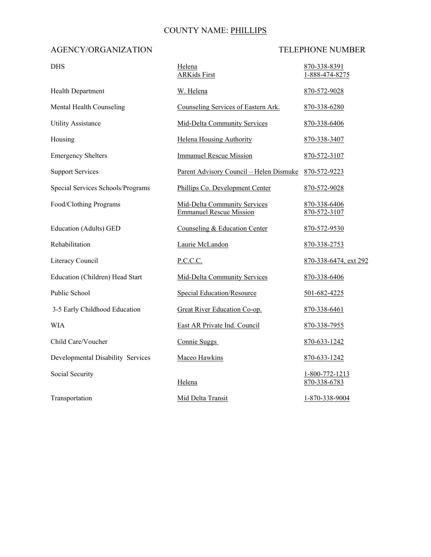## COUNTY NAME: PHILLIPS

| <b>DHS</b>                        | Helena<br><b>ARKids First</b>                                         | 870-338-8391<br>1-888-474-8275 |
|-----------------------------------|-----------------------------------------------------------------------|--------------------------------|
| <b>Health Department</b>          | W. Helena                                                             | 870-572-9028                   |
| Mental Health Counseling          | Counseling Services of Eastern Ark.                                   | 870-338-6280                   |
| <b>Utility Assistance</b>         | Mid-Delta Community Services                                          | 870-338-6406                   |
| Housing                           | <b>Helena Housing Authority</b>                                       | 870-338-3407                   |
| <b>Emergency Shelters</b>         | <b>Immanuel Rescue Mission</b>                                        | 870-572-3107                   |
| <b>Support Services</b>           | <u> Parent Advisory Council – Helen Dismuke 870-572-9223</u>          |                                |
| Special Services Schools/Programs | Phillips Co. Development Center                                       | 870-572-9028                   |
| <b>Food/Clothing Programs</b>     | <b>Mid-Delta Community Services</b><br><b>Emmanuel Rescue Mission</b> | 870-338-6406<br>870-572-3107   |
| <b>Education (Adults) GED</b>     | Counseling & Education Center                                         | 870-572-9530                   |
| Rehabilitation                    | Laurie McLandon                                                       | 870-338-2753                   |
| Literacy Council                  | P.C.C.C.                                                              | 870-338-6474, ext 292          |
| Education (Children) Head Start   | Mid-Delta Community Services                                          | 870-338-6406                   |
| Public School                     | <b>Special Education/Resource</b>                                     | 501-682-4225                   |
| 3-5 Early Childhood Education     | Great River Education Co-op.                                          | 870-338-6461                   |
| WIA                               | East AR Private Ind. Council                                          | 870-338-7955                   |
| Child Care/Voucher                | Connie Suggs                                                          | 870-633-1242                   |
| Developmental Disability Services | Maceo Hawkins                                                         | 870-633-1242                   |
| Social Security                   | Helena                                                                | 1-800-772-1213<br>870-338-6783 |
| Transportation                    | Mid Delta Transit                                                     | 1-870-338-9004                 |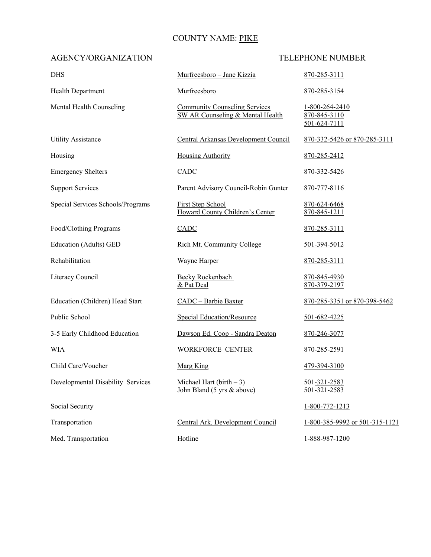## COUNTY NAME: PIKE

| <b>DHS</b>                        | Murfreesboro - Jane Kizzia                                               | 870-285-3111                                   |
|-----------------------------------|--------------------------------------------------------------------------|------------------------------------------------|
| <b>Health Department</b>          | Murfreesboro                                                             | 870-285-3154                                   |
| Mental Health Counseling          | <b>Community Counseling Services</b><br>SW AR Counseling & Mental Health | 1-800-264-2410<br>870-845-3110<br>501-624-7111 |
| <b>Utility Assistance</b>         | Central Arkansas Development Council                                     | 870-332-5426 or 870-285-3111                   |
| Housing                           | <b>Housing Authority</b>                                                 | 870-285-2412                                   |
| <b>Emergency Shelters</b>         | <b>CADC</b>                                                              | 870-332-5426                                   |
| <b>Support Services</b>           | Parent Advisory Council-Robin Gunter                                     | 870-777-8116                                   |
| Special Services Schools/Programs | <b>First Step School</b><br>Howard County Children's Center              | 870-624-6468<br>870-845-1211                   |
| Food/Clothing Programs            | <b>CADC</b>                                                              | 870-285-3111                                   |
| Education (Adults) GED            | Rich Mt. Community College                                               | 501-394-5012                                   |
| Rehabilitation                    | Wayne Harper                                                             | 870-285-3111                                   |
| Literacy Council                  | <b>Becky Rockenbach</b><br>& Pat Deal                                    | 870-845-4930<br>870-379-2197                   |
| Education (Children) Head Start   | CADC - Barbie Baxter                                                     | 870-285-3351 or 870-398-5462                   |
| Public School                     | <b>Special Education/Resource</b>                                        | 501-682-4225                                   |
| 3-5 Early Childhood Education     | Dawson Ed. Coop - Sandra Deaton                                          | 870-246-3077                                   |
| <b>WIA</b>                        | <b>WORKFORCE CENTER</b>                                                  | 870-285-2591                                   |
| Child Care/Voucher                | Marg King                                                                | 479-394-3100                                   |
| Developmental Disability Services | Michael Hart (birth $-3$ )<br>John Bland (5 yrs & above)                 | 501-321-2583<br>501-321-2583                   |
| Social Security                   |                                                                          | $1 - 800 - 772 - 1213$                         |
| Transportation                    | Central Ark. Development Council                                         | 1-800-385-9992 or 501-315-1121                 |
| Med. Transportation               | Hotline                                                                  | 1-888-987-1200                                 |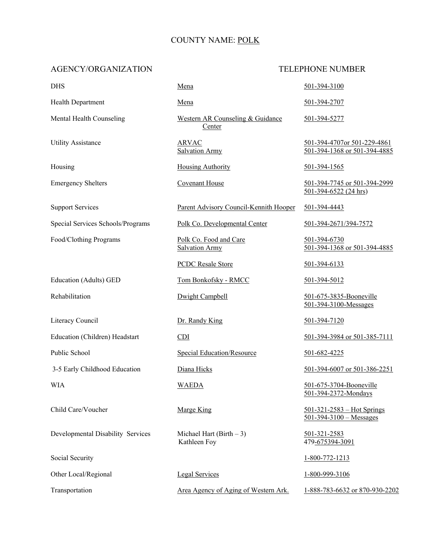## COUNTY NAME: POLK

| <b>DHS</b>                        | Mena                                            | 501-394-3100                                                  |
|-----------------------------------|-------------------------------------------------|---------------------------------------------------------------|
| <b>Health Department</b>          | Mena                                            | 501-394-2707                                                  |
| Mental Health Counseling          | Western AR Counseling & Guidance<br>Center      | 501-394-5277                                                  |
| <b>Utility Assistance</b>         | <b>ARVAC</b><br><b>Salvation Army</b>           | 501-394-4707or 501-229-4861<br>501-394-1368 or 501-394-4885   |
| Housing                           | <b>Housing Authority</b>                        | 501-394-1565                                                  |
| <b>Emergency Shelters</b>         | <b>Covenant House</b>                           | 501-394-7745 or 501-394-2999<br>$501-394-6522(24)$ hrs)       |
| <b>Support Services</b>           | Parent Advisory Council-Kennith Hooper          | 501-394-4443                                                  |
| Special Services Schools/Programs | Polk Co. Developmental Center                   | 501-394-2671/394-7572                                         |
| Food/Clothing Programs            | Polk Co. Food and Care<br><b>Salvation Army</b> | 501-394-6730<br>501-394-1368 or 501-394-4885                  |
|                                   | <b>PCDC</b> Resale Store                        | 501-394-6133                                                  |
| Education (Adults) GED            | Tom Bonkofsky - RMCC                            | 501-394-5012                                                  |
| Rehabilitation                    | <b>Dwight Campbell</b>                          | 501-675-3835-Booneville<br>501-394-3100-Messages              |
| Literacy Council                  | Dr. Randy King                                  | 501-394-7120                                                  |
| Education (Children) Headstart    | <b>CDI</b>                                      | 501-394-3984 or 501-385-7111                                  |
| Public School                     | <b>Special Education/Resource</b>               | 501-682-4225                                                  |
| 3-5 Early Childhood Education     | Diana Hicks                                     | 501-394-6007 or 501-386-2251                                  |
| <b>WIA</b>                        | <b>WAEDA</b>                                    | 501-675-3704-Booneville<br>501-394-2372-Mondays               |
| Child Care/Voucher                | <b>Marge King</b>                               | $501 - 321 - 2583$ – Hot Springs<br>$501-394-3100$ – Messages |
| Developmental Disability Services | Michael Hart (Birth $-3$ )<br>Kathleen Foy      | 501-321-2583<br>479-675394-3091                               |
| Social Security                   |                                                 | 1-800-772-1213                                                |
| Other Local/Regional              | <b>Legal Services</b>                           | 1-800-999-3106                                                |
| Transportation                    | Area Agency of Aging of Western Ark.            | 1-888-783-6632 or 870-930-2202                                |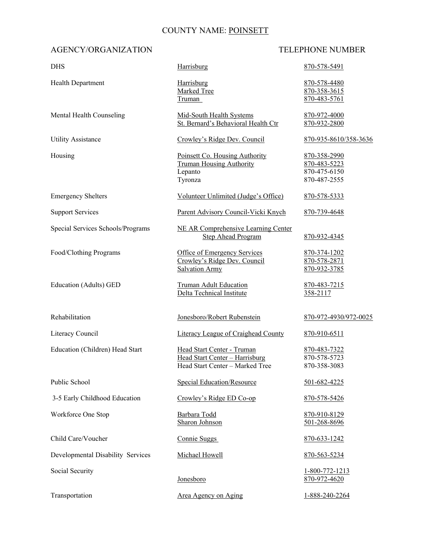## COUNTY NAME: POINSETT

| <b>DHS</b>                        | Harrisburg                                                                                      | 870-578-5491                                                 |
|-----------------------------------|-------------------------------------------------------------------------------------------------|--------------------------------------------------------------|
| <b>Health Department</b>          | Harrisburg<br>Marked Tree<br>Truman                                                             | 870-578-4480<br>870-358-3615<br>870-483-5761                 |
| Mental Health Counseling          | Mid-South Health Systems<br>St. Bernard's Behavioral Health Ctr                                 | 870-972-4000<br>870-932-2800                                 |
| <b>Utility Assistance</b>         | Crowley's Ridge Dev. Council                                                                    | 870-935-8610/358-3636                                        |
| Housing                           | Poinsett Co. Housing Authority<br><b>Truman Housing Authority</b><br>Lepanto<br>Tyronza         | 870-358-2990<br>870-483-5223<br>870-475-6150<br>870-487-2555 |
| <b>Emergency Shelters</b>         | Volunteer Unlimited (Judge's Office)                                                            | 870-578-5333                                                 |
| <b>Support Services</b>           | Parent Advisory Council-Vicki Knych                                                             | 870-739-4648                                                 |
| Special Services Schools/Programs | <b>NE AR Comprehensive Learning Center</b><br><b>Step Ahead Program</b>                         | 870-932-4345                                                 |
| Food/Clothing Programs            | Office of Emergency Services<br>Crowley's Ridge Dev. Council<br><b>Salvation Army</b>           | 870-374-1202<br>870-578-2871<br>870-932-3785                 |
| Education (Adults) GED            | <b>Truman Adult Education</b><br>Delta Technical Institute                                      | 870-483-7215<br>358-2117                                     |
| Rehabilitation                    | Jonesboro/Robert Rubenstein                                                                     | 870-972-4930/972-0025                                        |
| Literacy Council                  | Literacy League of Craighead County                                                             | 870-910-6511                                                 |
| Education (Children) Head Start   | Head Start Center - Truman<br>Head Start Center - Harrisburg<br>Head Start Center - Marked Tree | 870-483-7322<br>870-578-5723<br>870-358-3083                 |
| Public School                     | <b>Special Education/Resource</b>                                                               | 501-682-4225                                                 |
| 3-5 Early Childhood Education     | Crowley's Ridge ED Co-op                                                                        | 870-578-5426                                                 |
| Workforce One Stop                | Barbara Todd<br>Sharon Johnson                                                                  | 870-910-8129<br>501-268-8696                                 |
| Child Care/Voucher                | Connie Suggs                                                                                    | 870-633-1242                                                 |
| Developmental Disability Services | Michael Howell                                                                                  | 870-563-5234                                                 |
| Social Security                   | Jonesboro                                                                                       | 1-800-772-1213<br>870-972-4620                               |
| Transportation                    | Area Agency on Aging                                                                            | 1-888-240-2264                                               |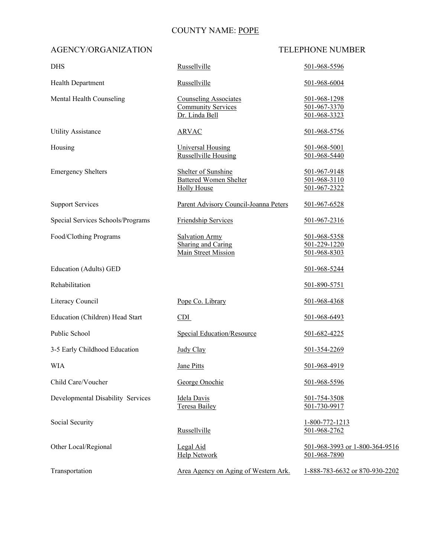## COUNTY NAME: POPE

| <b>DHS</b>                        | Russellville                                                                | 501-968-5596                                   |
|-----------------------------------|-----------------------------------------------------------------------------|------------------------------------------------|
| Health Department                 | Russellville                                                                | 501-968-6004                                   |
| Mental Health Counseling          | <b>Counseling Associates</b><br><b>Community Services</b><br>Dr. Linda Bell | 501-968-1298<br>501-967-3370<br>501-968-3323   |
| <b>Utility Assistance</b>         | <b>ARVAC</b>                                                                | 501-968-5756                                   |
| Housing                           | <b>Universal Housing</b><br><b>Russellville Housing</b>                     | 501-968-5001<br>501-968-5440                   |
| <b>Emergency Shelters</b>         | Shelter of Sunshine<br><b>Battered Women Shelter</b><br><b>Holly House</b>  | 501-967-9148<br>501-968-3110<br>501-967-2322   |
| <b>Support Services</b>           | Parent Advisory Council-Joanna Peters                                       | 501-967-6528                                   |
| Special Services Schools/Programs | Friendship Services                                                         | 501-967-2316                                   |
| Food/Clothing Programs            | <b>Salvation Army</b><br>Sharing and Caring<br><b>Main Street Mission</b>   | 501-968-5358<br>501-229-1220<br>501-968-8303   |
| Education (Adults) GED            |                                                                             | 501-968-5244                                   |
| Rehabilitation                    |                                                                             | 501-890-5751                                   |
| Literacy Council                  | Pope Co. Library                                                            | <u>501-968-4368</u>                            |
| Education (Children) Head Start   | CDI                                                                         | 501-968-6493                                   |
| Public School                     | <b>Special Education/Resource</b>                                           | 501-682-4225                                   |
| 3-5 Early Childhood Education     | Judy Clay                                                                   | 501-354-2269                                   |
| <b>WIA</b>                        | <b>Jane Pitts</b>                                                           | 501-968-4919                                   |
| Child Care/Voucher                | George Onochie                                                              | 501-968-5596                                   |
| Developmental Disability Services | <b>Idela Davis</b><br><b>Teresa Bailey</b>                                  | 501-754-3508<br>501-730-9917                   |
| Social Security                   | Russellville                                                                | 1-800-772-1213<br>501-968-2762                 |
| Other Local/Regional              | <b>Legal Aid</b><br><b>Help Network</b>                                     | 501-968-3993 or 1-800-364-9516<br>501-968-7890 |
| Transportation                    | Area Agency on Aging of Western Ark.                                        | 1-888-783-6632 or 870-930-2202                 |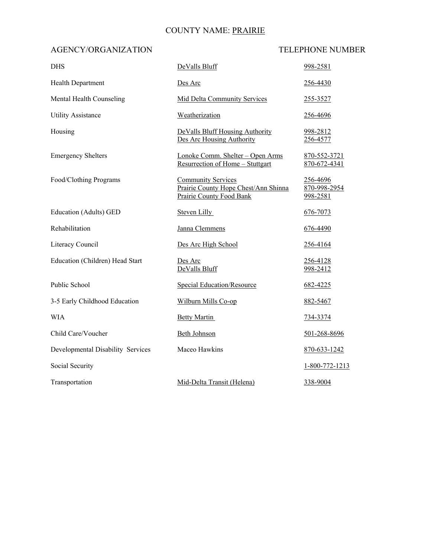## COUNTY NAME: PRAIRIE

| <b>DHS</b>                        | DeValls Bluff                                                                                        | 998-2581                             |
|-----------------------------------|------------------------------------------------------------------------------------------------------|--------------------------------------|
| Health Department                 | Des Arc                                                                                              | 256-4430                             |
| Mental Health Counseling          | <b>Mid Delta Community Services</b>                                                                  | 255-3527                             |
| <b>Utility Assistance</b>         | Weatherization                                                                                       | 256-4696                             |
| Housing                           | DeValls Bluff Housing Authority<br>Des Arc Housing Authority                                         | 998-2812<br>256-4577                 |
| <b>Emergency Shelters</b>         | Lonoke Comm. Shelter - Open Arms<br>Resurrection of Home - Stuttgart                                 | 870-552-3721<br>870-672-4341         |
| Food/Clothing Programs            | <b>Community Services</b><br>Prairie County Hope Chest/Ann Shinna<br><b>Prairie County Food Bank</b> | 256-4696<br>870-998-2954<br>998-2581 |
| <b>Education (Adults) GED</b>     | Steven Lilly                                                                                         | 676-7073                             |
| Rehabilitation                    | Janna Clemmens                                                                                       | 676-4490                             |
| Literacy Council                  | Des Arc High School                                                                                  | 256-4164                             |
| Education (Children) Head Start   | Des Arc<br>DeValls Bluff                                                                             | 256-4128<br>998-2412                 |
| Public School                     | <b>Special Education/Resource</b>                                                                    | 682-4225                             |
| 3-5 Early Childhood Education     | Wilburn Mills Co-op                                                                                  | 882-5467                             |
| <b>WIA</b>                        | <b>Betty Martin</b>                                                                                  | 734-3374                             |
| Child Care/Voucher                | <b>Beth Johnson</b>                                                                                  | 501-268-8696                         |
| Developmental Disability Services | Maceo Hawkins                                                                                        | 870-633-1242                         |
| Social Security                   |                                                                                                      | 1-800-772-1213                       |
| Transportation                    | Mid-Delta Transit (Helena)                                                                           | 338-9004                             |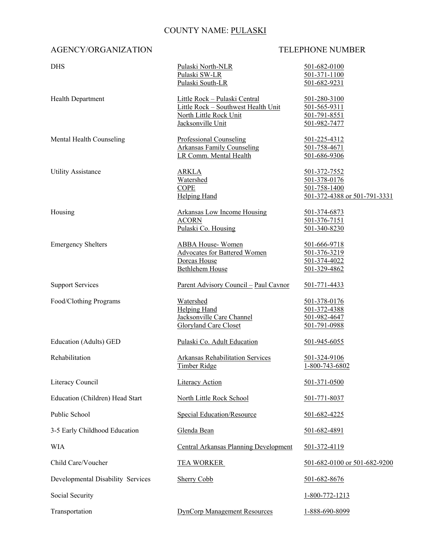## COUNTY NAME: PULASKI

| <b>DHS</b>                        | Pulaski North-NLR<br>Pulaski SW-LR<br>Pulaski South-LR                                                              | 501-682-0100<br>501-371-1100<br>501-682-9231                                 |
|-----------------------------------|---------------------------------------------------------------------------------------------------------------------|------------------------------------------------------------------------------|
| <b>Health Department</b>          | Little Rock - Pulaski Central<br>Little Rock - Southwest Health Unit<br>North Little Rock Unit<br>Jacksonville Unit | 501-280-3100<br>501-565-9311<br>501-791-8551<br>501-982-7477                 |
| Mental Health Counseling          | <b>Professional Counseling</b><br><b>Arkansas Family Counseling</b><br>LR Comm. Mental Health                       | 501-225-4312<br>501-758-4671<br>501-686-9306                                 |
| <b>Utility Assistance</b>         | <u>ARKLA</u><br>Watershed<br>COPE<br><b>Helping Hand</b>                                                            | 501-372-7552<br>501-378-0176<br>501-758-1400<br>501-372-4388 or 501-791-3331 |
| Housing                           | <b>Arkansas Low Income Housing</b><br><b>ACORN</b><br>Pulaski Co. Housing                                           | 501-374-6873<br>501-376-7151<br>501-340-8230                                 |
| <b>Emergency Shelters</b>         | <b>ABBA House-Women</b><br><b>Advocates for Battered Women</b><br>Dorcas House<br><b>Bethlehem House</b>            | 501-666-9718<br>501-376-3219<br>501-374-4022<br>501-329-4862                 |
| <b>Support Services</b>           | Parent Advisory Council - Paul Cavnor                                                                               | 501-771-4433                                                                 |
| Food/Clothing Programs            | Watershed<br><b>Helping Hand</b><br>Jacksonville Care Channel<br><b>Gloryland Care Closet</b>                       | 501-378-0176<br>501-372-4388<br>501-982-4647<br>501-791-0988                 |
| Education (Adults) GED            | Pulaski Co. Adult Education                                                                                         | 501-945-6055                                                                 |
| Rehabilitation                    | <b>Arkansas Rehabilitation Services</b><br>Timber Ridge                                                             | 501-324-9106<br>1-800-743-6802                                               |
| Literacy Council                  | <b>Literacy Action</b>                                                                                              | 501-371-0500                                                                 |
| Education (Children) Head Start   | North Little Rock School                                                                                            | 501-771-8037                                                                 |
| Public School                     | <b>Special Education/Resource</b>                                                                                   | 501-682-4225                                                                 |
| 3-5 Early Childhood Education     | Glenda Bean                                                                                                         | 501-682-4891                                                                 |
| WIA                               | Central Arkansas Planning Development                                                                               | 501-372-4119                                                                 |
| Child Care/Voucher                | <b>TEA WORKER</b>                                                                                                   | 501-682-0100 or 501-682-9200                                                 |
| Developmental Disability Services | <b>Sherry Cobb</b>                                                                                                  | 501-682-8676                                                                 |
| Social Security                   |                                                                                                                     | 1-800-772-1213                                                               |
| Transportation                    | <b>DynCorp Management Resources</b>                                                                                 | 1-888-690-8099                                                               |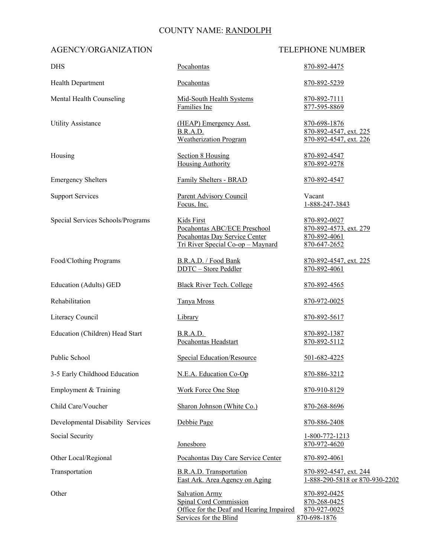## COUNTY NAME: RANDOLPH

| <b>DHS</b>                        | Pocahontas                                                                                                                   | 870-892-4475                                                           |
|-----------------------------------|------------------------------------------------------------------------------------------------------------------------------|------------------------------------------------------------------------|
| Health Department                 | Pocahontas                                                                                                                   | 870-892-5239                                                           |
| Mental Health Counseling          | Mid-South Health Systems<br>Families Inc                                                                                     | 870-892-7111<br>877-595-8869                                           |
| <b>Utility Assistance</b>         | (HEAP) Emergency Asst.<br>B.R.A.D.<br><b>Weatherization Program</b>                                                          | 870-698-1876<br>870-892-4547, ext. 225<br>870-892-4547, ext. 226       |
| Housing                           | <b>Section 8 Housing</b><br><b>Housing Authority</b>                                                                         | 870-892-4547<br>870-892-9278                                           |
| <b>Emergency Shelters</b>         | Family Shelters - BRAD                                                                                                       | 870-892-4547                                                           |
| <b>Support Services</b>           | <b>Parent Advisory Council</b><br>Focus, Inc.                                                                                | Vacant<br>1-888-247-3843                                               |
| Special Services Schools/Programs | <b>Kids First</b><br>Pocahontas ABC/ECE Preschool<br>Pocahontas Day Service Center<br>Tri River Special Co-op - Maynard      | 870-892-0027<br>870-892-4573, ext. 279<br>870-892-4061<br>870-647-2652 |
| Food/Clothing Programs            | B.R.A.D. / Food Bank<br><b>DDTC</b> - Store Peddler                                                                          | 870-892-4547, ext. 225<br>870-892-4061                                 |
| Education (Adults) GED            | <b>Black River Tech. College</b>                                                                                             | 870-892-4565                                                           |
| Rehabilitation                    | Tanya Mross                                                                                                                  | 870-972-0025                                                           |
| Literacy Council                  | Library                                                                                                                      | 870-892-5617                                                           |
| Education (Children) Head Start   | B.R.A.D.<br>Pocahontas Headstart                                                                                             | 870-892-1387<br>870-892-5112                                           |
| Public School                     | Special Education/Resource                                                                                                   | 501-682-4225                                                           |
| 3-5 Early Childhood Education     | N.E.A. Education Co-Op                                                                                                       | 870-886-3212                                                           |
| Employment & Training             | <b>Work Force One Stop</b>                                                                                                   | 870-910-8129                                                           |
| Child Care/Voucher                | Sharon Johnson (White Co.)                                                                                                   | 870-268-8696                                                           |
| Developmental Disability Services | Debbie Page                                                                                                                  | 870-886-2408                                                           |
| Social Security                   | Jonesboro                                                                                                                    | <u>1-800-772-1213</u><br>870-972-4620                                  |
| Other Local/Regional              | Pocahontas Day Care Service Center                                                                                           | 870-892-4061                                                           |
| Transportation                    | B.R.A.D. Transportation<br>East Ark. Area Agency on Aging                                                                    | 870-892-4547, ext. 244<br>1-888-290-5818 or 870-930-2202               |
| Other                             | <b>Salvation Army</b><br><b>Spinal Cord Commission</b><br>Office for the Deaf and Hearing Impaired<br>Services for the Blind | 870-892-0425<br>870-268-0425<br>870-927-0025<br>870-698-1876           |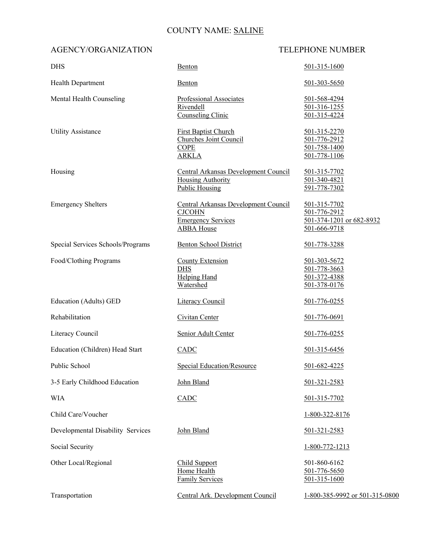## COUNTY NAME: SALINE

| <b>DHS</b>                        | Benton                                                                                                  | 501-315-1600                                                             |
|-----------------------------------|---------------------------------------------------------------------------------------------------------|--------------------------------------------------------------------------|
| <b>Health Department</b>          | <b>Benton</b>                                                                                           | 501-303-5650                                                             |
| Mental Health Counseling          | Professional Associates<br>Rivendell<br><b>Counseling Clinic</b>                                        | 501-568-4294<br>501-316-1255<br>501-315-4224                             |
| <b>Utility Assistance</b>         | <b>First Baptist Church</b><br>Churches Joint Council<br>COPE<br><b>ARKLA</b>                           | 501-315-2270<br>501-776-2912<br>501-758-1400<br>501-778-1106             |
| Housing                           | Central Arkansas Development Council<br><b>Housing Authority</b><br><b>Public Housing</b>               | 501-315-7702<br>501-340-4821<br>591-778-7302                             |
| <b>Emergency Shelters</b>         | Central Arkansas Development Council<br><b>CJCOHN</b><br><b>Emergency Services</b><br><b>ABBA House</b> | 501-315-7702<br>501-776-2912<br>501-374-1201 or 682-8932<br>501-666-9718 |
| Special Services Schools/Programs | <b>Benton School District</b>                                                                           | 501-778-3288                                                             |
| Food/Clothing Programs            | <b>County Extension</b><br><b>DHS</b><br><b>Helping Hand</b><br>Watershed                               | 501-303-5672<br>501-778-3663<br>501-372-4388<br>501-378-0176             |
| Education (Adults) GED            | <b>Literacy Council</b>                                                                                 | 501-776-0255                                                             |
| Rehabilitation                    | Civitan Center                                                                                          | 501-776-0691                                                             |
| Literacy Council                  | Senior Adult Center                                                                                     | 501-776-0255                                                             |
| Education (Children) Head Start   | CADC                                                                                                    | 501-315-6456                                                             |
| Public School                     | <b>Special Education/Resource</b>                                                                       | 501-682-4225                                                             |
| 3-5 Early Childhood Education     | John Bland                                                                                              | 501-321-2583                                                             |
| <b>WIA</b>                        | CADC                                                                                                    | 501-315-7702                                                             |
| Child Care/Voucher                |                                                                                                         | 1-800-322-8176                                                           |
| Developmental Disability Services | John Bland                                                                                              | 501-321-2583                                                             |
| Social Security                   |                                                                                                         | 1-800-772-1213                                                           |
| Other Local/Regional              | Child Support<br>Home Health<br><b>Family Services</b>                                                  | 501-860-6162<br>501-776-5650<br>501-315-1600                             |
| Transportation                    | Central Ark. Development Council                                                                        | 1-800-385-9992 or 501-315-0800                                           |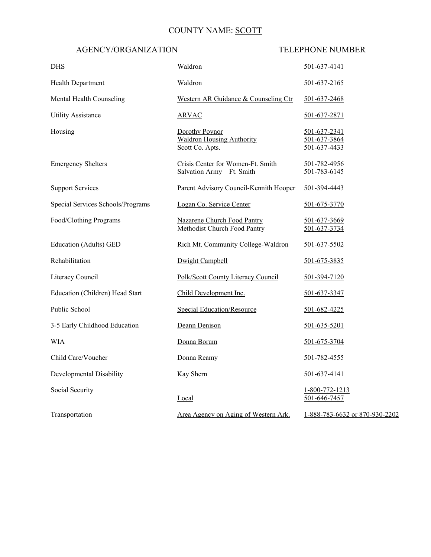### COUNTY NAME: SCOTT

| <b>DHS</b>                        | Waldron                                                               | 501-637-4141                                 |
|-----------------------------------|-----------------------------------------------------------------------|----------------------------------------------|
| <b>Health Department</b>          | Waldron                                                               | 501-637-2165                                 |
| Mental Health Counseling          | Western AR Guidance & Counseling Ctr                                  | 501-637-2468                                 |
| <b>Utility Assistance</b>         | <b>ARVAC</b>                                                          | 501-637-2871                                 |
| Housing                           | Dorothy Poynor<br><b>Waldron Housing Authority</b><br>Scott Co. Apts. | 501-637-2341<br>501-637-3864<br>501-637-4433 |
| <b>Emergency Shelters</b>         | Crisis Center for Women-Ft. Smith<br>Salvation Army - Ft. Smith       | 501-782-4956<br>501-783-6145                 |
| <b>Support Services</b>           | Parent Advisory Council-Kennith Hooper                                | 501-394-4443                                 |
| Special Services Schools/Programs | Logan Co. Service Center                                              | 501-675-3770                                 |
| Food/Clothing Programs            | Nazarene Church Food Pantry<br>Methodist Church Food Pantry           | 501-637-3669<br>501-637-3734                 |
| <b>Education (Adults) GED</b>     | Rich Mt. Community College-Waldron                                    | 501-637-5502                                 |
| Rehabilitation                    | <b>Dwight Campbell</b>                                                | 501-675-3835                                 |
| Literacy Council                  | Polk/Scott County Literacy Council                                    | 501-394-7120                                 |
| Education (Children) Head Start   | Child Development Inc.                                                | 501-637-3347                                 |
| <b>Public School</b>              | <b>Special Education/Resource</b>                                     | 501-682-4225                                 |
| 3-5 Early Childhood Education     | Deann Denison                                                         | 501-635-5201                                 |
| <b>WIA</b>                        | Donna Borum                                                           | 501-675-3704                                 |
| Child Care/Voucher                | Donna Reamy                                                           | 501-782-4555                                 |
| Developmental Disability          | <b>Kay Shern</b>                                                      | 501-637-4141                                 |
| Social Security                   | Local                                                                 | 1-800-772-1213<br>501-646-7457               |
| Transportation                    | Area Agency on Aging of Western Ark.                                  | 1-888-783-6632 or 870-930-2202               |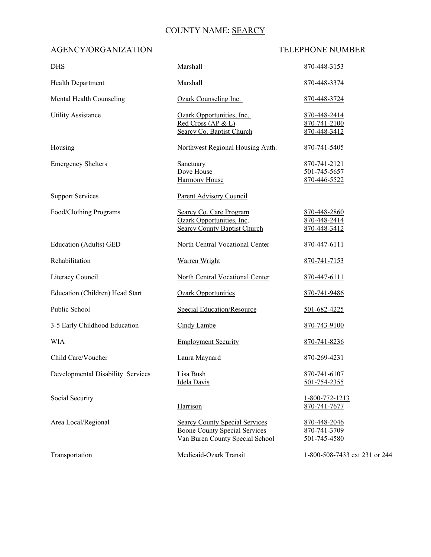## COUNTY NAME: SEARCY

| <b>DHS</b>                             | Marshall                                                                                                         | 870-448-3153                                 |
|----------------------------------------|------------------------------------------------------------------------------------------------------------------|----------------------------------------------|
| <b>Health Department</b>               | Marshall                                                                                                         | 870-448-3374                                 |
| Mental Health Counseling               | Ozark Counseling Inc.                                                                                            | 870-448-3724                                 |
| <b>Utility Assistance</b>              | Ozark Opportunities, Inc.<br>Red Cross (AP & L)<br>Searcy Co. Baptist Church                                     | 870-448-2414<br>870-741-2100<br>870-448-3412 |
| Housing                                | Northwest Regional Housing Auth.                                                                                 | 870-741-5405                                 |
| <b>Emergency Shelters</b>              | Sanctuary<br>Dove House<br><b>Harmony House</b>                                                                  | 870-741-2121<br>501-745-5657<br>870-446-5522 |
| <b>Support Services</b>                | <b>Parent Advisory Council</b>                                                                                   |                                              |
| Food/Clothing Programs                 | Searcy Co. Care Program<br>Ozark Opportunities, Inc.<br><b>Searcy County Baptist Church</b>                      | 870-448-2860<br>870-448-2414<br>870-448-3412 |
| <b>Education (Adults) GED</b>          | North Central Vocational Center                                                                                  | 870-447-6111                                 |
| Rehabilitation                         | <b>Warren Wright</b>                                                                                             | 870-741-7153                                 |
| Literacy Council                       | <b>North Central Vocational Center</b>                                                                           | 870-447-6111                                 |
| <b>Education (Children) Head Start</b> | <b>Ozark Opportunities</b>                                                                                       | 870-741-9486                                 |
| Public School                          | <b>Special Education/Resource</b>                                                                                | 501-682-4225                                 |
| 3-5 Early Childhood Education          | Cindy Lambe                                                                                                      | 870-743-9100                                 |
| WIA                                    | <b>Employment Security</b>                                                                                       | 870-741-8236                                 |
| Child Care/Voucher                     | Laura Maynard                                                                                                    | 870-269-4231                                 |
| Developmental Disability Services      | Lisa Bush<br><b>Idela Davis</b>                                                                                  | 870-741-6107<br>501-754-2355                 |
| <b>Social Security</b>                 | Harrison                                                                                                         | 1-800-772-1213<br>870-741-7677               |
| Area Local/Regional                    | <b>Searcy County Special Services</b><br><b>Boone County Special Services</b><br>Van Buren County Special School | 870-448-2046<br>870-741-3709<br>501-745-4580 |
| Transportation                         | Medicaid-Ozark Transit                                                                                           | 1-800-508-7433 ext 231 or 244                |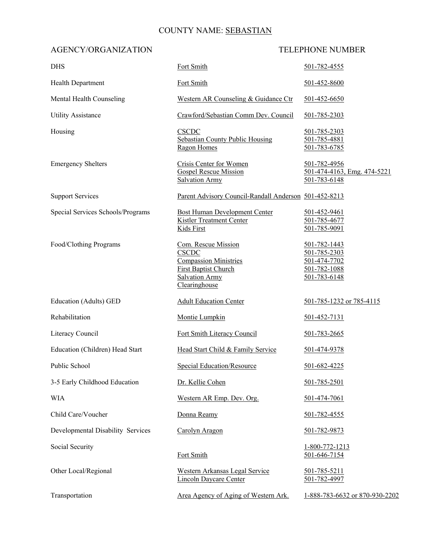## COUNTY NAME: SEBASTIAN

| <b>DHS</b>                        | Fort Smith                                                                                                                            | 501-782-4555                                                                 |
|-----------------------------------|---------------------------------------------------------------------------------------------------------------------------------------|------------------------------------------------------------------------------|
| <b>Health Department</b>          | Fort Smith                                                                                                                            | 501-452-8600                                                                 |
| Mental Health Counseling          | Western AR Counseling & Guidance Ctr                                                                                                  | 501-452-6650                                                                 |
| <b>Utility Assistance</b>         | Crawford/Sebastian Comm Dev. Council                                                                                                  | 501-785-2303                                                                 |
| Housing                           | <b>CSCDC</b><br><b>Sebastian County Public Housing</b><br>Ragon Homes                                                                 | 501-785-2303<br>501-785-4881<br>501-783-6785                                 |
| <b>Emergency Shelters</b>         | <b>Crisis Center for Women</b><br><b>Gospel Rescue Mission</b><br><b>Salvation Army</b>                                               | 501-782-4956<br>501-474-4163, Emg. 474-5221<br>501-783-6148                  |
| <b>Support Services</b>           | Parent Advisory Council-Randall Anderson 501-452-8213                                                                                 |                                                                              |
| Special Services Schools/Programs | <b>Bost Human Development Center</b><br><b>Kistler Treatment Center</b><br><b>Kids First</b>                                          | 501-452-9461<br>501-785-4677<br>501-785-9091                                 |
| Food/Clothing Programs            | Com. Rescue Mission<br>CSCDC<br><b>Compassion Ministries</b><br><b>First Baptist Church</b><br><b>Salvation Army</b><br>Clearinghouse | 501-782-1443<br>501-785-2303<br>501-474-7702<br>501-782-1088<br>501-783-6148 |
| Education (Adults) GED            | <b>Adult Education Center</b>                                                                                                         | 501-785-1232 or 785-4115                                                     |
| Rehabilitation                    | Montie Lumpkin                                                                                                                        | 501-452-7131                                                                 |
| Literacy Council                  | Fort Smith Literacy Council                                                                                                           | 501-783-2665                                                                 |
| Education (Children) Head Start   | Head Start Child & Family Service                                                                                                     | 501-474-9378                                                                 |
| Public School                     | <b>Special Education/Resource</b>                                                                                                     | 501-682-4225                                                                 |
| 3-5 Early Childhood Education     | Dr. Kellie Cohen                                                                                                                      | 501-785-2501                                                                 |
| <b>WIA</b>                        | Western AR Emp. Dev. Org.                                                                                                             | 501-474-7061                                                                 |
| Child Care/Voucher                | Donna Reamy                                                                                                                           | 501-782-4555                                                                 |
| Developmental Disability Services | Carolyn Aragon                                                                                                                        | 501-782-9873                                                                 |
| Social Security                   | Fort Smith                                                                                                                            | 1-800-772-1213<br>501-646-7154                                               |
| Other Local/Regional              | Western Arkansas Legal Service<br><b>Lincoln Daycare Center</b>                                                                       | 501-785-5211<br>501-782-4997                                                 |
| Transportation                    | Area Agency of Aging of Western Ark.                                                                                                  | 1-888-783-6632 or 870-930-2202                                               |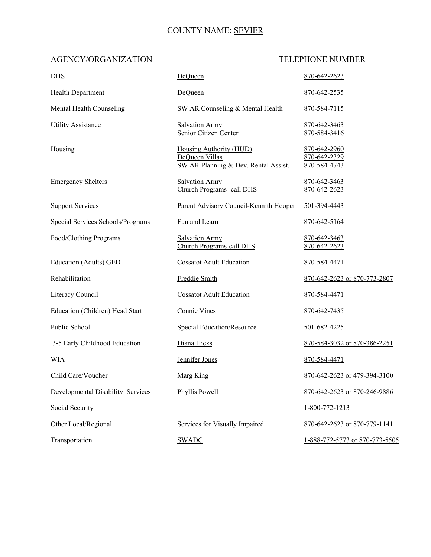## COUNTY NAME: SEVIER

| <b>DHS</b>                        | DeQueen                                                                                  | 870-642-2623                                 |
|-----------------------------------|------------------------------------------------------------------------------------------|----------------------------------------------|
| <b>Health Department</b>          | DeQueen                                                                                  | 870-642-2535                                 |
| Mental Health Counseling          | <b>SW AR Counseling &amp; Mental Health</b>                                              | 870-584-7115                                 |
| <b>Utility Assistance</b>         | <b>Salvation Army</b><br>Senior Citizen Center                                           | 870-642-3463<br>870-584-3416                 |
| Housing                           | <b>Housing Authority (HUD)</b><br>DeQueen Villas<br>SW AR Planning & Dev. Rental Assist. | 870-642-2960<br>870-642-2329<br>870-584-4743 |
| <b>Emergency Shelters</b>         | <b>Salvation Army</b><br>Church Programs- call DHS                                       | 870-642-3463<br>870-642-2623                 |
| <b>Support Services</b>           | Parent Advisory Council-Kennith Hooper                                                   | 501-394-4443                                 |
| Special Services Schools/Programs | Fun and Learn                                                                            | 870-642-5164                                 |
| Food/Clothing Programs            | <b>Salvation Army</b><br>Church Programs-call DHS                                        | 870-642-3463<br>870-642-2623                 |
| Education (Adults) GED            | <b>Cossatot Adult Education</b>                                                          | 870-584-4471                                 |
| Rehabilitation                    | Freddie Smith                                                                            | 870-642-2623 or 870-773-2807                 |
| Literacy Council                  | <b>Cossatot Adult Education</b>                                                          | 870-584-4471                                 |
| Education (Children) Head Start   | <b>Connie Vines</b>                                                                      | 870-642-7435                                 |
| Public School                     | Special Education/Resource                                                               | 501-682-4225                                 |
| 3-5 Early Childhood Education     | Diana Hicks                                                                              | 870-584-3032 or 870-386-2251                 |
| <b>WIA</b>                        | Jennifer Jones                                                                           | 870-584-4471                                 |
| Child Care/Voucher                | <b>Marg King</b>                                                                         | 870-642-2623 or 479-394-3100                 |
| Developmental Disability Services | Phyllis Powell                                                                           | 870-642-2623 or 870-246-9886                 |
| Social Security                   |                                                                                          | 1-800-772-1213                               |
| Other Local/Regional              | <b>Services for Visually Impaired</b>                                                    | 870-642-2623 or 870-779-1141                 |
| Transportation                    | <b>SWADC</b>                                                                             | 1-888-772-5773 or 870-773-5505               |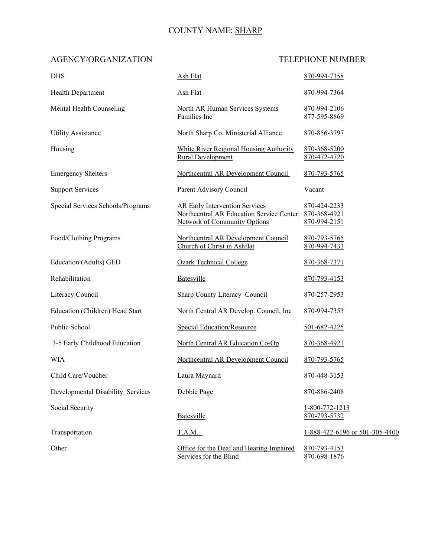## COUNTY NAME: SHARP

| <b>DHS</b>                        | Ash Flat                                                                                                                 | 870-994-7358                                 |
|-----------------------------------|--------------------------------------------------------------------------------------------------------------------------|----------------------------------------------|
| <b>Health Department</b>          | <b>Ash Flat</b>                                                                                                          | 870-994-7364                                 |
| Mental Health Counseling          | <b>North AR Human Services Systems</b><br>Families Inc                                                                   | 870-994-2106<br>877-595-8869                 |
| <b>Utility Assistance</b>         | North Sharp Co. Ministerial Alliance                                                                                     | 870-856-3797                                 |
| Housing                           | White River Regional Housing Authority<br><b>Rural Development</b>                                                       | 870-368-5200<br>870-472-4720                 |
| <b>Emergency Shelters</b>         | Northcentral AR Development Council                                                                                      | 870-793-5765                                 |
| <b>Support Services</b>           | <b>Parent Advisory Council</b>                                                                                           | Vacant                                       |
| Special Services Schools/Programs | <b>AR Early Intervention Services</b><br>Northcentral AR Education Service Center<br><b>Network of Community Options</b> | 870-424-2233<br>870-368-4921<br>870-994-2151 |
| Food/Clothing Programs            | Northcentral AR Development Council<br>Church of Christ in Ashflat                                                       | 870-793-5765<br>870-994-7433                 |
| Education (Adults) GED            | <b>Ozark Technical College</b>                                                                                           | 870-368-7371                                 |
| Rehabilitation                    | Batesville                                                                                                               | 870-793-4153                                 |
| Literacy Council                  | <b>Sharp County Literacy Council</b>                                                                                     | 870-257-2953                                 |
| Education (Children) Head Start   | North Central AR Develop. Council, Inc.                                                                                  | 870-994-7353                                 |
| Public School                     | <b>Special Education/Resource</b>                                                                                        | 501-682-4225                                 |
| 3-5 Early Childhood Education     | North Central AR Education Co-Op                                                                                         | 870-368-4921                                 |
| <b>WIA</b>                        | Northcentral AR Development Council                                                                                      | 870-793-5765                                 |
| Child Care/Voucher                | Laura Maynard                                                                                                            | 870-448-3153                                 |
| Developmental Disability Services | Debbie Page                                                                                                              | 870-886-2408                                 |
| Social Security                   | Batesville                                                                                                               | 1-800-772-1213<br>870-793-5732               |
| Transportation                    | <b>T.A.M.</b>                                                                                                            | 1-888-422-6196 or 501-305-4400               |
| Other                             | Office for the Deaf and Hearing Impaired<br>Services for the Blind                                                       | 870-793-4153<br>870-698-1876                 |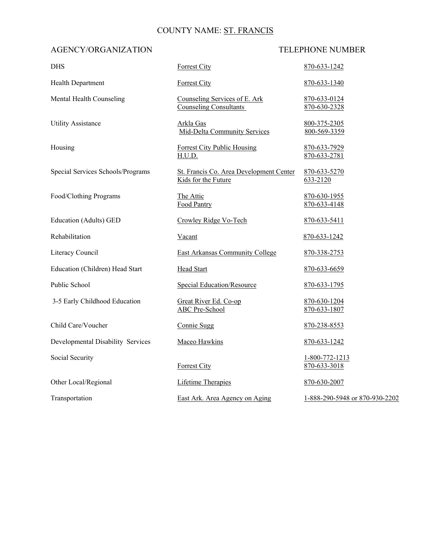## COUNTY NAME: ST. FRANCIS

| <b>DHS</b>                        | Forrest City                                                   | 870-633-1242                   |
|-----------------------------------|----------------------------------------------------------------|--------------------------------|
| Health Department                 | Forrest City                                                   | 870-633-1340                   |
| Mental Health Counseling          | Counseling Services of E. Ark<br><b>Counseling Consultants</b> | 870-633-0124<br>870-630-2328   |
| <b>Utility Assistance</b>         | Arkla Gas<br><b>Mid-Delta Community Services</b>               | 800-375-2305<br>800-569-3359   |
| Housing                           | <b>Forrest City Public Housing</b><br>H.U.D.                   | 870-633-7929<br>870-633-2781   |
| Special Services Schools/Programs | St. Francis Co. Area Development Center<br>Kids for the Future | 870-633-5270<br>633-2120       |
| Food/Clothing Programs            | The Attic<br>Food Pantry                                       | 870-630-1955<br>870-633-4148   |
| <b>Education (Adults) GED</b>     | Crowley Ridge Vo-Tech                                          | 870-633-5411                   |
| Rehabilitation                    | Vacant                                                         | 870-633-1242                   |
| Literacy Council                  | <b>East Arkansas Community College</b>                         | 870-338-2753                   |
| Education (Children) Head Start   | <b>Head Start</b>                                              | 870-633-6659                   |
| Public School                     | <b>Special Education/Resource</b>                              | 870-633-1795                   |
| 3-5 Early Childhood Education     | Great River Ed. Co-op<br><b>ABC Pre-School</b>                 | 870-630-1204<br>870-633-1807   |
| Child Care/Voucher                | Connie Sugg                                                    | 870-238-8553                   |
| Developmental Disability Services | Maceo Hawkins                                                  | 870-633-1242                   |
| Social Security                   | Forrest City                                                   | 1-800-772-1213<br>870-633-3018 |
| Other Local/Regional              | <b>Lifetime Therapies</b>                                      | 870-630-2007                   |
| Transportation                    | East Ark. Area Agency on Aging                                 | 1-888-290-5948 or 870-930-2202 |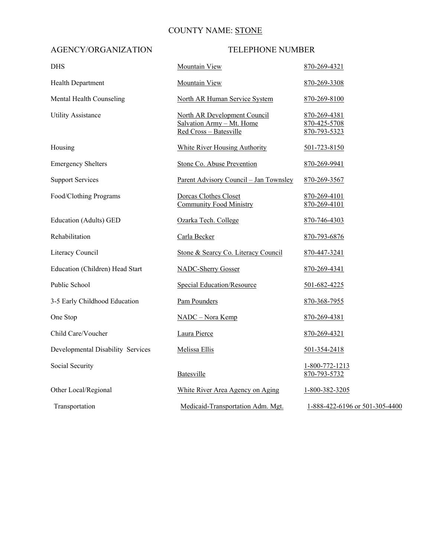## COUNTY NAME: STONE

| <b>DHS</b>                        | Mountain View                                                                       | 870-269-4321                                 |
|-----------------------------------|-------------------------------------------------------------------------------------|----------------------------------------------|
| Health Department                 | Mountain View                                                                       | 870-269-3308                                 |
| Mental Health Counseling          | North AR Human Service System                                                       | 870-269-8100                                 |
| <b>Utility Assistance</b>         | North AR Development Council<br>Salvation Army - Mt. Home<br>Red Cross - Batesville | 870-269-4381<br>870-425-5708<br>870-793-5323 |
| Housing                           | <b>White River Housing Authority</b>                                                | 501-723-8150                                 |
| <b>Emergency Shelters</b>         | Stone Co. Abuse Prevention                                                          | 870-269-9941                                 |
| <b>Support Services</b>           | Parent Advisory Council - Jan Townsley                                              | 870-269-3567                                 |
| Food/Clothing Programs            | Dorcas Clothes Closet<br><b>Community Food Ministry</b>                             | 870-269-4101<br>870-269-4101                 |
| Education (Adults) GED            | Ozarka Tech. College                                                                | 870-746-4303                                 |
| Rehabilitation                    | Carla Becker                                                                        | 870-793-6876                                 |
| Literacy Council                  | Stone & Searcy Co. Literacy Council                                                 | 870-447-3241                                 |
| Education (Children) Head Start   | <b>NADC-Sherry Gosser</b>                                                           | 870-269-4341                                 |
| Public School                     | Special Education/Resource                                                          | 501-682-4225                                 |
| 3-5 Early Childhood Education     | Pam Pounders                                                                        | 870-368-7955                                 |
| One Stop                          | NADC - Nora Kemp                                                                    | 870-269-4381                                 |
| Child Care/Voucher                | Laura Pierce                                                                        | 870-269-4321                                 |
| Developmental Disability Services | Melissa Ellis                                                                       | 501-354-2418                                 |
| Social Security                   | Batesville                                                                          | 1-800-772-1213<br>870-793-5732               |
| Other Local/Regional              | White River Area Agency on Aging                                                    | 1-800-382-3205                               |
| Transportation                    | Medicaid-Transportation Adm. Mgt.                                                   | 1-888-422-6196 or 501-305-4400               |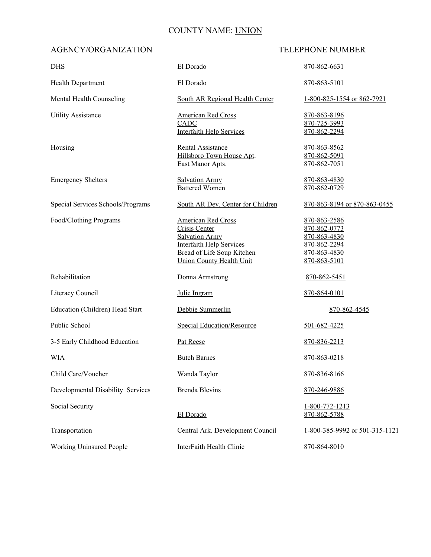## COUNTY NAME: UNION

| <b>DHS</b>                        | El Dorado                                                                                                                                                                      | 870-862-6631                                                                                 |
|-----------------------------------|--------------------------------------------------------------------------------------------------------------------------------------------------------------------------------|----------------------------------------------------------------------------------------------|
| <b>Health Department</b>          | El Dorado                                                                                                                                                                      | 870-863-5101                                                                                 |
| Mental Health Counseling          | South AR Regional Health Center                                                                                                                                                | 1-800-825-1554 or 862-7921                                                                   |
| <b>Utility Assistance</b>         | <b>American Red Cross</b><br>CADC<br><b>Interfaith Help Services</b>                                                                                                           | 870-863-8196<br>870-725-3993<br>870-862-2294                                                 |
| Housing                           | <b>Rental Assistance</b><br>Hillsboro Town House Apt.<br>East Manor Apts.                                                                                                      | 870-863-8562<br>870-862-5091<br>870-862-7051                                                 |
| <b>Emergency Shelters</b>         | <b>Salvation Army</b><br><b>Battered Women</b>                                                                                                                                 | 870-863-4830<br>870-862-0729                                                                 |
| Special Services Schools/Programs | South AR Dev. Center for Children                                                                                                                                              | 870-863-8194 or 870-863-0455                                                                 |
| Food/Clothing Programs            | <b>American Red Cross</b><br><b>Crisis Center</b><br><b>Salvation Army</b><br><b>Interfaith Help Services</b><br>Bread of Life Soup Kitchen<br><b>Union County Health Unit</b> | 870-863-2586<br>870-862-0773<br>870-863-4830<br>870-862-2294<br>870-863-4830<br>870-863-5101 |
| Rehabilitation                    | Donna Armstrong                                                                                                                                                                | 870-862-5451                                                                                 |
| Literacy Council                  | Julie Ingram                                                                                                                                                                   | 870-864-0101                                                                                 |
| Education (Children) Head Start   | Debbie Summerlin                                                                                                                                                               | 870-862-4545                                                                                 |
| Public School                     | <b>Special Education/Resource</b>                                                                                                                                              | 501-682-4225                                                                                 |
| 3-5 Early Childhood Education     | Pat Reese                                                                                                                                                                      | 870-836-2213                                                                                 |
| WIA                               | <b>Butch Barnes</b>                                                                                                                                                            | 870-863-0218                                                                                 |
| Child Care/Voucher                | <b>Wanda Taylor</b>                                                                                                                                                            | 870-836-8166                                                                                 |
| Developmental Disability Services | <b>Brenda Blevins</b>                                                                                                                                                          | 870-246-9886                                                                                 |
| Social Security                   | El Dorado                                                                                                                                                                      | 1-800-772-1213<br>870-862-5788                                                               |
| Transportation                    | Central Ark. Development Council                                                                                                                                               | 1-800-385-9992 or 501-315-1121                                                               |
| <b>Working Uninsured People</b>   | InterFaith Health Clinic                                                                                                                                                       | 870-864-8010                                                                                 |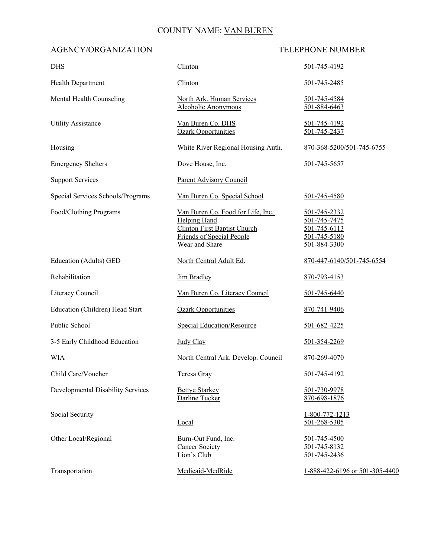### COUNTY NAME: VAN BUREN

| <b>DHS</b>                        | Clinton                                                                                                                                        | 501-745-4192                                                                 |
|-----------------------------------|------------------------------------------------------------------------------------------------------------------------------------------------|------------------------------------------------------------------------------|
| Health Department                 | Clinton                                                                                                                                        | 501-745-2485                                                                 |
| Mental Health Counseling          | North Ark. Human Services<br>Alcoholic Anonymous                                                                                               | 501-745-4584<br>501-884-6463                                                 |
| <b>Utility Assistance</b>         | Van Buren Co. DHS<br><b>Ozark Opportunities</b>                                                                                                | <u>501-745-4192</u><br>501-745-2437                                          |
| Housing                           | White River Regional Housing Auth.                                                                                                             | 870-368-5200/501-745-6755                                                    |
| <b>Emergency Shelters</b>         | Dove House, Inc.                                                                                                                               | 501-745-5657                                                                 |
| <b>Support Services</b>           | <b>Parent Advisory Council</b>                                                                                                                 |                                                                              |
| Special Services Schools/Programs | Van Buren Co. Special School                                                                                                                   | 501-745-4580                                                                 |
| Food/Clothing Programs            | Van Buren Co. Food for Life, Inc.<br>Helping Hand<br><b>Clinton First Baptist Church</b><br><b>Friends of Special People</b><br>Wear and Share | 501-745-2332<br>501-745-7475<br>501-745-6113<br>501-745-5180<br>501-884-3300 |
| Education (Adults) GED            | North Central Adult Ed.                                                                                                                        | 870-447-6140/501-745-6554                                                    |
| Rehabilitation                    | <b>Jim Bradley</b>                                                                                                                             | 870-793-4153                                                                 |
| Literacy Council                  | Van Buren Co. Literacy Council                                                                                                                 | 501-745-6440                                                                 |
| Education (Children) Head Start   | <b>Ozark Opportunities</b>                                                                                                                     | 870-741-9406                                                                 |
| Public School                     | Special Education/Resource                                                                                                                     | <u>501-682-4225</u>                                                          |
| 3-5 Early Childhood Education     | Judy Clay                                                                                                                                      | 501-354-2269                                                                 |
| WIA                               | North Central Ark. Develop. Council                                                                                                            | 870-269-4070                                                                 |
| Child Care/Voucher                | Teresa Gray                                                                                                                                    | 501-745-4192                                                                 |
| Developmental Disability Services | <b>Bettye Starkey</b><br>Darline Tucker                                                                                                        | 501-730-9978<br>870-698-1876                                                 |
| Social Security                   | Local                                                                                                                                          | 1-800-772-1213<br>501-268-5305                                               |
| Other Local/Regional              | Burn-Out Fund, Inc.<br><b>Cancer Society</b><br>Lion's Club                                                                                    | 501-745-4500<br>501-745-8132<br>501-745-2436                                 |
| Transportation                    | Medicaid-MedRide                                                                                                                               | 1-888-422-6196 or 501-305-4400                                               |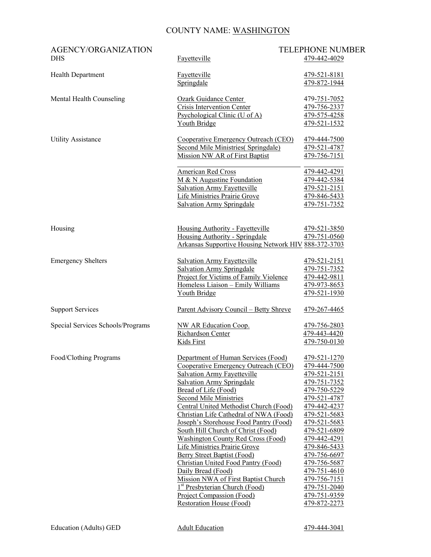# COUNTY NAME: WASHINGTON

| AGENCY/ORGANIZATION<br><b>DHS</b> | Fayetteville                                                                 | <b>TELEPHONE NUMBER</b><br>479-442-4029 |
|-----------------------------------|------------------------------------------------------------------------------|-----------------------------------------|
|                                   |                                                                              |                                         |
| Health Department                 | Fayetteville                                                                 | 479-521-8181                            |
|                                   | Springdale                                                                   | 479-872-1944                            |
| Mental Health Counseling          | Ozark Guidance Center                                                        | 479-751-7052                            |
|                                   | <b>Crisis Intervention Center</b>                                            | 479-756-2337                            |
|                                   | Psychological Clinic (U of A)<br>Youth Bridge                                | 479-575-4258<br>479-521-1532            |
|                                   |                                                                              |                                         |
| <b>Utility Assistance</b>         | Cooperative Emergency Outreach (CEO)                                         | 479-444-7500                            |
|                                   | <b>Second Mile Ministries (Springdale)</b><br>Mission NW AR of First Baptist | 479-521-4787<br>479-756-7151            |
|                                   |                                                                              |                                         |
|                                   | <b>American Red Cross</b>                                                    | 479-442-4291                            |
|                                   | M & N Augustine Foundation<br><b>Salvation Army Fayetteville</b>             | 479-442-5384<br>479-521-2151            |
|                                   | Life Ministries Prairie Grove                                                | 479-846-5433                            |
|                                   | <b>Salvation Army Springdale</b>                                             | 479-751-7352                            |
|                                   |                                                                              |                                         |
| Housing                           | Housing Authority - Fayetteville                                             | 479-521-3850                            |
|                                   | <b>Housing Authority - Springdale</b>                                        | 479-751-0560                            |
|                                   | Arkansas Supportive Housing Network HIV 888-372-3703                         |                                         |
| <b>Emergency Shelters</b>         | <b>Salvation Army Fayetteville</b>                                           | 479-521-2151                            |
|                                   | <b>Salvation Army Springdale</b>                                             | 479-751-7352                            |
|                                   | Project for Victims of Family Violence                                       | 479-442-9811                            |
|                                   | Homeless Liaison - Emily Williams<br>Youth Bridge                            | 479-973-8653<br>479-521-1930            |
|                                   |                                                                              |                                         |
| <b>Support Services</b>           | <b>Parent Advisory Council – Betty Shreve</b>                                | 479-267-4465                            |
| Special Services Schools/Programs | <b>NW AR Education Coop.</b>                                                 | 479-756-2803                            |
|                                   | Richardson Center                                                            | 479-443-4420                            |
|                                   | <b>Kids First</b>                                                            | 479-750-0130                            |
| Food/Clothing Programs            | Department of Human Services (Food)                                          | 479-521-1270                            |
|                                   | Cooperative Emergency Outreach (CEO)                                         | 479-444-7500                            |
|                                   | <b>Salvation Army Fayetteville</b><br><b>Salvation Army Springdale</b>       | 479-521-2151<br>479-751-7352            |
|                                   | Bread of Life (Food)                                                         | 479-750-5229                            |
|                                   | <b>Second Mile Ministries</b>                                                | 479-521-4787                            |
|                                   | Central United Methodist Church (Food)                                       | 479-442-4237                            |
|                                   | Christian Life Cathedral of NWA (Food)                                       | 479-521-5683                            |
|                                   | Joseph's Storehouse Food Pantry (Food)                                       | 479-521-5683                            |
|                                   | South Hill Church of Christ (Food)                                           | 479-521-6809                            |
|                                   | <b>Washington County Red Cross (Food)</b><br>Life Ministries Prairie Grove   | 479-442-4291<br>479-846-5433            |
|                                   | <b>Berry Street Baptist (Food)</b>                                           | 479-756-6697                            |
|                                   | Christian United Food Pantry (Food)                                          | 479-756-5687                            |
|                                   | Daily Bread (Food)                                                           | 479-751-4610                            |
|                                   | Mission NWA of First Baptist Church                                          | 479-756-7151                            |
|                                   | 1 <sup>st</sup> Presbyterian Church (Food)                                   | 479-751-2040                            |
|                                   | Project Compassion (Food)                                                    | 479-751-9359                            |
|                                   | Restoration House (Food)                                                     | 479-872-2273                            |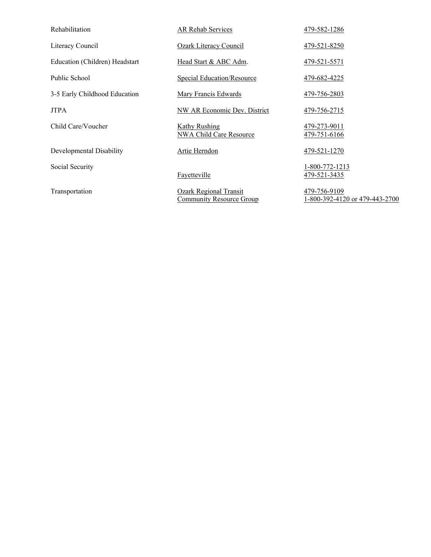| <b>Rehabilitation</b>          | <b>AR Rehab Services</b>                                         | 479-582-1286                                   |
|--------------------------------|------------------------------------------------------------------|------------------------------------------------|
| Literacy Council               | <b>Ozark Literacy Council</b>                                    | 479-521-8250                                   |
| Education (Children) Headstart | Head Start & ABC Adm.                                            | 479-521-5571                                   |
| Public School                  | <b>Special Education/Resource</b>                                | 479-682-4225                                   |
| 3-5 Early Childhood Education  | <b>Mary Francis Edwards</b>                                      | 479-756-2803                                   |
| <b>JTPA</b>                    | NW AR Economic Dev. District                                     | 479-756-2715                                   |
| Child Care/Voucher             | Kathy Rushing<br>NWA Child Care Resource                         | 479-273-9011<br>479-751-6166                   |
| Developmental Disability       | Artie Herndon                                                    | 479-521-1270                                   |
| Social Security                | Fayetteville                                                     | 1-800-772-1213<br>479-521-3435                 |
| Transportation                 | <b>Ozark Regional Transit</b><br><b>Community Resource Group</b> | 479-756-9109<br>1-800-392-4120 or 479-443-2700 |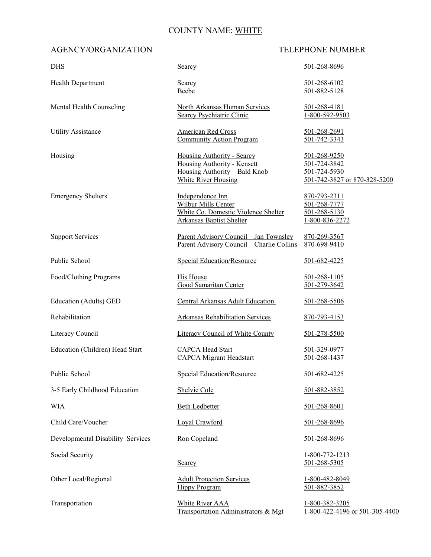# COUNTY NAME: WHITE

### AGENCY/ORGANIZATION TELEPHONE NUMBER

| <b>DHS</b>                        | <b>Searcy</b>                                                                                                                          | 501-268-8696                                                                 |
|-----------------------------------|----------------------------------------------------------------------------------------------------------------------------------------|------------------------------------------------------------------------------|
| <b>Health Department</b>          | <b>Searcy</b><br>Beebe                                                                                                                 | 501-268-6102<br>501-882-5128                                                 |
| Mental Health Counseling          | North Arkansas Human Services<br>Searcy Psychiatric Clinic                                                                             | 501-268-4181<br>1-800-592-9503                                               |
| <b>Utility Assistance</b>         | <b>American Red Cross</b><br><b>Community Action Program</b>                                                                           | 501-268-2691<br>501-742-3343                                                 |
| Housing                           | <b>Housing Authority - Searcy</b><br><b>Housing Authority - Kensett</b><br>Housing Authority - Bald Knob<br><b>White River Housing</b> | 501-268-9250<br>501-724-3842<br>501-724-5930<br>501-742-3827 or 870-328-5200 |
| <b>Emergency Shelters</b>         | Independence Inn<br><b>Wilbur Mills Center</b><br>White Co. Domestic Violence Shelter<br><b>Arkansas Baptist Shelter</b>               | 870-793-2311<br>501-268-7777<br>501-268-5130<br>1-800-836-2272               |
| <b>Support Services</b>           | Parent Advisory Council - Jan Townsley<br>Parent Advisory Council - Charlie Collins                                                    | 870-269-3567<br>870-698-9410                                                 |
| Public School                     | <b>Special Education/Resource</b>                                                                                                      | 501-682-4225                                                                 |
| Food/Clothing Programs            | <b>His House</b><br><b>Good Samaritan Center</b>                                                                                       | 501-268-1105<br>501-279-3642                                                 |
| Education (Adults) GED            | <b>Central Arkansas Adult Education</b>                                                                                                | 501-268-5506                                                                 |
| Rehabilitation                    | <b>Arkansas Rehabilitation Services</b>                                                                                                | 870-793-4153                                                                 |
| Literacy Council                  | <b>Literacy Council of White County</b>                                                                                                | 501-278-5500                                                                 |
| Education (Children) Head Start   | <b>CAPCA Head Start</b><br><b>CAPCA Migrant Headstart</b>                                                                              | 501-329-0977<br>501-268-1437                                                 |
| Public School                     | <b>Special Education/Resource</b>                                                                                                      | 501-682-4225                                                                 |
| 3-5 Early Childhood Education     | <b>Shelvie Cole</b>                                                                                                                    | 501-882-3852                                                                 |
| <b>WIA</b>                        | <b>Beth Ledbetter</b>                                                                                                                  | 501-268-8601                                                                 |
| Child Care/Voucher                | Loyal Crawford                                                                                                                         | 501-268-8696                                                                 |
| Developmental Disability Services | Ron Copeland                                                                                                                           | 501-268-8696                                                                 |
| Social Security                   | Searcy                                                                                                                                 | 1-800-772-1213<br>501-268-5305                                               |
| Other Local/Regional              | <b>Adult Protection Services</b><br><b>Hippy Program</b>                                                                               | 1-800-482-8049<br>501-882-3852                                               |
| Transportation                    | White River AAA<br>Transportation Administrators & Mgt                                                                                 | 1-800-382-3205<br>1-800-422-4196 or 501-305-4400                             |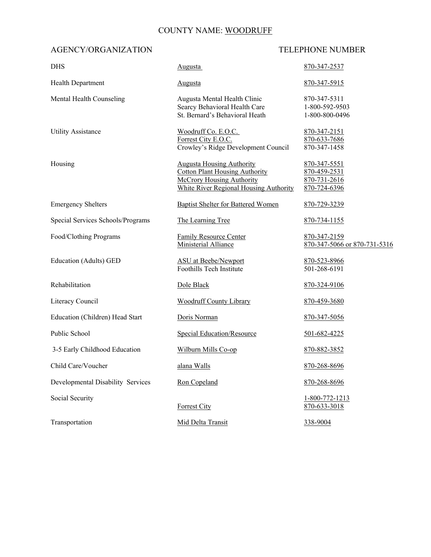# COUNTY NAME: WOODRUFF

### AGENCY/ORGANIZATION TELEPHONE NUMBER

| DHS                               | <b>Augusta</b>                                                                                                                                          | 870-347-2537                                                 |
|-----------------------------------|---------------------------------------------------------------------------------------------------------------------------------------------------------|--------------------------------------------------------------|
| Health Department                 | <b>Augusta</b>                                                                                                                                          | 870-347-5915                                                 |
| Mental Health Counseling          | Augusta Mental Health Clinic<br>Searcy Behavioral Health Care<br>St. Bernard's Behavioral Heath                                                         | 870-347-5311<br>1-800-592-9503<br>1-800-800-0496             |
| <b>Utility Assistance</b>         | Woodruff Co. E.O.C.<br>Forrest City E.O.C.<br>Crowley's Ridge Development Council                                                                       | 870-347-2151<br>870-633-7686<br>870-347-1458                 |
| Housing                           | <b>Augusta Housing Authority</b><br><b>Cotton Plant Housing Authority</b><br><b>McCrory Housing Authority</b><br>White River Regional Housing Authority | 870-347-5551<br>870-459-2531<br>870-731-2616<br>870-724-6396 |
| <b>Emergency Shelters</b>         | <b>Baptist Shelter for Battered Women</b>                                                                                                               | <u>870-729-3239</u>                                          |
| Special Services Schools/Programs | The Learning Tree                                                                                                                                       | 870-734-1155                                                 |
| Food/Clothing Programs            | <b>Family Resource Center</b><br>Ministerial Alliance                                                                                                   | 870-347-2159<br>870-347-5066 or 870-731-5316                 |
| Education (Adults) GED            | <b>ASU</b> at Beebe/Newport<br>Foothills Tech Institute                                                                                                 | 870-523-8966<br>501-268-6191                                 |
| Rehabilitation                    | Dole Black                                                                                                                                              | 870-324-9106                                                 |
| Literacy Council                  | <b>Woodruff County Library</b>                                                                                                                          | 870-459-3680                                                 |
| Education (Children) Head Start   | Doris Norman                                                                                                                                            | 870-347-5056                                                 |
| Public School                     | <b>Special Education/Resource</b>                                                                                                                       | 501-682-4225                                                 |
| 3-5 Early Childhood Education     | Wilburn Mills Co-op                                                                                                                                     | 870-882-3852                                                 |
| Child Care/Voucher                | alana Walls                                                                                                                                             | 870-268-8696                                                 |
| Developmental Disability Services | Ron Copeland                                                                                                                                            | 870-268-8696                                                 |
| Social Security                   | Forrest City                                                                                                                                            | 1-800-772-1213<br>870-633-3018                               |
| Transportation                    | Mid Delta Transit                                                                                                                                       | 338-9004                                                     |